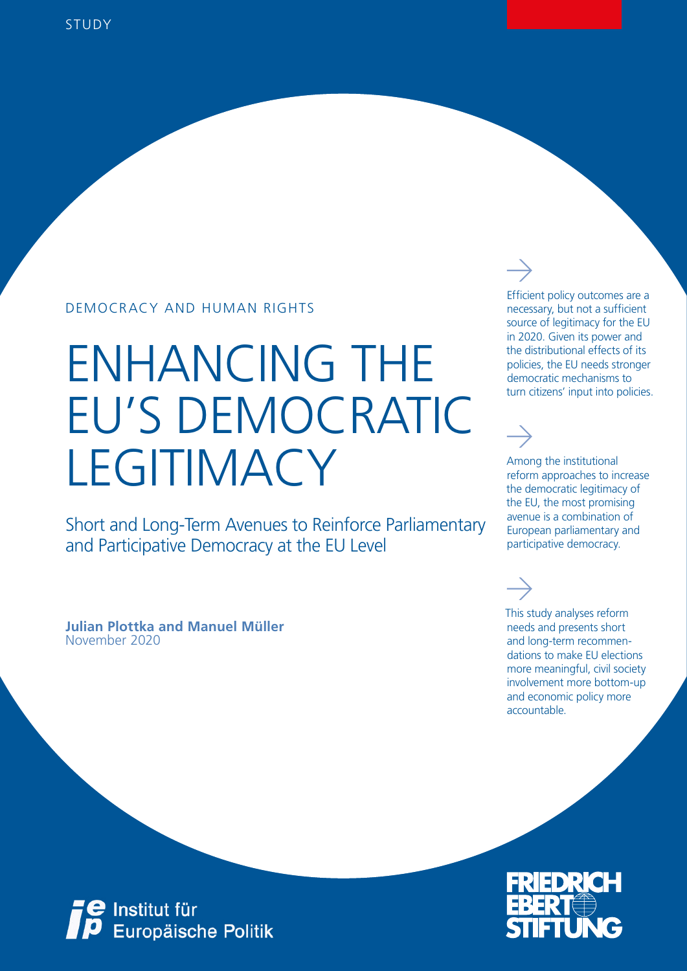### DEMOCRACY AND HUMAN RIGHTS

# ENHANCING THE EU'S DEMOCRATIC **LEGITIMACY**

Short and Long-Term Avenues to Reinforce Parliamentary and Participative Democracy at the EU Level

November 2020 **Julian Plottka and Manuel Müller** Efficient policy outcomes are a necessary, but not a sufficient source of legitimacy for the EU in 2020. Given its power and the distributional effects of its policies, the EU needs stronger democratic mechanisms to turn citizens' input into policies.

Among the institutional reform approaches to increase the democratic legitimacy of the EU, the most promising avenue is a combination of European parliamentary and participative democracy.

This study analyses reform needs and presents short and long-term recommendations to make EU elections more meaningful, civil society involvement more bottom-up and economic policy more accountable.



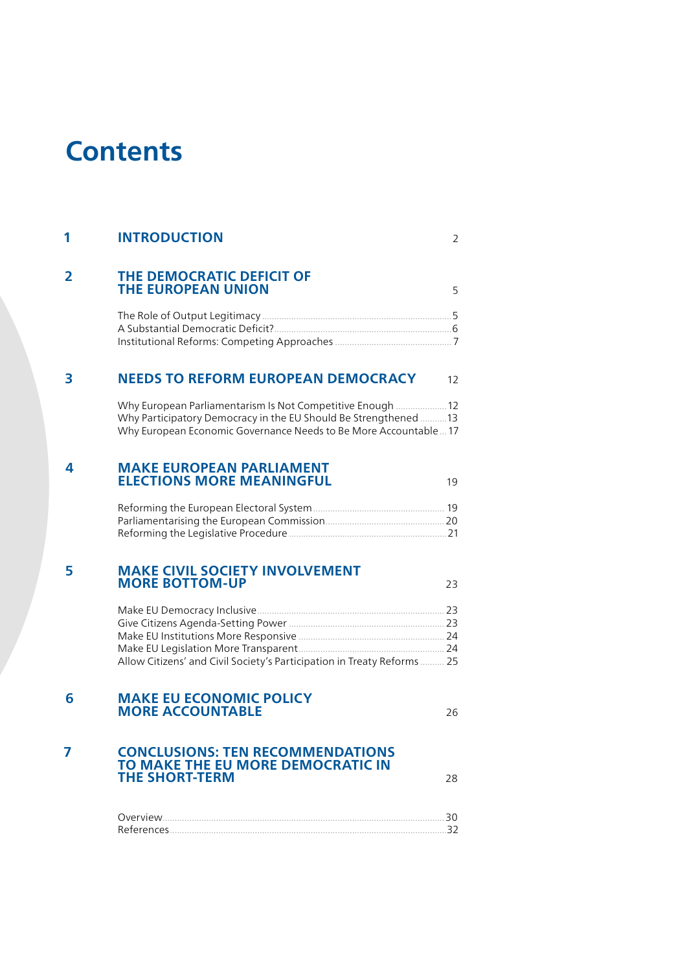# **Contents**

| 1 | <b>INTRODUCTION</b>                                                                                                                                                                                | 2  |
|---|----------------------------------------------------------------------------------------------------------------------------------------------------------------------------------------------------|----|
| 2 | THE DEMOCRATIC DEFICIT OF<br><b>THE EUROPEAN UNION</b>                                                                                                                                             | 5  |
|   |                                                                                                                                                                                                    |    |
| 3 | <b>NEEDS TO REFORM EUROPEAN DEMOCRACY</b>                                                                                                                                                          | 12 |
|   | Why European Parliamentarism Is Not Competitive Enough  12<br>Why Participatory Democracy in the EU Should Be Strengthened 13<br>Why European Economic Governance Needs to Be More Accountable  17 |    |
| 4 | <b>MAKE EUROPEAN PARLIAMENT</b><br><b>ELECTIONS MORE MEANINGFUL</b>                                                                                                                                | 19 |
|   |                                                                                                                                                                                                    |    |
| 5 | <b>MAKE CIVIL SOCIETY INVOLVEMENT</b><br><b>MORE BOTTOM-UP</b>                                                                                                                                     | 23 |
|   | Allow Citizens' and Civil Society's Participation in Treaty Reforms  25                                                                                                                            |    |
| 6 | <b>MAKE EU ECONOMIC POLICY</b><br><b>MORE ACCOUNTABLE</b>                                                                                                                                          | 26 |
| 7 | <b>CONCLUSIONS: TEN RECOMMENDATIONS</b><br>TO MAKE THE EU MORE DEMOCRATIC IN<br><b>THE SHORT-TERM</b>                                                                                              | 28 |

| () verview |  |
|------------|--|
| References |  |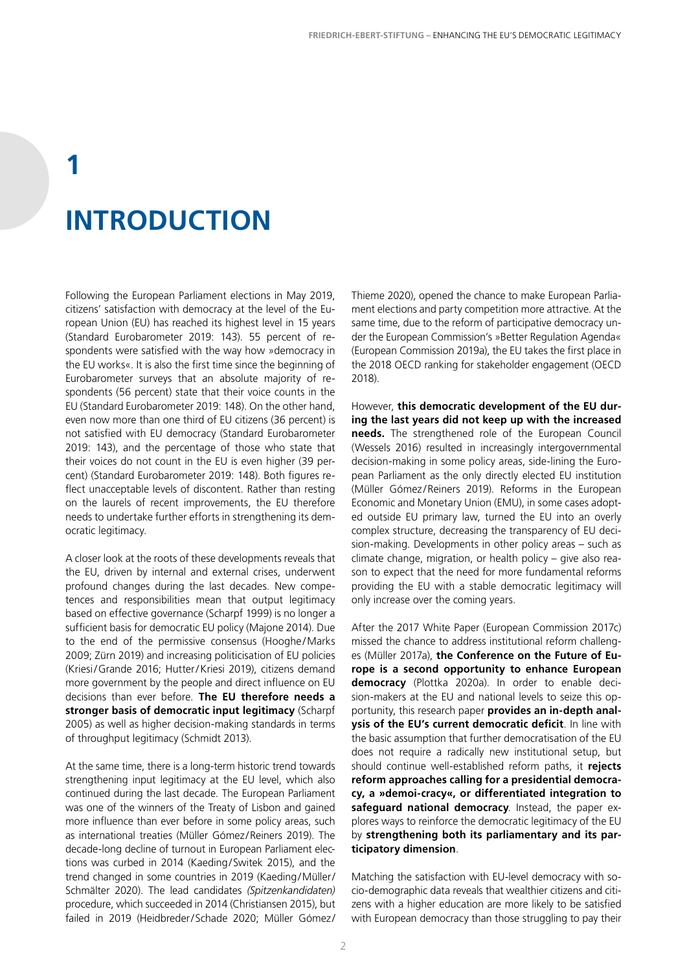# **1 INTRODUCTION**

Following the European Parliament elections in May 2019, citizens' satisfaction with democracy at the level of the European Union (EU) has reached its highest level in 15 years (Standard Eurobarometer 2019: 143). 55 percent of respondents were satisfied with the way how »democracy in the EU works«. It is also the first time since the beginning of Eurobarometer surveys that an absolute majority of respondents (56 percent) state that their voice counts in the EU (Standard Eurobarometer 2019: 148). On the other hand, even now more than one third of EU citizens (36 percent) is not satisfied with EU democracy (Standard Eurobarometer 2019: 143), and the percentage of those who state that their voices do not count in the EU is even higher (39 percent) (Standard Eurobarometer 2019: 148). Both figures reflect unacceptable levels of discontent. Rather than resting on the laurels of recent improvements, the EU therefore needs to undertake further efforts in strengthening its democratic legitimacy.

A closer look at the roots of these developments reveals that the EU, driven by internal and external crises, underwent profound changes during the last decades. New competences and responsibilities mean that output legitimacy based on effective governance (Scharpf 1999) is no longer a sufficient basis for democratic EU policy (Majone 2014). Due to the end of the permissive consensus (Hooghe/Marks 2009; Zürn 2019) and increasing politicisation of EU policies (Kriesi/Grande 2016; Hutter/Kriesi 2019), citizens demand more government by the people and direct influence on EU decisions than ever before. **The EU therefore needs a stronger basis of democratic input legitimacy** (Scharpf 2005) as well as higher decision-making standards in terms of throughput legitimacy (Schmidt 2013).

At the same time, there is a long-term historic trend towards strengthening input legitimacy at the EU level, which also continued during the last decade. The European Parliament was one of the winners of the Treaty of Lisbon and gained more influence than ever before in some policy areas, such as international treaties (Müller Gómez /Reiners 2019). The decade-long decline of turnout in European Parliament elections was curbed in 2014 (Kaeding/Switek 2015), and the trend changed in some countries in 2019 (Kaeding/Müller/ Schmälter 2020). The lead candidates *(Spitzenkandidaten)* procedure, which succeeded in 2014 (Christiansen 2015), but failed in 2019 (Heidbreder/Schade 2020; Müller Gómez/ Thieme 2020), opened the chance to make European Parliament elections and party competition more attractive. At the same time, due to the reform of participative democracy under the European Commission's »Better Regulation Agenda« (European Commission 2019a), the EU takes the first place in the 2018 OECD ranking for stakeholder engagement (OECD 2018).

However, **this democratic development of the EU during the last years did not keep up with the increased needs.** The strengthened role of the European Council (Wessels 2016) resulted in increasingly intergovernmental decision-making in some policy areas, side-lining the European Parliament as the only directly elected EU institution (Müller Gómez/Reiners 2019). Reforms in the European Economic and Monetary Union (EMU), in some cases adopted outside EU primary law, turned the EU into an overly complex structure, decreasing the transparency of EU decision-making. Developments in other policy areas – such as climate change, migration, or health policy – give also reason to expect that the need for more fundamental reforms providing the EU with a stable democratic legitimacy will only increase over the coming years.

After the 2017 White Paper (European Commission 2017c) missed the chance to address institutional reform challenges (Müller 2017a), **the Conference on the Future of Europe is a second opportunity to enhance European democracy** (Plottka 2020a). In order to enable decision-makers at the EU and national levels to seize this opportunity, this research paper **provides an in-depth analysis of the EU's current democratic deficit**. In line with the basic assumption that further democratisation of the EU does not require a radically new institutional setup, but should continue well-established reform paths, it **rejects reform approaches calling for a presidential democracy, a »demoi-cracy«, or differentiated integration to safeguard national democracy**. Instead, the paper explores ways to reinforce the democratic legitimacy of the EU by **strengthening both its parliamentary and its participatory dimension**.

Matching the satisfaction with EU-level democracy with socio-demographic data reveals that wealthier citizens and citizens with a higher education are more likely to be satisfied with European democracy than those struggling to pay their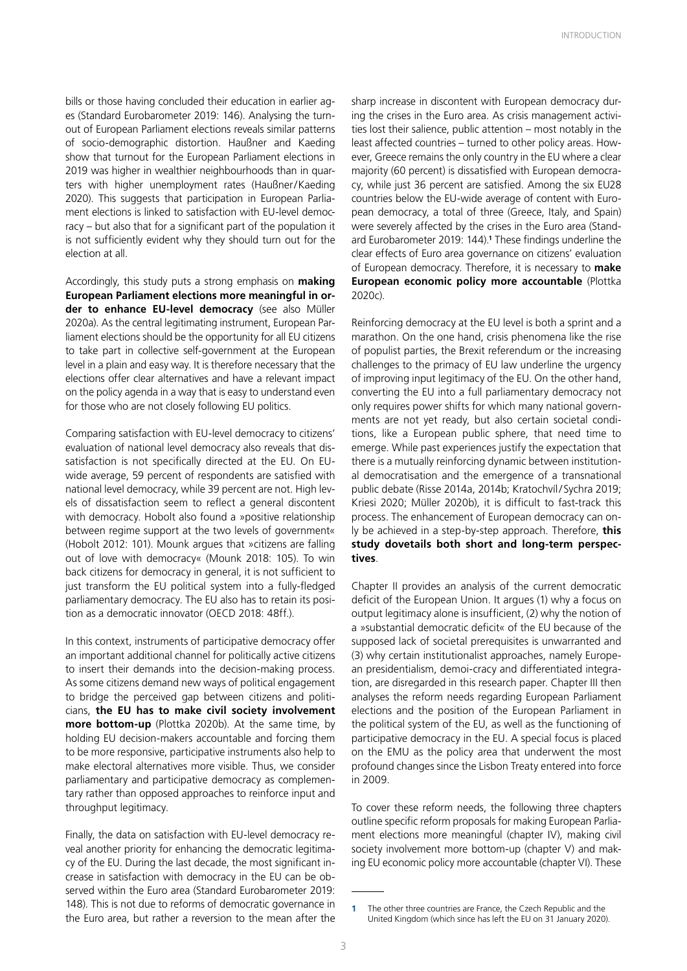bills or those having concluded their education in earlier ages (Standard Eurobarometer 2019: 146). Analysing the turnout of European Parliament elections reveals similar patterns of socio-demographic distortion. Haußner and Kaeding show that turnout for the European Parliament elections in 2019 was higher in wealthier neighbourhoods than in quarters with higher unemployment rates (Haußner/Kaeding 2020). This suggests that participation in European Parliament elections is linked to satisfaction with EU-level democracy – but also that for a significant part of the population it is not sufficiently evident why they should turn out for the election at all.

Accordingly, this study puts a strong emphasis on **making European Parliament elections more meaningful in order to enhance EU-level democracy** (see also Müller 2020a). As the central legitimating instrument, European Parliament elections should be the opportunity for all EU citizens to take part in collective self-government at the European level in a plain and easy way. It is therefore necessary that the elections offer clear alternatives and have a relevant impact on the policy agenda in a way that is easy to understand even for those who are not closely following EU politics.

Comparing satisfaction with EU-level democracy to citizens' evaluation of national level democracy also reveals that dissatisfaction is not specifically directed at the EU. On EUwide average, 59 percent of respondents are satisfied with national level democracy, while 39 percent are not. High levels of dissatisfaction seem to reflect a general discontent with democracy. Hobolt also found a »positive relationship between regime support at the two levels of government« (Hobolt 2012: 101). Mounk argues that »citizens are falling out of love with democracy« (Mounk 2018: 105). To win back citizens for democracy in general, it is not sufficient to just transform the EU political system into a fully-fledged parliamentary democracy. The EU also has to retain its position as a democratic innovator (OECD 2018: 48ff.).

In this context, instruments of participative democracy offer an important additional channel for politically active citizens to insert their demands into the decision-making process. As some citizens demand new ways of political engagement to bridge the perceived gap between citizens and politicians, **the EU has to make civil society involvement more bottom-up** (Plottka 2020b). At the same time, by holding EU decision-makers accountable and forcing them to be more responsive, participative instruments also help to make electoral alternatives more visible. Thus, we consider parliamentary and participative democracy as complementary rather than opposed approaches to reinforce input and throughput legitimacy.

Finally, the data on satisfaction with EU-level democracy reveal another priority for enhancing the democratic legitimacy of the EU. During the last decade, the most significant increase in satisfaction with democracy in the EU can be observed within the Euro area (Standard Eurobarometer 2019: 148). This is not due to reforms of democratic governance in the Euro area, but rather a reversion to the mean after the sharp increase in discontent with European democracy during the crises in the Euro area. As crisis management activities lost their salience, public attention – most notably in the least affected countries – turned to other policy areas. However, Greece remains the only country in the EU where a clear majority (60 percent) is dissatisfied with European democracy, while just 36 percent are satisfied. Among the six EU28 countries below the EU-wide average of content with European democracy, a total of three (Greece, Italy, and Spain) were severely affected by the crises in the Euro area (Standard Eurobarometer 2019: 144).**<sup>1</sup>** These findings underline the clear effects of Euro area governance on citizens' evaluation of European democracy. Therefore, it is necessary to **make European economic policy more accountable** (Plottka 2020c).

Reinforcing democracy at the EU level is both a sprint and a marathon. On the one hand, crisis phenomena like the rise of populist parties, the Brexit referendum or the increasing challenges to the primacy of EU law underline the urgency of improving input legitimacy of the EU. On the other hand, converting the EU into a full parliamentary democracy not only requires power shifts for which many national governments are not yet ready, but also certain societal conditions, like a European public sphere, that need time to emerge. While past experiences justify the expectation that there is a mutually reinforcing dynamic between institutional democratisation and the emergence of a transnational public debate (Risse 2014a, 2014b; Kratochvíl/Sychra 2019; Kriesi 2020; Müller 2020b), it is difficult to fast-track this process. The enhancement of European democracy can only be achieved in a step-by-step approach. Therefore, **this study dovetails both short and long-term perspectives**.

Chapter II provides an analysis of the current democratic deficit of the European Union. It argues (1) why a focus on output legitimacy alone is insufficient, (2) why the notion of a »substantial democratic deficit« of the EU because of the supposed lack of societal prerequisites is unwarranted and (3) why certain institutionalist approaches, namely European presidentialism, demoi-cracy and differentiated integration, are disregarded in this research paper. Chapter III then analyses the reform needs regarding European Parliament elections and the position of the European Parliament in the political system of the EU, as well as the functioning of participative democracy in the EU. A special focus is placed on the EMU as the policy area that underwent the most profound changes since the Lisbon Treaty entered into force in 2009.

To cover these reform needs, the following three chapters outline specific reform proposals for making European Parliament elections more meaningful (chapter IV), making civil society involvement more bottom-up (chapter V) and making EU economic policy more accountable (chapter VI). These

**<sup>1</sup>** The other three countries are France, the Czech Republic and the United Kingdom (which since has left the EU on 31 January 2020).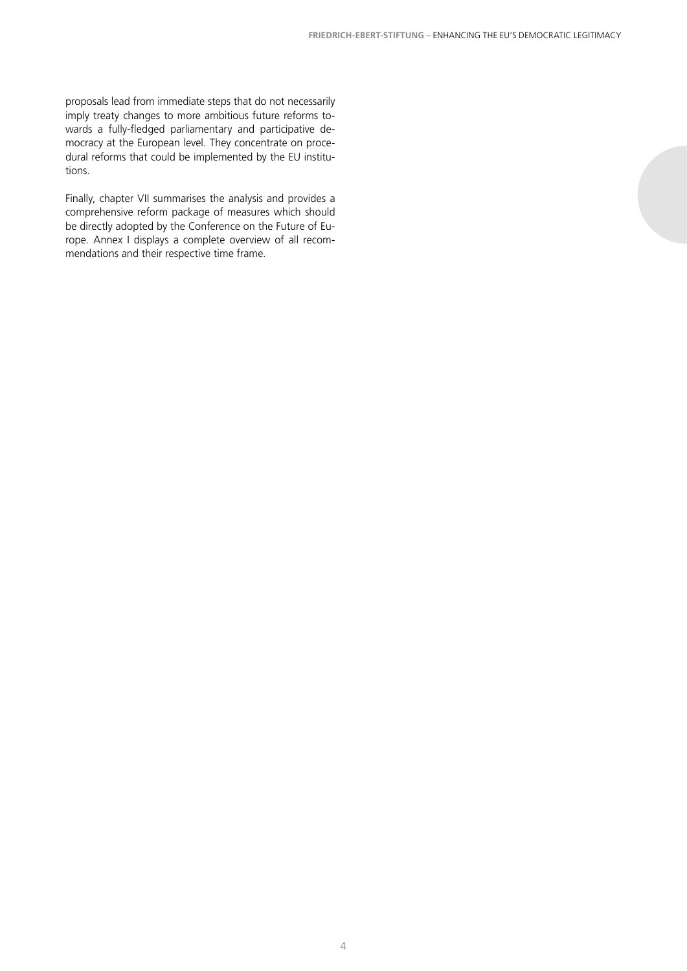proposals lead from immediate steps that do not necessarily imply treaty changes to more ambitious future reforms towards a fully-fledged parliamentary and participative democracy at the European level. They concentrate on procedural reforms that could be implemented by the EU institutions.

Finally, chapter VII summarises the analysis and provides a comprehensive reform package of measures which should be directly adopted by the Conference on the Future of Europe. Annex I displays a complete overview of all recommendations and their respective time frame.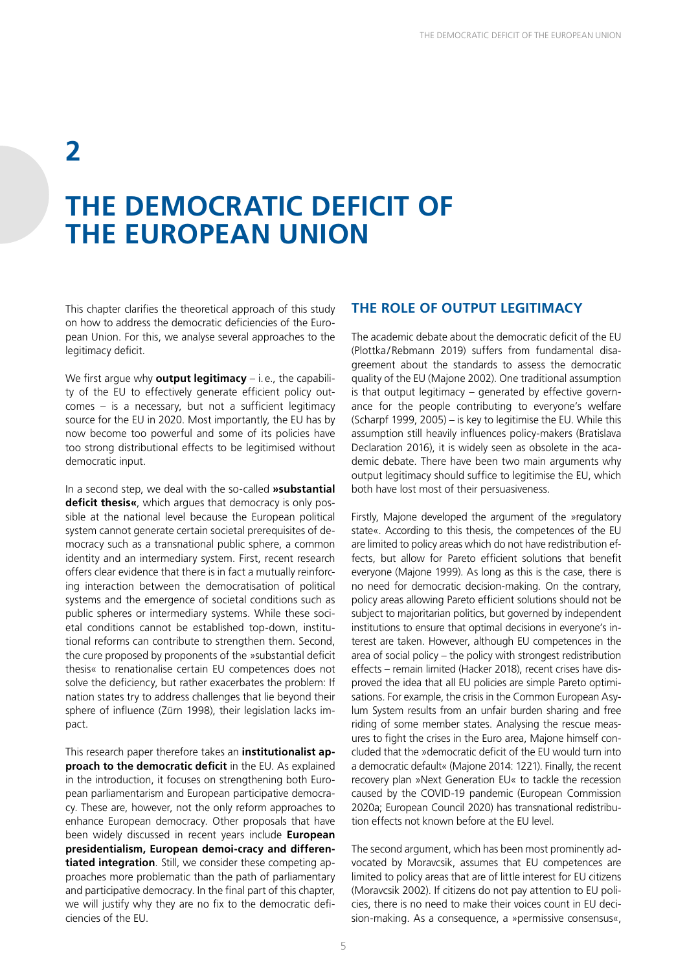### **2**

### **THE DEMOCRATIC DEFICIT OF THE EUROPEAN UNION**

This chapter clarifies the theoretical approach of this study on how to address the democratic deficiencies of the European Union. For this, we analyse several approaches to the legitimacy deficit.

We first argue why **output legitimacy** – i. e., the capability of the EU to effectively generate efficient policy outcomes – is a necessary, but not a sufficient legitimacy source for the EU in 2020. Most importantly, the EU has by now become too powerful and some of its policies have too strong distributional effects to be legitimised without democratic input.

In a second step, we deal with the so-called **»substantial deficit thesis«**, which argues that democracy is only possible at the national level because the European political system cannot generate certain societal prerequisites of democracy such as a transnational public sphere, a common identity and an intermediary system. First, recent research offers clear evidence that there is in fact a mutually reinforcing interaction between the democratisation of political systems and the emergence of societal conditions such as public spheres or intermediary systems. While these societal conditions cannot be established top-down, institutional reforms can contribute to strengthen them. Second, the cure proposed by proponents of the »substantial deficit thesis« to renationalise certain EU competences does not solve the deficiency, but rather exacerbates the problem: If nation states try to address challenges that lie beyond their sphere of influence (Zürn 1998), their legislation lacks impact.

This research paper therefore takes an **institutionalist approach to the democratic deficit** in the EU. As explained in the introduction, it focuses on strengthening both European parliamentarism and European participative democracy. These are, however, not the only reform approaches to enhance European democracy. Other proposals that have been widely discussed in recent years include **European presidentialism, European demoi-cracy and differentiated integration**. Still, we consider these competing approaches more problematic than the path of parliamentary and participative democracy. In the final part of this chapter, we will justify why they are no fix to the democratic deficiencies of the EU.

#### **THE ROLE OF OUTPUT LEGITIMACY**

The academic debate about the democratic deficit of the EU (Plottka/Rebmann 2019) suffers from fundamental disagreement about the standards to assess the democratic quality of the EU (Majone 2002). One traditional assumption is that output legitimacy – generated by effective governance for the people contributing to everyone's welfare (Scharpf 1999, 2005) – is key to legitimise the EU. While this assumption still heavily influences policy-makers (Bratislava Declaration 2016), it is widely seen as obsolete in the academic debate. There have been two main arguments why output legitimacy should suffice to legitimise the EU, which both have lost most of their persuasiveness.

Firstly, Majone developed the argument of the »regulatory state«. According to this thesis, the competences of the EU are limited to policy areas which do not have redistribution effects, but allow for Pareto efficient solutions that benefit everyone (Majone 1999). As long as this is the case, there is no need for democratic decision-making. On the contrary, policy areas allowing Pareto efficient solutions should not be subject to majoritarian politics, but governed by independent institutions to ensure that optimal decisions in everyone's interest are taken. However, although EU competences in the area of social policy – the policy with strongest redistribution effects – remain limited (Hacker 2018), recent crises have disproved the idea that all EU policies are simple Pareto optimisations. For example, the crisis in the Common European Asylum System results from an unfair burden sharing and free riding of some member states. Analysing the rescue measures to fight the crises in the Euro area, Majone himself concluded that the »democratic deficit of the EU would turn into a democratic default« (Majone 2014: 1221). Finally, the recent recovery plan »Next Generation EU« to tackle the recession caused by the COVID-19 pandemic (European Commission 2020a; European Council 2020) has transnational redistribution effects not known before at the EU level.

The second argument, which has been most prominently advocated by Moravcsik, assumes that EU competences are limited to policy areas that are of little interest for EU citizens (Moravcsik 2002). If citizens do not pay attention to EU policies, there is no need to make their voices count in EU decision-making. As a consequence, a »permissive consensus«,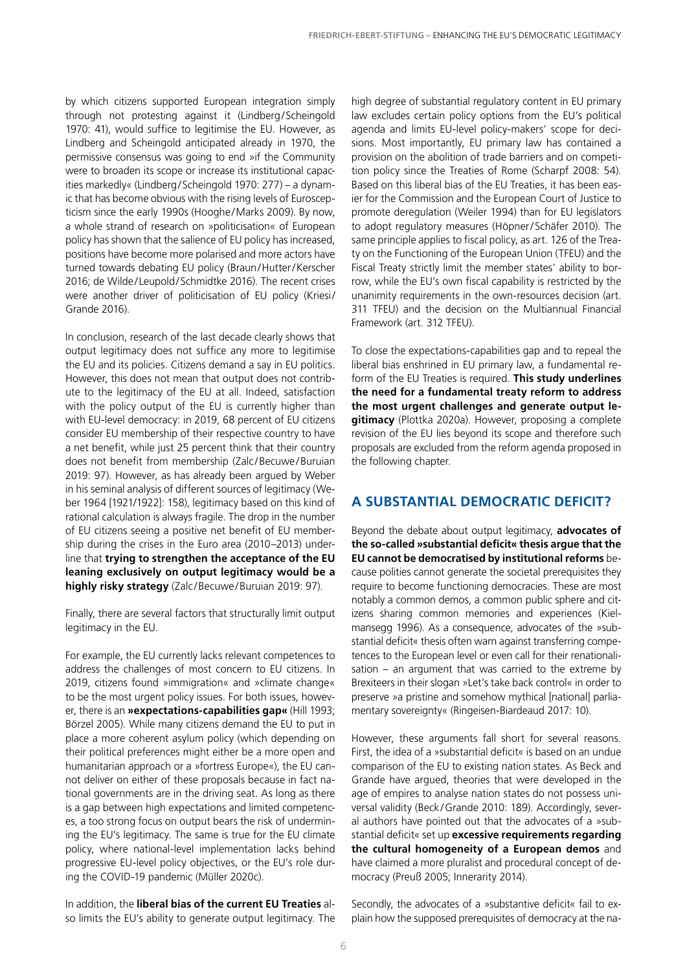by which citizens supported European integration simply through not protesting against it (Lindberg/Scheingold 1970: 41), would suffice to legitimise the EU. However, as Lindberg and Scheingold anticipated already in 1970, the permissive consensus was going to end »if the Community were to broaden its scope or increase its institutional capacities markedly« (Lindberg/Scheingold 1970: 277) – a dynamic that has become obvious with the rising levels of Euroscepticism since the early 1990s (Hooghe/Marks 2009). By now, a whole strand of research on »politicisation« of European policy has shown that the salience of EU policy has increased, positions have become more polarised and more actors have turned towards debating EU policy (Braun/Hutter/Kerscher 2016; de Wilde/ Leupold/Schmidtke 2016). The recent crises were another driver of politicisation of EU policy (Kriesi/ Grande 2016).

In conclusion, research of the last decade clearly shows that output legitimacy does not suffice any more to legitimise the EU and its policies. Citizens demand a say in EU politics. However, this does not mean that output does not contribute to the legitimacy of the EU at all. Indeed, satisfaction with the policy output of the EU is currently higher than with EU-level democracy: in 2019, 68 percent of EU citizens consider EU membership of their respective country to have a net benefit, while just 25 percent think that their country does not benefit from membership (Zalc/Becuwe/Buruian 2019: 97). However, as has already been argued by Weber in his seminal analysis of different sources of legitimacy (Weber 1964 [1921/1922]: 158), legitimacy based on this kind of rational calculation is always fragile. The drop in the number of EU citizens seeing a positive net benefit of EU membership during the crises in the Euro area (2010–2013) underline that **trying to strengthen the acceptance of the EU leaning exclusively on output legitimacy would be a**  highly risky strategy (Zalc/Becuwe/Buruian 2019: 97).

Finally, there are several factors that structurally limit output legitimacy in the EU.

For example, the EU currently lacks relevant competences to address the challenges of most concern to EU citizens. In 2019, citizens found »immigration« and »climate change« to be the most urgent policy issues. For both issues, however, there is an **»expectations-capabilities gap«** (Hill 1993; Börzel 2005). While many citizens demand the EU to put in place a more coherent asylum policy (which depending on their political preferences might either be a more open and humanitarian approach or a »fortress Europe«), the EU cannot deliver on either of these proposals because in fact national governments are in the driving seat. As long as there is a gap between high expectations and limited competences, a too strong focus on output bears the risk of undermining the EU's legitimacy. The same is true for the EU climate policy, where national-level implementation lacks behind progressive EU-level policy objectives, or the EU's role during the COVID-19 pandemic (Müller 2020c).

In addition, the **liberal bias of the current EU Treaties** also limits the EU's ability to generate output legitimacy. The

high degree of substantial regulatory content in EU primary law excludes certain policy options from the EU's political agenda and limits EU-level policy-makers' scope for decisions. Most importantly, EU primary law has contained a provision on the abolition of trade barriers and on competition policy since the Treaties of Rome (Scharpf 2008: 54). Based on this liberal bias of the EU Treaties, it has been easier for the Commission and the European Court of Justice to promote deregulation (Weiler 1994) than for EU legislators to adopt regulatory measures (Höpner/Schäfer 2010). The same principle applies to fiscal policy, as art. 126 of the Treaty on the Functioning of the European Union (TFEU) and the Fiscal Treaty strictly limit the member states' ability to borrow, while the EU's own fiscal capability is restricted by the unanimity requirements in the own-resources decision (art. 311 TFEU) and the decision on the Multiannual Financial Framework (art. 312 TFEU).

To close the expectations-capabilities gap and to repeal the liberal bias enshrined in EU primary law, a fundamental reform of the EU Treaties is required. **This study underlines the need for a fundamental treaty reform to address the most urgent challenges and generate output legitimacy** (Plottka 2020a). However, proposing a complete revision of the EU lies beyond its scope and therefore such proposals are excluded from the reform agenda proposed in the following chapter.

#### **A SUBSTANTIAL DEMOCRATIC DEFICIT?**

Beyond the debate about output legitimacy, **advocates of the so-called »substantial deficit« thesis argue that the EU cannot be democratised by institutional reforms** because polities cannot generate the societal prerequisites they require to become functioning democracies. These are most notably a common demos, a common public sphere and citizens sharing common memories and experiences (Kielmansegg 1996). As a consequence, advocates of the »substantial deficit« thesis often warn against transferring competences to the European level or even call for their renationalisation – an argument that was carried to the extreme by Brexiteers in their slogan »Let's take back control« in order to preserve »a pristine and somehow mythical [national] parliamentary sovereignty« (Ringeisen-Biardeaud 2017: 10).

However, these arguments fall short for several reasons. First, the idea of a »substantial deficit« is based on an undue comparison of the EU to existing nation states. As Beck and Grande have argued, theories that were developed in the age of empires to analyse nation states do not possess universal validity (Beck /Grande 2010: 189). Accordingly, several authors have pointed out that the advocates of a »substantial deficit« set up **excessive requirements regarding the cultural homogeneity of a European demos** and have claimed a more pluralist and procedural concept of democracy (Preuß 2005; Innerarity 2014).

Secondly, the advocates of a »substantive deficit« fail to explain how the supposed prerequisites of democracy at the na-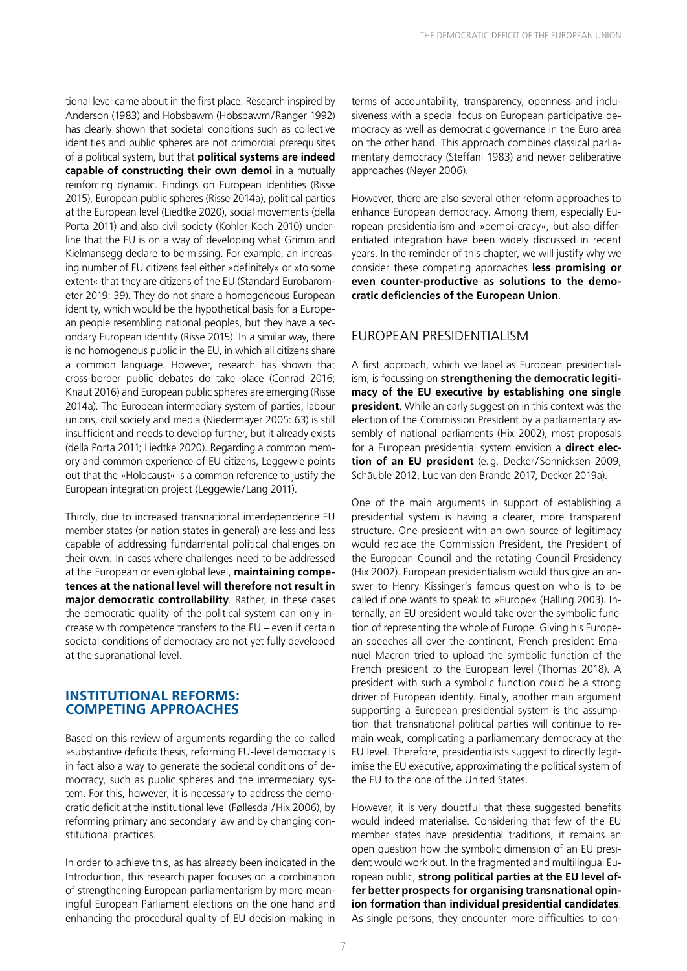tional level came about in the first place. Research inspired by Anderson (1983) and Hobsbawm (Hobsbawm/Ranger 1992) has clearly shown that societal conditions such as collective identities and public spheres are not primordial prerequisites of a political system, but that **political systems are indeed capable of constructing their own demoi** in a mutually reinforcing dynamic. Findings on European identities (Risse 2015), European public spheres (Risse 2014a), political parties at the European level (Liedtke 2020), social movements (della Porta 2011) and also civil society (Kohler-Koch 2010) underline that the EU is on a way of developing what Grimm and Kielmansegg declare to be missing. For example, an increasing number of EU citizens feel either »definitely« or »to some extent« that they are citizens of the EU (Standard Eurobarometer 2019: 39). They do not share a homogeneous European identity, which would be the hypothetical basis for a European people resembling national peoples, but they have a secondary European identity (Risse 2015). In a similar way, there is no homogenous public in the EU, in which all citizens share a common language. However, research has shown that cross-border public debates do take place (Conrad 2016; Knaut 2016) and European public spheres are emerging (Risse 2014a). The European intermediary system of parties, labour unions, civil society and media (Niedermayer 2005: 63) is still insufficient and needs to develop further, but it already exists (della Porta 2011; Liedtke 2020). Regarding a common memory and common experience of EU citizens, Leggewie points out that the »Holocaust« is a common reference to justify the European integration project (Leggewie/Lang 2011).

Thirdly, due to increased transnational interdependence EU member states (or nation states in general) are less and less capable of addressing fundamental political challenges on their own. In cases where challenges need to be addressed at the European or even global level, **maintaining competences at the national level will therefore not result in major democratic controllability**. Rather, in these cases the democratic quality of the political system can only increase with competence transfers to the EU – even if certain societal conditions of democracy are not yet fully developed at the supranational level.

#### **INSTITUTIONAL REFORMS: COMPETING APPROACHES**

Based on this review of arguments regarding the co-called »substantive deficit« thesis, reforming EU-level democracy is in fact also a way to generate the societal conditions of democracy, such as public spheres and the intermediary system. For this, however, it is necessary to address the democratic deficit at the institutional level (Føllesdal/Hix 2006), by reforming primary and secondary law and by changing constitutional practices.

In order to achieve this, as has already been indicated in the Introduction, this research paper focuses on a combination of strengthening European parliamentarism by more meaningful European Parliament elections on the one hand and enhancing the procedural quality of EU decision-making in terms of accountability, transparency, openness and inclusiveness with a special focus on European participative democracy as well as democratic governance in the Euro area on the other hand. This approach combines classical parliamentary democracy (Steffani 1983) and newer deliberative approaches (Neyer 2006).

However, there are also several other reform approaches to enhance European democracy. Among them, especially European presidentialism and »demoi-cracy«, but also differentiated integration have been widely discussed in recent years. In the reminder of this chapter, we will justify why we consider these competing approaches **less promising or even counter-productive as solutions to the democratic deficiencies of the European Union**.

#### EUROPEAN PRESIDENTIALISM

A first approach, which we label as European presidentialism, is focussing on **strengthening the democratic legitimacy of the EU executive by establishing one single president**. While an early suggestion in this context was the election of the Commission President by a parliamentary assembly of national parliaments (Hix 2002), most proposals for a European presidential system envision a **direct election of an EU president** (e.g. Decker/Sonnicksen 2009, Schäuble 2012, Luc van den Brande 2017, Decker 2019a).

One of the main arguments in support of establishing a presidential system is having a clearer, more transparent structure. One president with an own source of legitimacy would replace the Commission President, the President of the European Council and the rotating Council Presidency (Hix 2002). European presidentialism would thus give an answer to Henry Kissinger's famous question who is to be called if one wants to speak to »Europe« (Halling 2003). Internally, an EU president would take over the symbolic function of representing the whole of Europe. Giving his European speeches all over the continent, French president Emanuel Macron tried to upload the symbolic function of the French president to the European level (Thomas 2018). A president with such a symbolic function could be a strong driver of European identity. Finally, another main argument supporting a European presidential system is the assumption that transnational political parties will continue to remain weak, complicating a parliamentary democracy at the EU level. Therefore, presidentialists suggest to directly legitimise the EU executive, approximating the political system of the EU to the one of the United States.

However, it is very doubtful that these suggested benefits would indeed materialise. Considering that few of the EU member states have presidential traditions, it remains an open question how the symbolic dimension of an EU president would work out. In the fragmented and multilingual European public, **strong political parties at the EU level offer better prospects for organising transnational opinion formation than individual presidential candidates**. As single persons, they encounter more difficulties to con-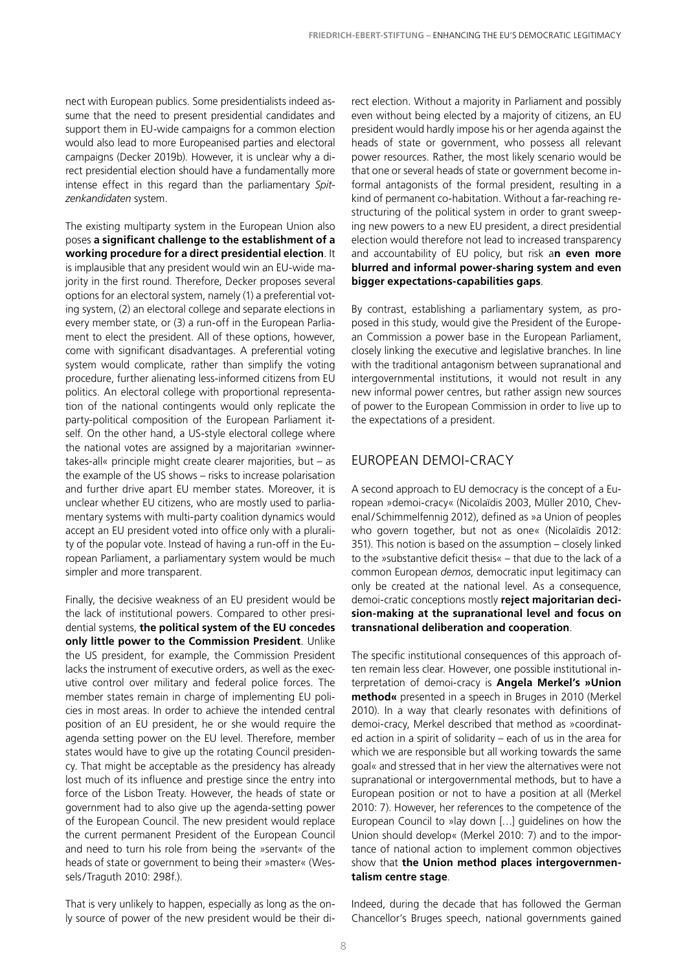nect with European publics. Some presidentialists indeed assume that the need to present presidential candidates and support them in EU-wide campaigns for a common election would also lead to more Europeanised parties and electoral campaigns (Decker 2019b). However, it is unclear why a direct presidential election should have a fundamentally more intense effect in this regard than the parliamentary *Spitzenkandidaten* system.

The existing multiparty system in the European Union also poses **a significant challenge to the establishment of a working procedure for a direct presidential election**. It is implausible that any president would win an EU-wide majority in the first round. Therefore, Decker proposes several options for an electoral system, namely (1) a preferential voting system, (2) an electoral college and separate elections in every member state, or (3) a run-off in the European Parliament to elect the president. All of these options, however, come with significant disadvantages. A preferential voting system would complicate, rather than simplify the voting procedure, further alienating less-informed citizens from EU politics. An electoral college with proportional representation of the national contingents would only replicate the party-political composition of the European Parliament itself. On the other hand, a US-style electoral college where the national votes are assigned by a majoritarian »winnertakes-all« principle might create clearer majorities, but – as the example of the US shows – risks to increase polarisation and further drive apart EU member states. Moreover, it is unclear whether EU citizens, who are mostly used to parliamentary systems with multi-party coalition dynamics would accept an EU president voted into office only with a plurality of the popular vote. Instead of having a run-off in the European Parliament, a parliamentary system would be much simpler and more transparent.

Finally, the decisive weakness of an EU president would be the lack of institutional powers. Compared to other presidential systems, **the political system of the EU concedes only little power to the Commission President**. Unlike the US president, for example, the Commission President lacks the instrument of executive orders, as well as the executive control over military and federal police forces. The member states remain in charge of implementing EU policies in most areas. In order to achieve the intended central position of an EU president, he or she would require the agenda setting power on the EU level. Therefore, member states would have to give up the rotating Council presidency. That might be acceptable as the presidency has already lost much of its influence and prestige since the entry into force of the Lisbon Treaty. However, the heads of state or government had to also give up the agenda-setting power of the European Council. The new president would replace the current permanent President of the European Council and need to turn his role from being the »servant« of the heads of state or government to being their »master« (Wessels/Traguth 2010: 298f.).

That is very unlikely to happen, especially as long as the only source of power of the new president would be their di-

rect election. Without a majority in Parliament and possibly even without being elected by a majority of citizens, an EU president would hardly impose his or her agenda against the heads of state or government, who possess all relevant power resources. Rather, the most likely scenario would be that one or several heads of state or government become informal antagonists of the formal president, resulting in a kind of permanent co-habitation. Without a far-reaching restructuring of the political system in order to grant sweeping new powers to a new EU president, a direct presidential election would therefore not lead to increased transparency and accountability of EU policy, but risk a**n even more blurred and informal power-sharing system and even bigger expectations-capabilities gaps**.

By contrast, establishing a parliamentary system, as proposed in this study, would give the President of the European Commission a power base in the European Parliament, closely linking the executive and legislative branches. In line with the traditional antagonism between supranational and intergovernmental institutions, it would not result in any new informal power centres, but rather assign new sources of power to the European Commission in order to live up to the expectations of a president.

### EUROPEAN DEMOI-CRACY

A second approach to EU democracy is the concept of a European »demoi-cracy« (Nicolaïdis 2003, Müller 2010, Chevenal/Schimmelfennig 2012), defined as »a Union of peoples who govern together, but not as one« (Nicolaïdis 2012: 351). This notion is based on the assumption – closely linked to the »substantive deficit thesis« – that due to the lack of a common European *demos*, democratic input legitimacy can only be created at the national level. As a consequence, demoi-cratic conceptions mostly **reject majoritarian decision-making at the supranational level and focus on transnational deliberation and cooperation**.

The specific institutional consequences of this approach often remain less clear. However, one possible institutional interpretation of demoi-cracy is **Angela Merkel's »Union method«** presented in a speech in Bruges in 2010 (Merkel 2010). In a way that clearly resonates with definitions of demoi-cracy, Merkel described that method as »coordinated action in a spirit of solidarity – each of us in the area for which we are responsible but all working towards the same goal« and stressed that in her view the alternatives were not supranational or intergovernmental methods, but to have a European position or not to have a position at all (Merkel 2010: 7). However, her references to the competence of the European Council to »lay down […] guidelines on how the Union should develop« (Merkel 2010: 7) and to the importance of national action to implement common objectives show that **the Union method places intergovernmentalism centre stage**.

Indeed, during the decade that has followed the German Chancellor's Bruges speech, national governments gained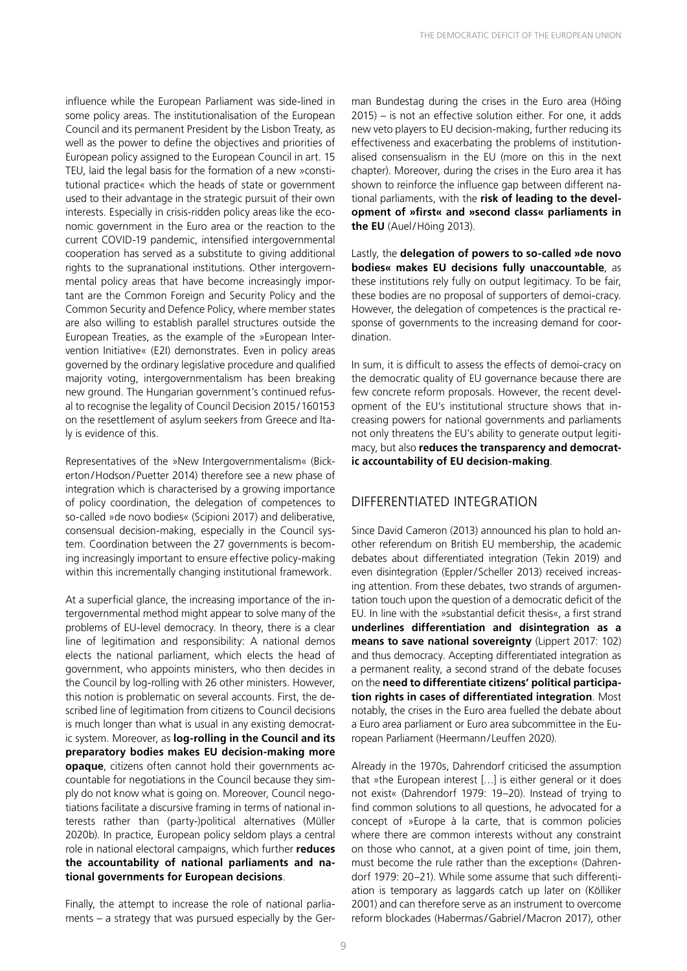influence while the European Parliament was side-lined in some policy areas. The institutionalisation of the European Council and its permanent President by the Lisbon Treaty, as well as the power to define the objectives and priorities of European policy assigned to the European Council in art. 15 TEU, laid the legal basis for the formation of a new »constitutional practice« which the heads of state or government used to their advantage in the strategic pursuit of their own interests. Especially in crisis-ridden policy areas like the economic government in the Euro area or the reaction to the current COVID-19 pandemic, intensified intergovernmental cooperation has served as a substitute to giving additional rights to the supranational institutions. Other intergovernmental policy areas that have become increasingly important are the Common Foreign and Security Policy and the Common Security and Defence Policy, where member states are also willing to establish parallel structures outside the European Treaties, as the example of the »European Intervention Initiative« (E2I) demonstrates. Even in policy areas governed by the ordinary legislative procedure and qualified majority voting, intergovernmentalism has been breaking new ground. The Hungarian government's continued refusal to recognise the legality of Council Decision 2015/160153 on the resettlement of asylum seekers from Greece and Italy is evidence of this.

Representatives of the »New Intergovernmentalism« (Bickerton/Hodson/Puetter 2014) therefore see a new phase of integration which is characterised by a growing importance of policy coordination, the delegation of competences to so-called »de novo bodies« (Scipioni 2017) and deliberative, consensual decision-making, especially in the Council system. Coordination between the 27 governments is becoming increasingly important to ensure effective policy-making within this incrementally changing institutional framework.

At a superficial glance, the increasing importance of the intergovernmental method might appear to solve many of the problems of EU-level democracy. In theory, there is a clear line of legitimation and responsibility: A national demos elects the national parliament, which elects the head of government, who appoints ministers, who then decides in the Council by log-rolling with 26 other ministers. However, this notion is problematic on several accounts. First, the described line of legitimation from citizens to Council decisions is much longer than what is usual in any existing democratic system. Moreover, as **log-rolling in the Council and its preparatory bodies makes EU decision-making more opaque**, citizens often cannot hold their governments accountable for negotiations in the Council because they simply do not know what is going on. Moreover, Council negotiations facilitate a discursive framing in terms of national interests rather than (party-)political alternatives (Müller 2020b). In practice, European policy seldom plays a central role in national electoral campaigns, which further **reduces the accountability of national parliaments and national governments for European decisions**.

Finally, the attempt to increase the role of national parliaments – a strategy that was pursued especially by the Ger-

man Bundestag during the crises in the Euro area (Höing 2015) – is not an effective solution either. For one, it adds new veto players to EU decision-making, further reducing its effectiveness and exacerbating the problems of institutionalised consensualism in the EU (more on this in the next chapter). Moreover, during the crises in the Euro area it has shown to reinforce the influence gap between different national parliaments, with the **risk of leading to the development of »first« and »second class« parliaments in the EU** (Auel/Höing 2013).

Lastly, the **delegation of powers to so-called »de novo bodies« makes EU decisions fully unaccountable**, as these institutions rely fully on output legitimacy. To be fair, these bodies are no proposal of supporters of demoi-cracy. However, the delegation of competences is the practical response of governments to the increasing demand for coordination.

In sum, it is difficult to assess the effects of demoi-cracy on the democratic quality of EU governance because there are few concrete reform proposals. However, the recent development of the EU's institutional structure shows that increasing powers for national governments and parliaments not only threatens the EU's ability to generate output legitimacy, but also **reduces the transparency and democratic accountability of EU decision-making**.

#### DIFFERENTIATED INTEGRATION

Since David Cameron (2013) announced his plan to hold another referendum on British EU membership, the academic debates about differentiated integration (Tekin 2019) and even disintegration (Eppler/Scheller 2013) received increasing attention. From these debates, two strands of argumentation touch upon the question of a democratic deficit of the EU. In line with the »substantial deficit thesis«, a first strand **underlines differentiation and disintegration as a means to save national sovereignty** (Lippert 2017: 102) and thus democracy. Accepting differentiated integration as a permanent reality, a second strand of the debate focuses on the **need to differentiate citizens' political participation rights in cases of differentiated integration**. Most notably, the crises in the Euro area fuelled the debate about a Euro area parliament or Euro area subcommittee in the European Parliament (Heermann/ Leuffen 2020).

Already in the 1970s, Dahrendorf criticised the assumption that »the European interest […] is either general or it does not exist« (Dahrendorf 1979: 19–20). Instead of trying to find common solutions to all questions, he advocated for a concept of »Europe à la carte, that is common policies where there are common interests without any constraint on those who cannot, at a given point of time, join them, must become the rule rather than the exception« (Dahrendorf 1979: 20–21). While some assume that such differentiation is temporary as laggards catch up later on (Kölliker 2001) and can therefore serve as an instrument to overcome reform blockades (Habermas/Gabriel/Macron 2017), other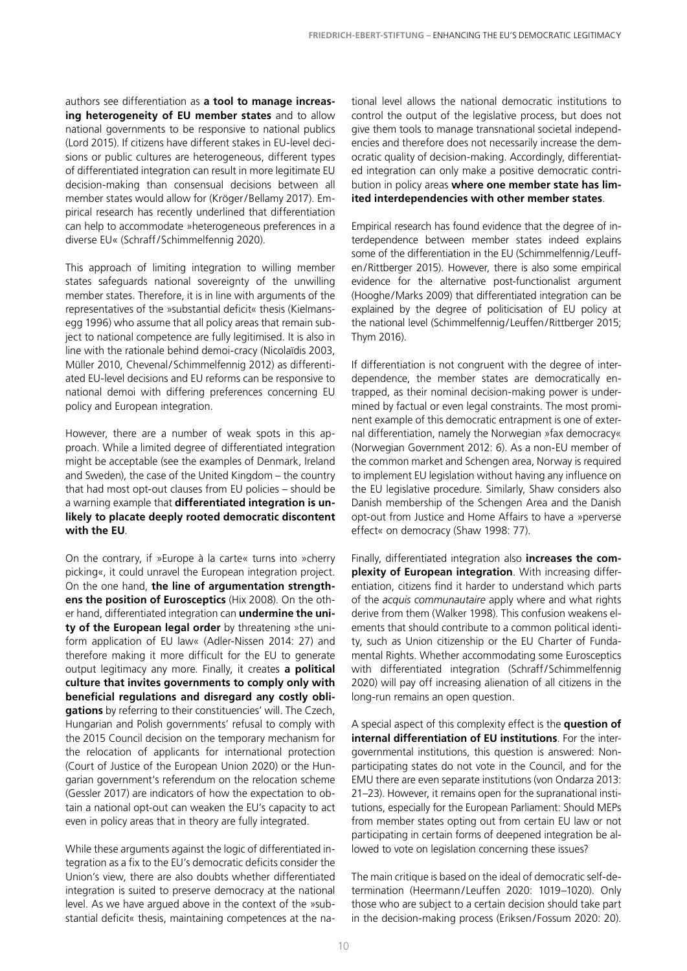authors see differentiation as **a tool to manage increasing heterogeneity of EU member states** and to allow national governments to be responsive to national publics (Lord 2015). If citizens have different stakes in EU-level decisions or public cultures are heterogeneous, different types of differentiated integration can result in more legitimate EU decision-making than consensual decisions between all member states would allow for (Kröger/Bellamy 2017). Empirical research has recently underlined that differentiation can help to accommodate »heterogeneous preferences in a diverse EU« (Schraff/Schimmelfennig 2020).

This approach of limiting integration to willing member states safeguards national sovereignty of the unwilling member states. Therefore, it is in line with arguments of the representatives of the »substantial deficit« thesis (Kielmansegg 1996) who assume that all policy areas that remain subject to national competence are fully legitimised. It is also in line with the rationale behind demoi-cracy (Nicolaïdis 2003, Müller 2010, Chevenal/Schimmelfennig 2012) as differentiated EU-level decisions and EU reforms can be responsive to national demoi with differing preferences concerning EU policy and European integration.

However, there are a number of weak spots in this approach. While a limited degree of differentiated integration might be acceptable (see the examples of Denmark, Ireland and Sweden), the case of the United Kingdom – the country that had most opt-out clauses from EU policies – should be a warning example that **differentiated integration is unlikely to placate deeply rooted democratic discontent with the EU**.

On the contrary, if »Europe à la carte« turns into »cherry picking«, it could unravel the European integration project. On the one hand, **the line of argumentation strengthens the position of Eurosceptics** (Hix 2008). On the other hand, differentiated integration can **undermine the unity of the European legal order** by threatening »the uniform application of EU law« (Adler-Nissen 2014: 27) and therefore making it more difficult for the EU to generate output legitimacy any more. Finally, it creates **a political culture that invites governments to comply only with beneficial regulations and disregard any costly obligations** by referring to their constituencies' will. The Czech, Hungarian and Polish governments' refusal to comply with the 2015 Council decision on the temporary mechanism for the relocation of applicants for international protection (Court of Justice of the European Union 2020) or the Hungarian government's referendum on the relocation scheme (Gessler 2017) are indicators of how the expectation to obtain a national opt-out can weaken the EU's capacity to act even in policy areas that in theory are fully integrated.

While these arguments against the logic of differentiated integration as a fix to the EU's democratic deficits consider the Union's view, there are also doubts whether differentiated integration is suited to preserve democracy at the national level. As we have argued above in the context of the »substantial deficit« thesis, maintaining competences at the national level allows the national democratic institutions to control the output of the legislative process, but does not give them tools to manage transnational societal independencies and therefore does not necessarily increase the democratic quality of decision-making. Accordingly, differentiated integration can only make a positive democratic contribution in policy areas **where one member state has limited interdependencies with other member states**.

Empirical research has found evidence that the degree of interdependence between member states indeed explains some of the differentiation in the EU (Schimmelfennig/Leuffen/Rittberger 2015). However, there is also some empirical evidence for the alternative post-functionalist argument (Hooghe/Marks 2009) that differentiated integration can be explained by the degree of politicisation of EU policy at the national level (Schimmelfennig/Leuffen/Rittberger 2015; Thym 2016).

If differentiation is not congruent with the degree of interdependence, the member states are democratically entrapped, as their nominal decision-making power is undermined by factual or even legal constraints. The most prominent example of this democratic entrapment is one of external differentiation, namely the Norwegian »fax democracy« (Norwegian Government 2012: 6). As a non-EU member of the common market and Schengen area, Norway is required to implement EU legislation without having any influence on the EU legislative procedure. Similarly, Shaw considers also Danish membership of the Schengen Area and the Danish opt-out from Justice and Home Affairs to have a »perverse effect« on democracy (Shaw 1998: 77).

Finally, differentiated integration also **increases the complexity of European integration**. With increasing differentiation, citizens find it harder to understand which parts of the *acquis communautaire* apply where and what rights derive from them (Walker 1998). This confusion weakens elements that should contribute to a common political identity, such as Union citizenship or the EU Charter of Fundamental Rights. Whether accommodating some Eurosceptics with differentiated integration (Schraff/Schimmelfennig 2020) will pay off increasing alienation of all citizens in the long-run remains an open question.

A special aspect of this complexity effect is the **question of internal differentiation of EU institutions**. For the intergovernmental institutions, this question is answered: Nonparticipating states do not vote in the Council, and for the EMU there are even separate institutions (von Ondarza 2013: 21–23). However, it remains open for the supranational institutions, especially for the European Parliament: Should MEPs from member states opting out from certain EU law or not participating in certain forms of deepened integration be allowed to vote on legislation concerning these issues?

The main critique is based on the ideal of democratic self-determination (Heermann/ Leuffen 2020: 1019–1020). Only those who are subject to a certain decision should take part in the decision-making process (Eriksen/Fossum 2020: 20).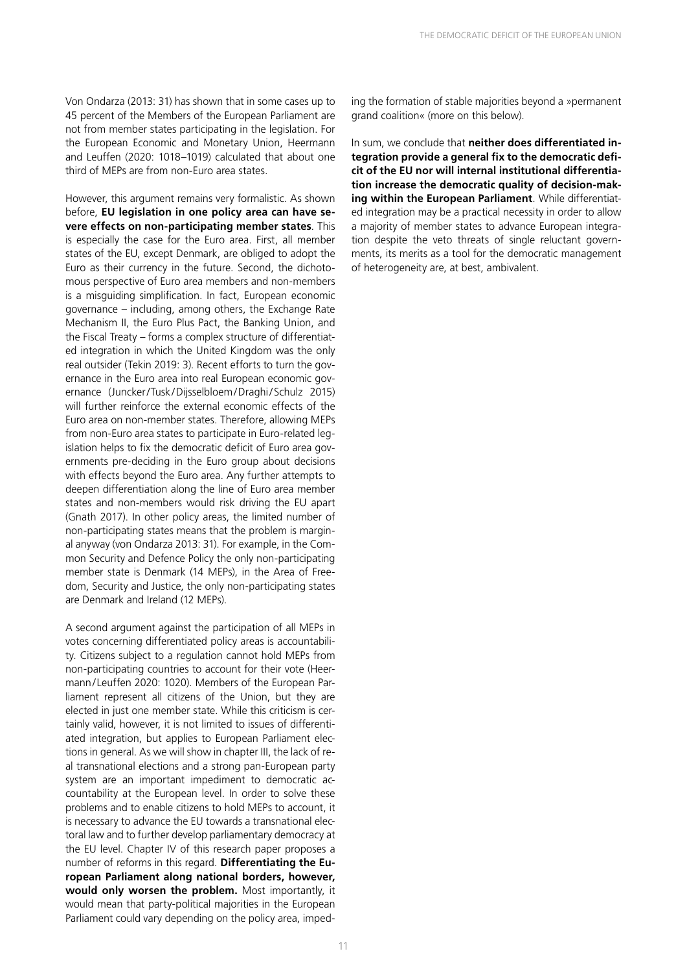Von Ondarza (2013: 31) has shown that in some cases up to 45 percent of the Members of the European Parliament are not from member states participating in the legislation. For the European Economic and Monetary Union, Heermann and Leuffen (2020: 1018–1019) calculated that about one third of MEPs are from non-Euro area states.

However, this argument remains very formalistic. As shown before, **EU legislation in one policy area can have severe effects on non-participating member states**. This is especially the case for the Euro area. First, all member states of the EU, except Denmark, are obliged to adopt the Euro as their currency in the future. Second, the dichotomous perspective of Euro area members and non-members is a misguiding simplification. In fact, European economic governance – including, among others, the Exchange Rate Mechanism II, the Euro Plus Pact, the Banking Union, and the Fiscal Treaty – forms a complex structure of differentiated integration in which the United Kingdom was the only real outsider (Tekin 2019: 3). Recent efforts to turn the governance in the Euro area into real European economic governance (Juncker/Tusk/Dijsselbloem/Draghi/Schulz 2015) will further reinforce the external economic effects of the Euro area on non-member states. Therefore, allowing MEPs from non-Euro area states to participate in Euro-related legislation helps to fix the democratic deficit of Euro area governments pre-deciding in the Euro group about decisions with effects beyond the Euro area. Any further attempts to deepen differentiation along the line of Euro area member states and non-members would risk driving the EU apart (Gnath 2017). In other policy areas, the limited number of non-participating states means that the problem is marginal anyway (von Ondarza 2013: 31). For example, in the Common Security and Defence Policy the only non-participating member state is Denmark (14 MEPs), in the Area of Freedom, Security and Justice, the only non-participating states are Denmark and Ireland (12 MEPs).

A second argument against the participation of all MEPs in votes concerning differentiated policy areas is accountability. Citizens subject to a regulation cannot hold MEPs from non-participating countries to account for their vote (Heermann/ Leuffen 2020: 1020). Members of the European Parliament represent all citizens of the Union, but they are elected in just one member state. While this criticism is certainly valid, however, it is not limited to issues of differentiated integration, but applies to European Parliament elections in general. As we will show in chapter III, the lack of real transnational elections and a strong pan-European party system are an important impediment to democratic accountability at the European level. In order to solve these problems and to enable citizens to hold MEPs to account, it is necessary to advance the EU towards a transnational electoral law and to further develop parliamentary democracy at the EU level. Chapter IV of this research paper proposes a number of reforms in this regard. **Differentiating the European Parliament along national borders, however, would only worsen the problem.** Most importantly, it would mean that party-political majorities in the European Parliament could vary depending on the policy area, impeding the formation of stable majorities beyond a »permanent grand coalition« (more on this below).

In sum, we conclude that **neither does differentiated integration provide a general fix to the democratic deficit of the EU nor will internal institutional differentiation increase the democratic quality of decision-making within the European Parliament**. While differentiated integration may be a practical necessity in order to allow a majority of member states to advance European integration despite the veto threats of single reluctant governments, its merits as a tool for the democratic management of heterogeneity are, at best, ambivalent.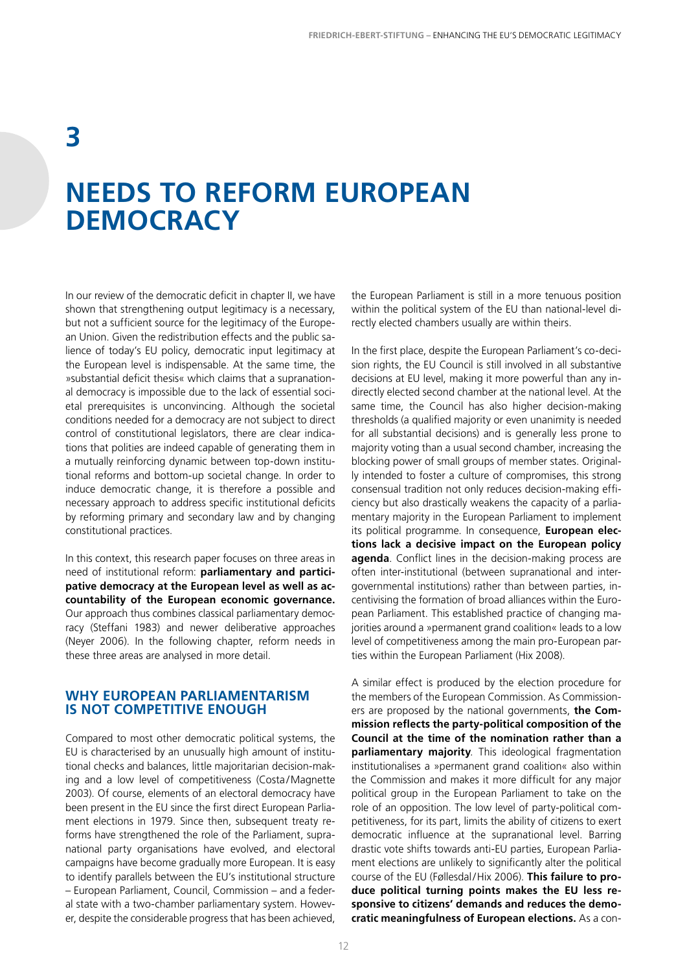### **3**

### **NEEDS TO REFORM EUROPEAN DEMOCRACY**

In our review of the democratic deficit in chapter II, we have shown that strengthening output legitimacy is a necessary, but not a sufficient source for the legitimacy of the European Union. Given the redistribution effects and the public salience of today's EU policy, democratic input legitimacy at the European level is indispensable. At the same time, the »substantial deficit thesis« which claims that a supranational democracy is impossible due to the lack of essential societal prerequisites is unconvincing. Although the societal conditions needed for a democracy are not subject to direct control of constitutional legislators, there are clear indications that polities are indeed capable of generating them in a mutually reinforcing dynamic between top-down institutional reforms and bottom-up societal change. In order to induce democratic change, it is therefore a possible and necessary approach to address specific institutional deficits by reforming primary and secondary law and by changing constitutional practices.

In this context, this research paper focuses on three areas in need of institutional reform: **parliamentary and participative democracy at the European level as well as accountability of the European economic governance.** Our approach thus combines classical parliamentary democracy (Steffani 1983) and newer deliberative approaches (Neyer 2006). In the following chapter, reform needs in these three areas are analysed in more detail.

#### **WHY EUROPEAN PARLIAMENTARISM IS NOT COMPETITIVE ENOUGH**

Compared to most other democratic political systems, the EU is characterised by an unusually high amount of institutional checks and balances, little majoritarian decision-making and a low level of competitiveness (Costa/Magnette 2003). Of course, elements of an electoral democracy have been present in the EU since the first direct European Parliament elections in 1979. Since then, subsequent treaty reforms have strengthened the role of the Parliament, supranational party organisations have evolved, and electoral campaigns have become gradually more European. It is easy to identify parallels between the EU's institutional structure – European Parliament, Council, Commission – and a federal state with a two-chamber parliamentary system. However, despite the considerable progress that has been achieved, the European Parliament is still in a more tenuous position within the political system of the EU than national-level directly elected chambers usually are within theirs.

In the first place, despite the European Parliament's co-decision rights, the EU Council is still involved in all substantive decisions at EU level, making it more powerful than any indirectly elected second chamber at the national level. At the same time, the Council has also higher decision-making thresholds (a qualified majority or even unanimity is needed for all substantial decisions) and is generally less prone to majority voting than a usual second chamber, increasing the blocking power of small groups of member states. Originally intended to foster a culture of compromises, this strong consensual tradition not only reduces decision-making efficiency but also drastically weakens the capacity of a parliamentary majority in the European Parliament to implement its political programme. In consequence, **European elections lack a decisive impact on the European policy agenda**. Conflict lines in the decision-making process are often inter-institutional (between supranational and intergovernmental institutions) rather than between parties, incentivising the formation of broad alliances within the European Parliament. This established practice of changing majorities around a »permanent grand coalition« leads to a low level of competitiveness among the main pro-European parties within the European Parliament (Hix 2008).

A similar effect is produced by the election procedure for the members of the European Commission. As Commissioners are proposed by the national governments, **the Commission reflects the party-political composition of the Council at the time of the nomination rather than a parliamentary majority**. This ideological fragmentation institutionalises a »permanent grand coalition« also within the Commission and makes it more difficult for any major political group in the European Parliament to take on the role of an opposition. The low level of party-political competitiveness, for its part, limits the ability of citizens to exert democratic influence at the supranational level. Barring drastic vote shifts towards anti-EU parties, European Parliament elections are unlikely to significantly alter the political course of the EU (Føllesdal/Hix 2006). **This failure to produce political turning points makes the EU less responsive to citizens' demands and reduces the democratic meaningfulness of European elections.** As a con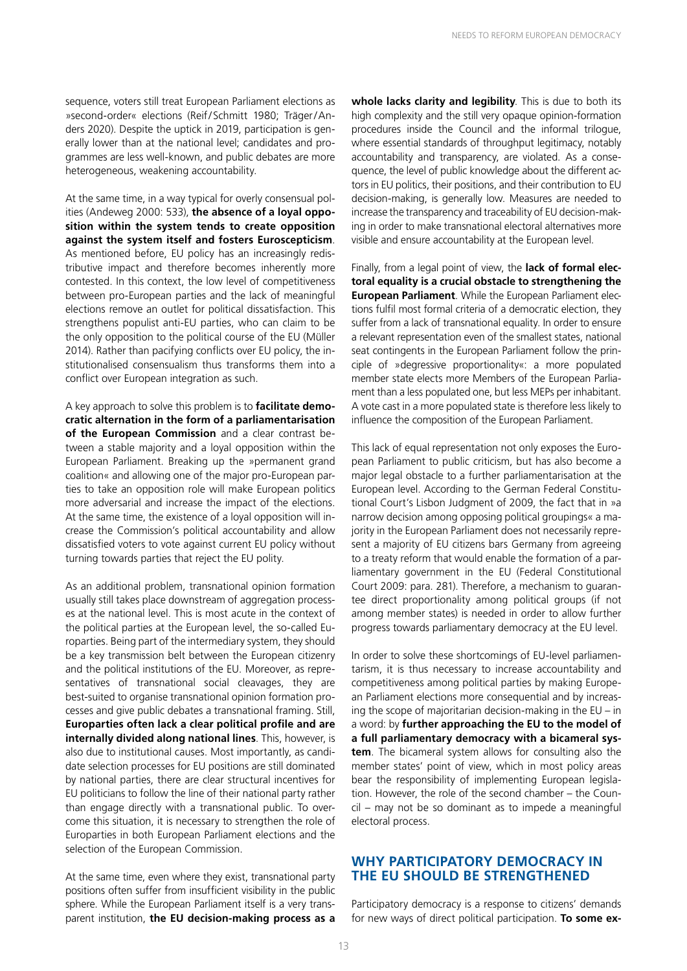sequence, voters still treat European Parliament elections as »second-order« elections (Reif/Schmitt 1980; Träger/Anders 2020). Despite the uptick in 2019, participation is generally lower than at the national level; candidates and programmes are less well-known, and public debates are more heterogeneous, weakening accountability.

At the same time, in a way typical for overly consensual polities (Andeweg 2000: 533), **the absence of a loyal opposition within the system tends to create opposition against the system itself and fosters Euroscepticism**. As mentioned before, EU policy has an increasingly redistributive impact and therefore becomes inherently more contested. In this context, the low level of competitiveness between pro-European parties and the lack of meaningful elections remove an outlet for political dissatisfaction. This strengthens populist anti-EU parties, who can claim to be the only opposition to the political course of the EU (Müller 2014). Rather than pacifying conflicts over EU policy, the institutionalised consensualism thus transforms them into a conflict over European integration as such.

A key approach to solve this problem is to **facilitate democratic alternation in the form of a parliamentarisation of the European Commission** and a clear contrast between a stable majority and a loyal opposition within the European Parliament. Breaking up the »permanent grand coalition« and allowing one of the major pro-European parties to take an opposition role will make European politics more adversarial and increase the impact of the elections. At the same time, the existence of a loyal opposition will increase the Commission's political accountability and allow dissatisfied voters to vote against current EU policy without turning towards parties that reject the EU polity.

As an additional problem, transnational opinion formation usually still takes place downstream of aggregation processes at the national level. This is most acute in the context of the political parties at the European level, the so-called Europarties. Being part of the intermediary system, they should be a key transmission belt between the European citizenry and the political institutions of the EU. Moreover, as representatives of transnational social cleavages, they are best-suited to organise transnational opinion formation processes and give public debates a transnational framing. Still, **Europarties often lack a clear political profile and are internally divided along national lines**. This, however, is also due to institutional causes. Most importantly, as candidate selection processes for EU positions are still dominated by national parties, there are clear structural incentives for EU politicians to follow the line of their national party rather than engage directly with a transnational public. To overcome this situation, it is necessary to strengthen the role of Europarties in both European Parliament elections and the selection of the European Commission.

At the same time, even where they exist, transnational party positions often suffer from insufficient visibility in the public sphere. While the European Parliament itself is a very transparent institution, **the EU decision-making process as a**  **whole lacks clarity and legibility**. This is due to both its high complexity and the still very opaque opinion-formation procedures inside the Council and the informal trilogue, where essential standards of throughput legitimacy, notably accountability and transparency, are violated. As a consequence, the level of public knowledge about the different actors in EU politics, their positions, and their contribution to EU decision-making, is generally low. Measures are needed to increase the transparency and traceability of EU decision-making in order to make transnational electoral alternatives more visible and ensure accountability at the European level.

Finally, from a legal point of view, the **lack of formal electoral equality is a crucial obstacle to strengthening the European Parliament**. While the European Parliament elections fulfil most formal criteria of a democratic election, they suffer from a lack of transnational equality. In order to ensure a relevant representation even of the smallest states, national seat contingents in the European Parliament follow the principle of »degressive proportionality«: a more populated member state elects more Members of the European Parliament than a less populated one, but less MEPs per inhabitant. A vote cast in a more populated state is therefore less likely to influence the composition of the European Parliament.

This lack of equal representation not only exposes the European Parliament to public criticism, but has also become a major legal obstacle to a further parliamentarisation at the European level. According to the German Federal Constitutional Court's Lisbon Judgment of 2009, the fact that in »a narrow decision among opposing political groupings« a majority in the European Parliament does not necessarily represent a majority of EU citizens bars Germany from agreeing to a treaty reform that would enable the formation of a parliamentary government in the EU (Federal Constitutional Court 2009: para. 281). Therefore, a mechanism to guarantee direct proportionality among political groups (if not among member states) is needed in order to allow further progress towards parliamentary democracy at the EU level.

In order to solve these shortcomings of EU-level parliamentarism, it is thus necessary to increase accountability and competitiveness among political parties by making European Parliament elections more consequential and by increasing the scope of majoritarian decision-making in the EU – in a word: by **further approaching the EU to the model of a full parliamentary democracy with a bicameral system**. The bicameral system allows for consulting also the member states' point of view, which in most policy areas bear the responsibility of implementing European legislation. However, the role of the second chamber – the Council – may not be so dominant as to impede a meaningful electoral process.

#### **WHY PARTICIPATORY DEMOCRACY IN THE EU SHOULD BE STRENGTHENED**

Participatory democracy is a response to citizens' demands for new ways of direct political participation. **To some ex-**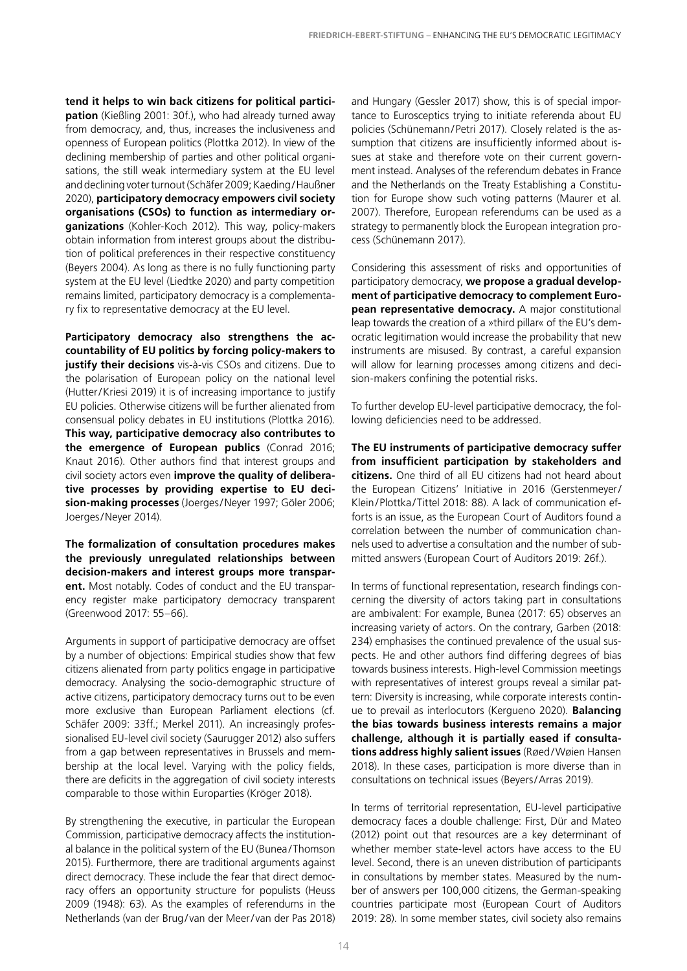**tend it helps to win back citizens for political participation** (Kießling 2001: 30f.), who had already turned away from democracy, and, thus, increases the inclusiveness and openness of European politics (Plottka 2012). In view of the declining membership of parties and other political organisations, the still weak intermediary system at the EU level and declining voter turnout (Schäfer 2009; Kaeding/Haußner 2020), **participatory democracy empowers civil society organisations (CSOs) to function as intermediary organizations** (Kohler-Koch 2012). This way, policy-makers obtain information from interest groups about the distribution of political preferences in their respective constituency (Beyers 2004). As long as there is no fully functioning party system at the EU level (Liedtke 2020) and party competition remains limited, participatory democracy is a complementary fix to representative democracy at the EU level.

**Participatory democracy also strengthens the accountability of EU politics by forcing policy-makers to justify their decisions** vis-à-vis CSOs and citizens. Due to the polarisation of European policy on the national level (Hutter/Kriesi 2019) it is of increasing importance to justify EU policies. Otherwise citizens will be further alienated from consensual policy debates in EU institutions (Plottka 2016). **This way, participative democracy also contributes to the emergence of European publics** (Conrad 2016; Knaut 2016). Other authors find that interest groups and civil society actors even **improve the quality of deliberative processes by providing expertise to EU decision-making processes** (Joerges/Neyer 1997; Göler 2006; Joerges/Neyer 2014).

**The formalization of consultation procedures makes the previously unregulated relationships between decision-makers and interest groups more transparent.** Most notably. Codes of conduct and the EU transparency register make participatory democracy transparent (Greenwood 2017: 55–66).

Arguments in support of participative democracy are offset by a number of objections: Empirical studies show that few citizens alienated from party politics engage in participative democracy. Analysing the socio-demographic structure of active citizens, participatory democracy turns out to be even more exclusive than European Parliament elections (cf. Schäfer 2009: 33ff.; Merkel 2011). An increasingly professionalised EU-level civil society (Saurugger 2012) also suffers from a gap between representatives in Brussels and membership at the local level. Varying with the policy fields, there are deficits in the aggregation of civil society interests comparable to those within Europarties (Kröger 2018).

By strengthening the executive, in particular the European Commission, participative democracy affects the institutional balance in the political system of the EU (Bunea /Thomson 2015). Furthermore, there are traditional arguments against direct democracy. These include the fear that direct democracy offers an opportunity structure for populists (Heuss 2009 (1948): 63). As the examples of referendums in the Netherlands (van der Brug/ van der Meer/ van der Pas 2018)

and Hungary (Gessler 2017) show, this is of special importance to Eurosceptics trying to initiate referenda about EU policies (Schünemann/Petri 2017). Closely related is the assumption that citizens are insufficiently informed about issues at stake and therefore vote on their current government instead. Analyses of the referendum debates in France and the Netherlands on the Treaty Establishing a Constitution for Europe show such voting patterns (Maurer et al. 2007). Therefore, European referendums can be used as a strategy to permanently block the European integration process (Schünemann 2017).

Considering this assessment of risks and opportunities of participatory democracy, **we propose a gradual development of participative democracy to complement European representative democracy.** A major constitutional leap towards the creation of a »third pillar« of the EU's democratic legitimation would increase the probability that new instruments are misused. By contrast, a careful expansion will allow for learning processes among citizens and decision-makers confining the potential risks.

To further develop EU-level participative democracy, the following deficiencies need to be addressed.

**The EU instruments of participative democracy suffer from insufficient participation by stakeholders and citizens.** One third of all EU citizens had not heard about the European Citizens' Initiative in 2016 (Gerstenmeyer/ Klein/Plottka/Tittel 2018: 88). A lack of communication efforts is an issue, as the European Court of Auditors found a correlation between the number of communication channels used to advertise a consultation and the number of submitted answers (European Court of Auditors 2019: 26f.).

In terms of functional representation, research findings concerning the diversity of actors taking part in consultations are ambivalent: For example, Bunea (2017: 65) observes an increasing variety of actors. On the contrary, Garben (2018: 234) emphasises the continued prevalence of the usual suspects. He and other authors find differing degrees of bias towards business interests. High-level Commission meetings with representatives of interest groups reveal a similar pattern: Diversity is increasing, while corporate interests continue to prevail as interlocutors (Kergueno 2020). **Balancing the bias towards business interests remains a major challenge, although it is partially eased if consultations address highly salient issues** (Røed/Wøien Hansen 2018). In these cases, participation is more diverse than in consultations on technical issues (Beyers/Arras 2019).

In terms of territorial representation, EU-level participative democracy faces a double challenge: First, Dür and Mateo (2012) point out that resources are a key determinant of whether member state-level actors have access to the EU level. Second, there is an uneven distribution of participants in consultations by member states. Measured by the number of answers per 100,000 citizens, the German-speaking countries participate most (European Court of Auditors 2019: 28). In some member states, civil society also remains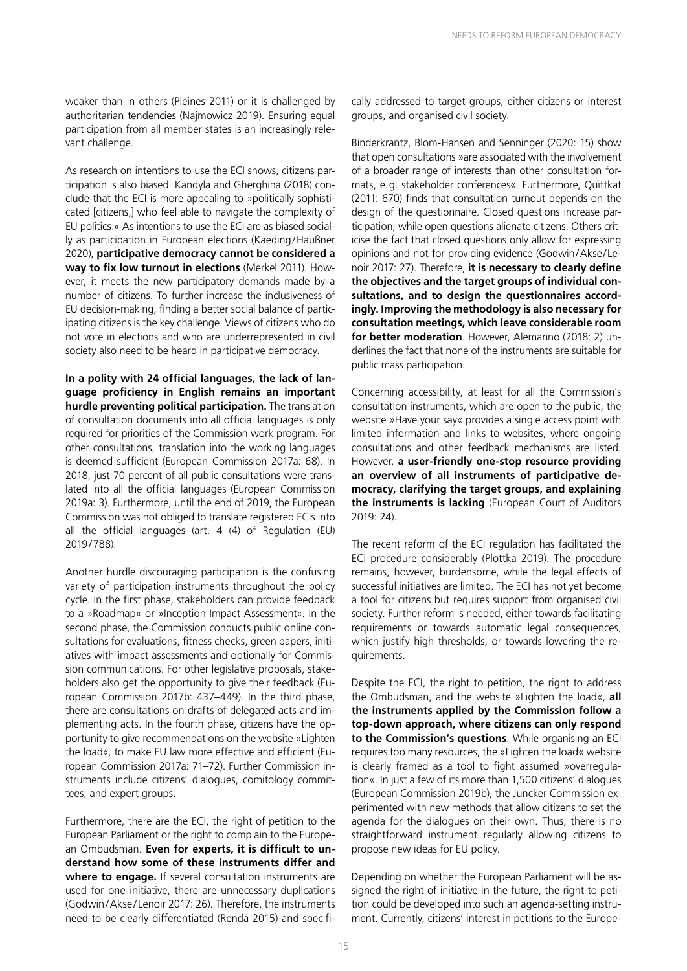weaker than in others (Pleines 2011) or it is challenged by authoritarian tendencies (Najmowicz 2019). Ensuring equal participation from all member states is an increasingly relevant challenge.

As research on intentions to use the ECI shows, citizens participation is also biased. Kandyla and Gherghina (2018) conclude that the ECI is more appealing to »politically sophisticated [citizens,] who feel able to navigate the complexity of EU politics.« As intentions to use the ECI are as biased socially as participation in European elections (Kaeding/Haußner 2020), **participative democracy cannot be considered a way to fix low turnout in elections** (Merkel 2011). However, it meets the new participatory demands made by a number of citizens. To further increase the inclusiveness of EU decision-making, finding a better social balance of participating citizens is the key challenge. Views of citizens who do not vote in elections and who are underrepresented in civil society also need to be heard in participative democracy.

**In a polity with 24 official languages, the lack of language proficiency in English remains an important hurdle preventing political participation.** The translation of consultation documents into all official languages is only required for priorities of the Commission work program. For other consultations, translation into the working languages is deemed sufficient (European Commission 2017a: 68). In 2018, just 70 percent of all public consultations were translated into all the official languages (European Commission 2019a: 3). Furthermore, until the end of 2019, the European Commission was not obliged to translate registered ECIs into all the official languages (art. 4 (4) of Regulation (EU) 2019/788).

Another hurdle discouraging participation is the confusing variety of participation instruments throughout the policy cycle. In the first phase, stakeholders can provide feedback to a »Roadmap« or »Inception Impact Assessment«. In the second phase, the Commission conducts public online consultations for evaluations, fitness checks, green papers, initiatives with impact assessments and optionally for Commission communications. For other legislative proposals, stakeholders also get the opportunity to give their feedback (European Commission 2017b: 437–449). In the third phase, there are consultations on drafts of delegated acts and implementing acts. In the fourth phase, citizens have the opportunity to give recommendations on the website »Lighten the load«, to make EU law more effective and efficient (European Commission 2017a: 71–72). Further Commission instruments include citizens' dialogues, comitology committees, and expert groups.

Furthermore, there are the ECI, the right of petition to the European Parliament or the right to complain to the European Ombudsman. **Even for experts, it is difficult to understand how some of these instruments differ and where to engage.** If several consultation instruments are used for one initiative, there are unnecessary duplications (Godwin/Akse/ Lenoir 2017: 26). Therefore, the instruments need to be clearly differentiated (Renda 2015) and specifically addressed to target groups, either citizens or interest groups, and organised civil society.

Binderkrantz, Blom-Hansen and Senninger (2020: 15) show that open consultations »are associated with the involvement of a broader range of interests than other consultation formats, e.g. stakeholder conferences«. Furthermore, Quittkat (2011: 670) finds that consultation turnout depends on the design of the questionnaire. Closed questions increase participation, while open questions alienate citizens. Others criticise the fact that closed questions only allow for expressing opinions and not for providing evidence (Godwin/Akse/Lenoir 2017: 27). Therefore, **it is necessary to clearly define the objectives and the target groups of individual consultations, and to design the questionnaires accordingly. Improving the methodology is also necessary for consultation meetings, which leave considerable room for better moderation**. However, Alemanno (2018: 2) underlines the fact that none of the instruments are suitable for public mass participation.

Concerning accessibility, at least for all the Commission's consultation instruments, which are open to the public, the website »Have your say« provides a single access point with limited information and links to websites, where ongoing consultations and other feedback mechanisms are listed. However, **a user-friendly one-stop resource providing an overview of all instruments of participative democracy, clarifying the target groups, and explaining the instruments is lacking** (European Court of Auditors 2019: 24).

The recent reform of the ECI regulation has facilitated the ECI procedure considerably (Plottka 2019). The procedure remains, however, burdensome, while the legal effects of successful initiatives are limited. The ECI has not yet become a tool for citizens but requires support from organised civil society. Further reform is needed, either towards facilitating requirements or towards automatic legal consequences, which justify high thresholds, or towards lowering the requirements.

Despite the ECI, the right to petition, the right to address the Ombudsman, and the website »Lighten the load«, **all the instruments applied by the Commission follow a top-down approach, where citizens can only respond to the Commission's questions**. While organising an ECI requires too many resources, the »Lighten the load« website is clearly framed as a tool to fight assumed »overregulation«. In just a few of its more than 1,500 citizens' dialogues (European Commission 2019b), the Juncker Commission experimented with new methods that allow citizens to set the agenda for the dialogues on their own. Thus, there is no straightforward instrument regularly allowing citizens to propose new ideas for EU policy.

Depending on whether the European Parliament will be assigned the right of initiative in the future, the right to petition could be developed into such an agenda-setting instrument. Currently, citizens' interest in petitions to the Europe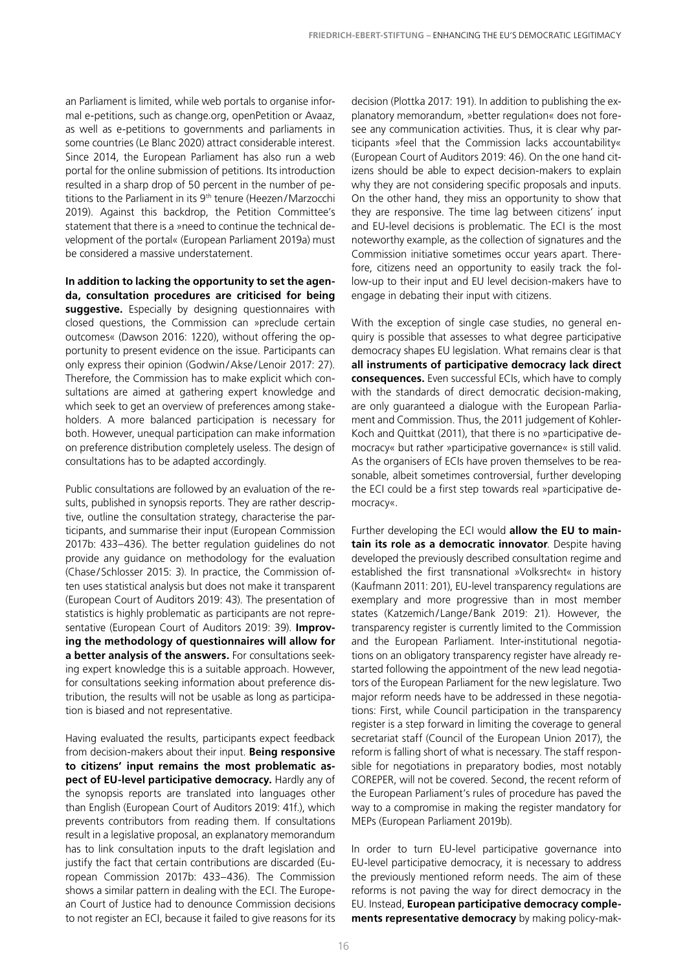an Parliament is limited, while web portals to organise informal e-petitions, such as change.org, openPetition or Avaaz, as well as e-petitions to governments and parliaments in some countries (Le Blanc 2020) attract considerable interest. Since 2014, the European Parliament has also run a web portal for the online submission of petitions. Its introduction resulted in a sharp drop of 50 percent in the number of petitions to the Parliament in its 9<sup>th</sup> tenure (Heezen/Marzocchi 2019). Against this backdrop, the Petition Committee's statement that there is a »need to continue the technical development of the portal« (European Parliament 2019a) must be considered a massive understatement.

**In addition to lacking the opportunity to set the agenda, consultation procedures are criticised for being**  suggestive. Especially by designing questionnaires with closed questions, the Commission can »preclude certain outcomes« (Dawson 2016: 1220), without offering the opportunity to present evidence on the issue. Participants can only express their opinion (Godwin/Akse/ Lenoir 2017: 27). Therefore, the Commission has to make explicit which consultations are aimed at gathering expert knowledge and which seek to get an overview of preferences among stakeholders. A more balanced participation is necessary for both. However, unequal participation can make information on preference distribution completely useless. The design of consultations has to be adapted accordingly.

Public consultations are followed by an evaluation of the results, published in synopsis reports. They are rather descriptive, outline the consultation strategy, characterise the participants, and summarise their input (European Commission 2017b: 433–436). The better regulation guidelines do not provide any guidance on methodology for the evaluation (Chase/Schlosser 2015: 3). In practice, the Commission often uses statistical analysis but does not make it transparent (European Court of Auditors 2019: 43). The presentation of statistics is highly problematic as participants are not representative (European Court of Auditors 2019: 39). **Improving the methodology of questionnaires will allow for a better analysis of the answers.** For consultations seeking expert knowledge this is a suitable approach. However, for consultations seeking information about preference distribution, the results will not be usable as long as participation is biased and not representative.

Having evaluated the results, participants expect feedback from decision-makers about their input. **Being responsive to citizens' input remains the most problematic aspect of EU-level participative democracy.** Hardly any of the synopsis reports are translated into languages other than English (European Court of Auditors 2019: 41f.), which prevents contributors from reading them. If consultations result in a legislative proposal, an explanatory memorandum has to link consultation inputs to the draft legislation and justify the fact that certain contributions are discarded (European Commission 2017b: 433–436). The Commission shows a similar pattern in dealing with the ECI. The European Court of Justice had to denounce Commission decisions to not register an ECI, because it failed to give reasons for its

decision (Plottka 2017: 191). In addition to publishing the explanatory memorandum, »better regulation« does not foresee any communication activities. Thus, it is clear why participants »feel that the Commission lacks accountability« (European Court of Auditors 2019: 46). On the one hand citizens should be able to expect decision-makers to explain why they are not considering specific proposals and inputs. On the other hand, they miss an opportunity to show that they are responsive. The time lag between citizens' input and EU-level decisions is problematic. The ECI is the most noteworthy example, as the collection of signatures and the Commission initiative sometimes occur years apart. Therefore, citizens need an opportunity to easily track the follow-up to their input and EU level decision-makers have to engage in debating their input with citizens.

With the exception of single case studies, no general enquiry is possible that assesses to what degree participative democracy shapes EU legislation. What remains clear is that **all instruments of participative democracy lack direct consequences.** Even successful ECIs, which have to comply with the standards of direct democratic decision-making, are only guaranteed a dialogue with the European Parliament and Commission. Thus, the 2011 judgement of Kohler-Koch and Quittkat (2011), that there is no »participative democracy« but rather »participative governance« is still valid. As the organisers of ECIs have proven themselves to be reasonable, albeit sometimes controversial, further developing the ECI could be a first step towards real »participative democracy«.

Further developing the ECI would **allow the EU to maintain its role as a democratic innovator**. Despite having developed the previously described consultation regime and established the first transnational »Volksrecht« in history (Kaufmann 2011: 201), EU-level transparency regulations are exemplary and more progressive than in most member states (Katzemich/Lange/Bank 2019: 21). However, the transparency register is currently limited to the Commission and the European Parliament. Inter-institutional negotiations on an obligatory transparency register have already restarted following the appointment of the new lead negotiators of the European Parliament for the new legislature. Two major reform needs have to be addressed in these negotiations: First, while Council participation in the transparency register is a step forward in limiting the coverage to general secretariat staff (Council of the European Union 2017), the reform is falling short of what is necessary. The staff responsible for negotiations in preparatory bodies, most notably COREPER, will not be covered. Second, the recent reform of the European Parliament's rules of procedure has paved the way to a compromise in making the register mandatory for MEPs (European Parliament 2019b).

In order to turn EU-level participative governance into EU-level participative democracy, it is necessary to address the previously mentioned reform needs. The aim of these reforms is not paving the way for direct democracy in the EU. Instead, **European participative democracy complements representative democracy** by making policy-mak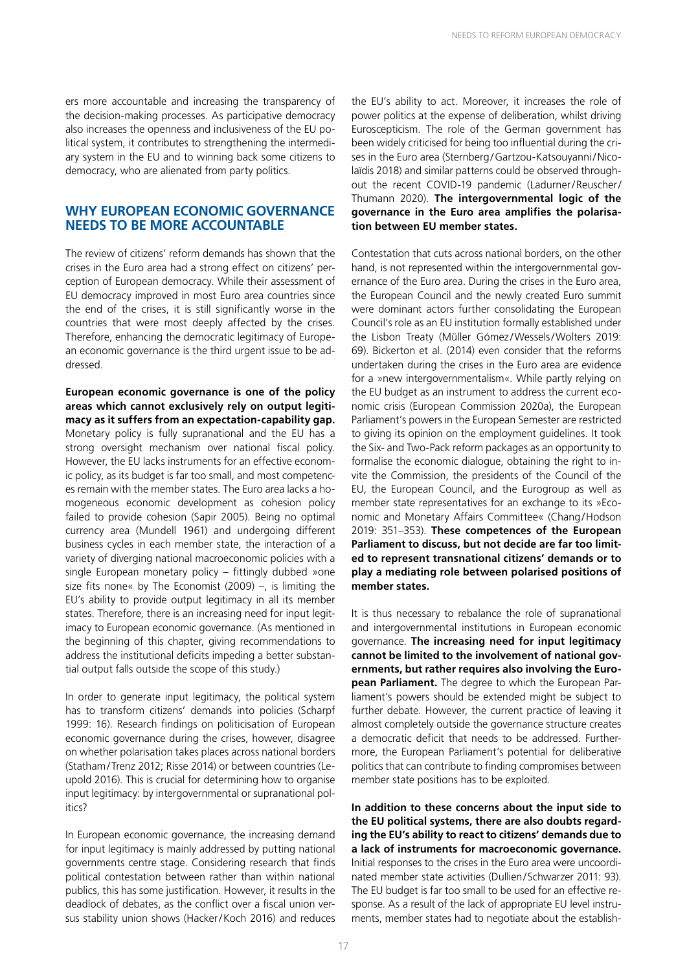ers more accountable and increasing the transparency of the decision-making processes. As participative democracy also increases the openness and inclusiveness of the EU political system, it contributes to strengthening the intermediary system in the EU and to winning back some citizens to democracy, who are alienated from party politics.

#### **WHY EUROPEAN ECONOMIC GOVERNANCE NEEDS TO BE MORE ACCOUNTABLE**

The review of citizens' reform demands has shown that the crises in the Euro area had a strong effect on citizens' perception of European democracy. While their assessment of EU democracy improved in most Euro area countries since the end of the crises, it is still significantly worse in the countries that were most deeply affected by the crises. Therefore, enhancing the democratic legitimacy of European economic governance is the third urgent issue to be addressed.

**European economic governance is one of the policy areas which cannot exclusively rely on output legitimacy as it suffers from an expectation-capability gap.** Monetary policy is fully supranational and the EU has a strong oversight mechanism over national fiscal policy. However, the EU lacks instruments for an effective economic policy, as its budget is far too small, and most competences remain with the member states. The Euro area lacks a homogeneous economic development as cohesion policy failed to provide cohesion (Sapir 2005). Being no optimal currency area (Mundell 1961) and undergoing different business cycles in each member state, the interaction of a variety of diverging national macroeconomic policies with a single European monetary policy – fittingly dubbed »one size fits none« by The Economist (2009) –, is limiting the EU's ability to provide output legitimacy in all its member states. Therefore, there is an increasing need for input legitimacy to European economic governance. (As mentioned in the beginning of this chapter, giving recommendations to address the institutional deficits impeding a better substantial output falls outside the scope of this study.)

In order to generate input legitimacy, the political system has to transform citizens' demands into policies (Scharpf 1999: 16). Research findings on politicisation of European economic governance during the crises, however, disagree on whether polarisation takes places across national borders (Statham/Trenz 2012; Risse 2014) or between countries (Leupold 2016). This is crucial for determining how to organise input legitimacy: by intergovernmental or supranational politics?

In European economic governance, the increasing demand for input legitimacy is mainly addressed by putting national governments centre stage. Considering research that finds political contestation between rather than within national publics, this has some justification. However, it results in the deadlock of debates, as the conflict over a fiscal union versus stability union shows (Hacker/Koch 2016) and reduces the EU's ability to act. Moreover, it increases the role of power politics at the expense of deliberation, whilst driving Euroscepticism. The role of the German government has been widely criticised for being too influential during the crises in the Euro area (Sternberg/Gartzou-Katsouyanni/Nicolaïdis 2018) and similar patterns could be observed throughout the recent COVID-19 pandemic (Ladurner/Reuscher/ Thumann 2020). **The intergovernmental logic of the governance in the Euro area amplifies the polarisation between EU member states.**

Contestation that cuts across national borders, on the other hand, is not represented within the intergovernmental governance of the Euro area. During the crises in the Euro area, the European Council and the newly created Euro summit were dominant actors further consolidating the European Council's role as an EU institution formally established under the Lisbon Treaty (Müller Gómez/Wessels/Wolters 2019: 69). Bickerton et al. (2014) even consider that the reforms undertaken during the crises in the Euro area are evidence for a »new intergovernmentalism«. While partly relying on the EU budget as an instrument to address the current economic crisis (European Commission 2020a), the European Parliament's powers in the European Semester are restricted to giving its opinion on the employment guidelines. It took the Six- and Two-Pack reform packages as an opportunity to formalise the economic dialogue, obtaining the right to invite the Commission, the presidents of the Council of the EU, the European Council, and the Eurogroup as well as member state representatives for an exchange to its »Economic and Monetary Affairs Committee« (Chang/Hodson 2019: 351–353). **These competences of the European Parliament to discuss, but not decide are far too limited to represent transnational citizens' demands or to play a mediating role between polarised positions of member states.**

It is thus necessary to rebalance the role of supranational and intergovernmental institutions in European economic governance. **The increasing need for input legitimacy cannot be limited to the involvement of national governments, but rather requires also involving the European Parliament.** The degree to which the European Parliament's powers should be extended might be subject to further debate. However, the current practice of leaving it almost completely outside the governance structure creates a democratic deficit that needs to be addressed. Furthermore, the European Parliament's potential for deliberative politics that can contribute to finding compromises between member state positions has to be exploited.

**In addition to these concerns about the input side to the EU political systems, there are also doubts regarding the EU's ability to react to citizens' demands due to a lack of instruments for macroeconomic governance.** Initial responses to the crises in the Euro area were uncoordinated member state activities (Dullien/Schwarzer 2011: 93). The EU budget is far too small to be used for an effective response. As a result of the lack of appropriate EU level instruments, member states had to negotiate about the establish-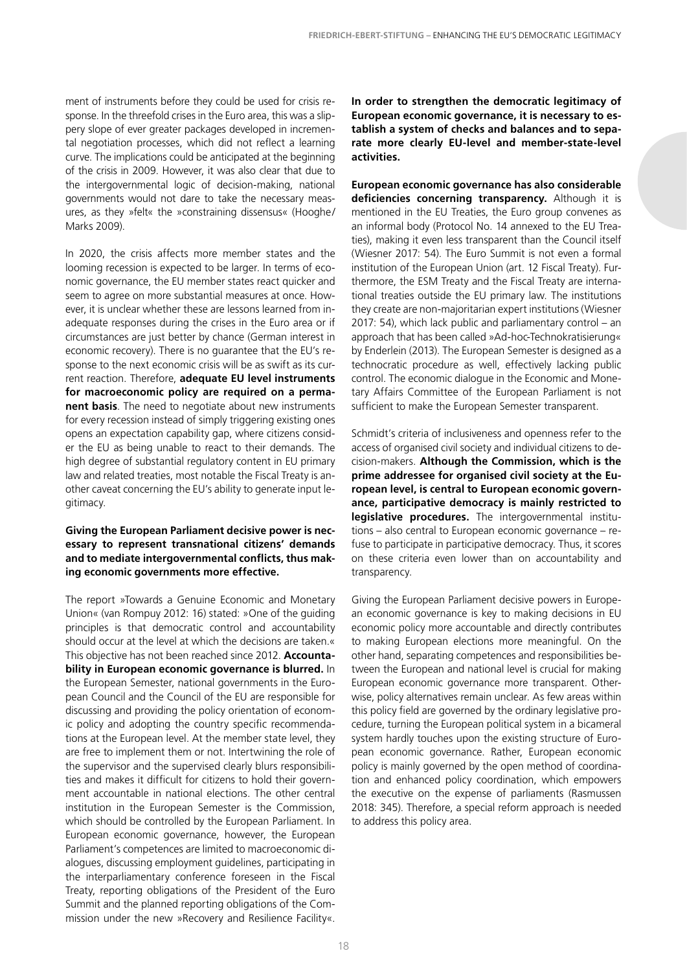ment of instruments before they could be used for crisis response. In the threefold crises in the Euro area, this was a slippery slope of ever greater packages developed in incremental negotiation processes, which did not reflect a learning curve. The implications could be anticipated at the beginning of the crisis in 2009. However, it was also clear that due to the intergovernmental logic of decision-making, national governments would not dare to take the necessary measures, as they »felt« the »constraining dissensus« (Hooghe/ Marks 2009).

In 2020, the crisis affects more member states and the looming recession is expected to be larger. In terms of economic governance, the EU member states react quicker and seem to agree on more substantial measures at once. However, it is unclear whether these are lessons learned from inadequate responses during the crises in the Euro area or if circumstances are just better by chance (German interest in economic recovery). There is no guarantee that the EU's response to the next economic crisis will be as swift as its current reaction. Therefore, **adequate EU level instruments for macroeconomic policy are required on a permanent basis**. The need to negotiate about new instruments for every recession instead of simply triggering existing ones opens an expectation capability gap, where citizens consider the EU as being unable to react to their demands. The high degree of substantial regulatory content in EU primary law and related treaties, most notable the Fiscal Treaty is another caveat concerning the EU's ability to generate input legitimacy.

#### **Giving the European Parliament decisive power is necessary to represent transnational citizens' demands and to mediate intergovernmental conflicts, thus making economic governments more effective.**

The report »Towards a Genuine Economic and Monetary Union« (van Rompuy 2012: 16) stated: »One of the guiding principles is that democratic control and accountability should occur at the level at which the decisions are taken.« This objective has not been reached since 2012. **Accountability in European economic governance is blurred.** In the European Semester, national governments in the European Council and the Council of the EU are responsible for discussing and providing the policy orientation of economic policy and adopting the country specific recommendations at the European level. At the member state level, they are free to implement them or not. Intertwining the role of the supervisor and the supervised clearly blurs responsibilities and makes it difficult for citizens to hold their government accountable in national elections. The other central institution in the European Semester is the Commission, which should be controlled by the European Parliament. In European economic governance, however, the European Parliament's competences are limited to macroeconomic dialogues, discussing employment guidelines, participating in the interparliamentary conference foreseen in the Fiscal Treaty, reporting obligations of the President of the Euro Summit and the planned reporting obligations of the Commission under the new »Recovery and Resilience Facility«.

**In order to strengthen the democratic legitimacy of European economic governance, it is necessary to establish a system of checks and balances and to separate more clearly EU-level and member-state-level activities.**

**European economic governance has also considerable deficiencies concerning transparency.** Although it is mentioned in the EU Treaties, the Euro group convenes as an informal body (Protocol No. 14 annexed to the EU Treaties), making it even less transparent than the Council itself (Wiesner 2017: 54). The Euro Summit is not even a formal institution of the European Union (art. 12 Fiscal Treaty). Furthermore, the ESM Treaty and the Fiscal Treaty are international treaties outside the EU primary law. The institutions they create are non-majoritarian expert institutions (Wiesner 2017: 54), which lack public and parliamentary control – an approach that has been called »Ad-hoc-Technokratisierung« by Enderlein (2013). The European Semester is designed as a technocratic procedure as well, effectively lacking public control. The economic dialogue in the Economic and Monetary Affairs Committee of the European Parliament is not sufficient to make the European Semester transparent.

Schmidt's criteria of inclusiveness and openness refer to the access of organised civil society and individual citizens to decision-makers. **Although the Commission, which is the prime addressee for organised civil society at the European level, is central to European economic governance, participative democracy is mainly restricted to legislative procedures.** The intergovernmental institutions – also central to European economic governance – refuse to participate in participative democracy. Thus, it scores on these criteria even lower than on accountability and transparency.

Giving the European Parliament decisive powers in European economic governance is key to making decisions in EU economic policy more accountable and directly contributes to making European elections more meaningful. On the other hand, separating competences and responsibilities between the European and national level is crucial for making European economic governance more transparent. Otherwise, policy alternatives remain unclear. As few areas within this policy field are governed by the ordinary legislative procedure, turning the European political system in a bicameral system hardly touches upon the existing structure of European economic governance. Rather, European economic policy is mainly governed by the open method of coordination and enhanced policy coordination, which empowers the executive on the expense of parliaments (Rasmussen 2018: 345). Therefore, a special reform approach is needed to address this policy area.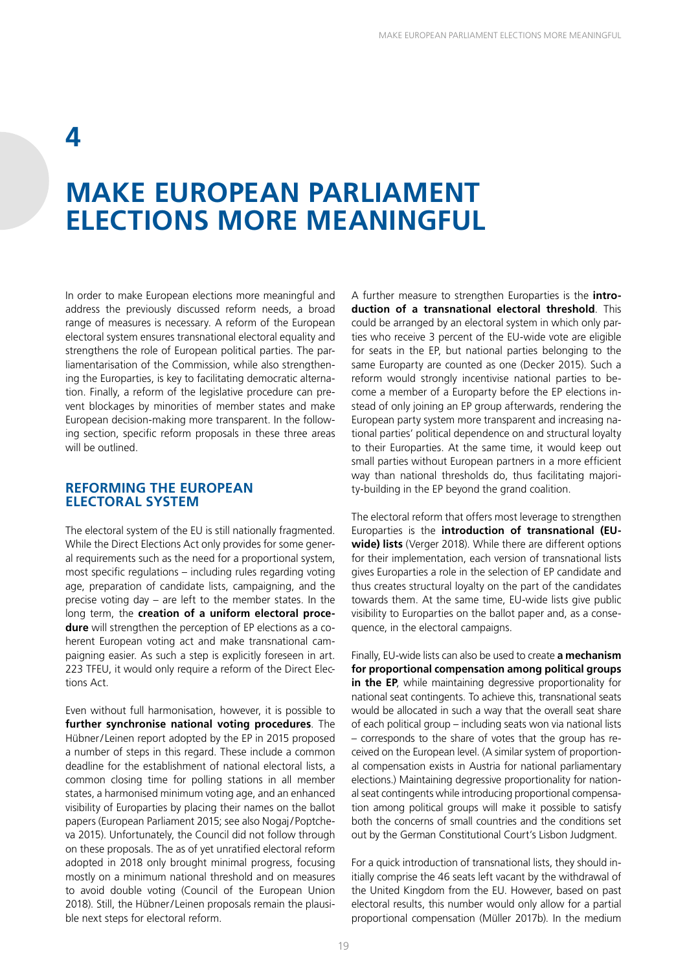### **4**

### **MAKE EUROPEAN PARLIAMENT ELECTIONS MORE MEANINGFUL**

In order to make European elections more meaningful and address the previously discussed reform needs, a broad range of measures is necessary. A reform of the European electoral system ensures transnational electoral equality and strengthens the role of European political parties. The parliamentarisation of the Commission, while also strengthening the Europarties, is key to facilitating democratic alternation. Finally, a reform of the legislative procedure can prevent blockages by minorities of member states and make European decision-making more transparent. In the following section, specific reform proposals in these three areas will be outlined.

#### **REFORMING THE EUROPEAN ELECTORAL SYSTEM**

The electoral system of the EU is still nationally fragmented. While the Direct Elections Act only provides for some general requirements such as the need for a proportional system, most specific regulations – including rules regarding voting age, preparation of candidate lists, campaigning, and the precise voting day – are left to the member states. In the long term, the **creation of a uniform electoral procedure** will strengthen the perception of EP elections as a coherent European voting act and make transnational campaigning easier. As such a step is explicitly foreseen in art. 223 TFEU, it would only require a reform of the Direct Elections Act.

Even without full harmonisation, however, it is possible to **further synchronise national voting procedures**. The Hübner/Leinen report adopted by the EP in 2015 proposed a number of steps in this regard. These include a common deadline for the establishment of national electoral lists, a common closing time for polling stations in all member states, a harmonised minimum voting age, and an enhanced visibility of Europarties by placing their names on the ballot papers (European Parliament 2015; see also Nogaj/Poptcheva 2015). Unfortunately, the Council did not follow through on these proposals. The as of yet unratified electoral reform adopted in 2018 only brought minimal progress, focusing mostly on a minimum national threshold and on measures to avoid double voting (Council of the European Union 2018). Still, the Hübner/Leinen proposals remain the plausible next steps for electoral reform.

A further measure to strengthen Europarties is the **introduction of a transnational electoral threshold**. This could be arranged by an electoral system in which only parties who receive 3 percent of the EU-wide vote are eligible for seats in the EP, but national parties belonging to the same Europarty are counted as one (Decker 2015). Such a reform would strongly incentivise national parties to become a member of a Europarty before the EP elections instead of only joining an EP group afterwards, rendering the European party system more transparent and increasing national parties' political dependence on and structural loyalty to their Europarties. At the same time, it would keep out small parties without European partners in a more efficient way than national thresholds do, thus facilitating majority-building in the EP beyond the grand coalition.

The electoral reform that offers most leverage to strengthen Europarties is the **introduction of transnational (EUwide) lists** (Verger 2018). While there are different options for their implementation, each version of transnational lists gives Europarties a role in the selection of EP candidate and thus creates structural loyalty on the part of the candidates towards them. At the same time, EU-wide lists give public visibility to Europarties on the ballot paper and, as a consequence, in the electoral campaigns.

Finally, EU-wide lists can also be used to create **a mechanism for proportional compensation among political groups in the EP**, while maintaining degressive proportionality for national seat contingents. To achieve this, transnational seats would be allocated in such a way that the overall seat share of each political group – including seats won via national lists – corresponds to the share of votes that the group has received on the European level. (A similar system of proportional compensation exists in Austria for national parliamentary elections.) Maintaining degressive proportionality for national seat contingents while introducing proportional compensation among political groups will make it possible to satisfy both the concerns of small countries and the conditions set out by the German Constitutional Court's Lisbon Judgment.

For a quick introduction of transnational lists, they should initially comprise the 46 seats left vacant by the withdrawal of the United Kingdom from the EU. However, based on past electoral results, this number would only allow for a partial proportional compensation (Müller 2017b). In the medium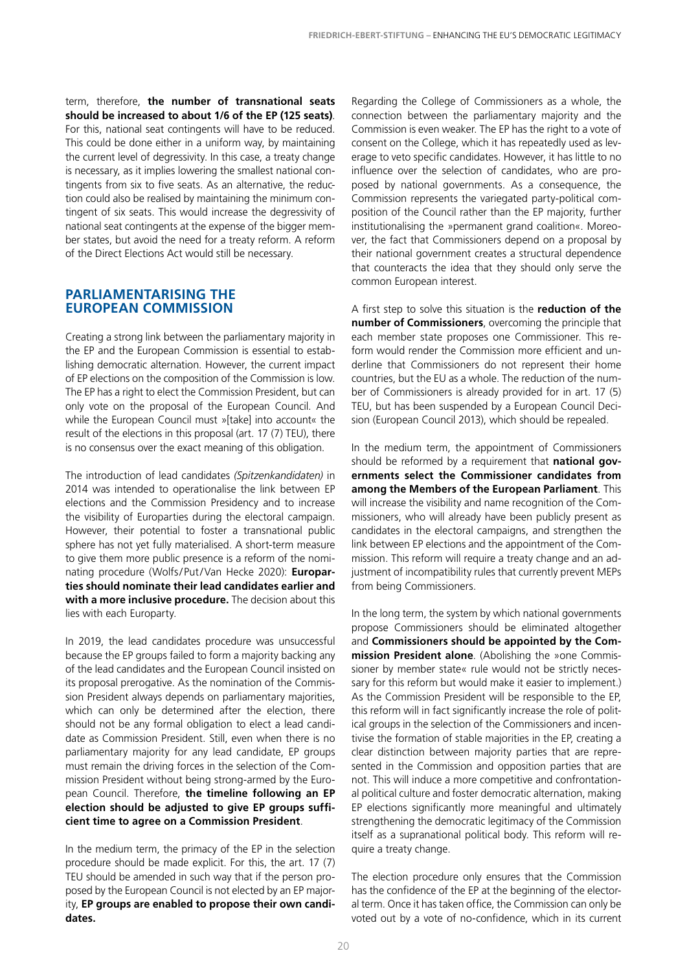term, therefore, **the number of transnational seats should be increased to about 1/6 of the EP (125 seats)**. For this, national seat contingents will have to be reduced. This could be done either in a uniform way, by maintaining the current level of degressivity. In this case, a treaty change is necessary, as it implies lowering the smallest national contingents from six to five seats. As an alternative, the reduction could also be realised by maintaining the minimum contingent of six seats. This would increase the degressivity of national seat contingents at the expense of the bigger member states, but avoid the need for a treaty reform. A reform of the Direct Elections Act would still be necessary.

#### **PARLIAMENTARISING THE EUROPEAN COMMISSION**

Creating a strong link between the parliamentary majority in the EP and the European Commission is essential to establishing democratic alternation. However, the current impact of EP elections on the composition of the Commission is low. The EP has a right to elect the Commission President, but can only vote on the proposal of the European Council. And while the European Council must »[take] into account« the result of the elections in this proposal (art. 17 (7) TEU), there is no consensus over the exact meaning of this obligation.

The introduction of lead candidates *(Spitzenkandidaten)* in 2014 was intended to operationalise the link between EP elections and the Commission Presidency and to increase the visibility of Europarties during the electoral campaign. However, their potential to foster a transnational public sphere has not yet fully materialised. A short-term measure to give them more public presence is a reform of the nominating procedure (Wolfs/Put/Van Hecke 2020): **Europarties should nominate their lead candidates earlier and with a more inclusive procedure.** The decision about this lies with each Europarty.

In 2019, the lead candidates procedure was unsuccessful because the EP groups failed to form a majority backing any of the lead candidates and the European Council insisted on its proposal prerogative. As the nomination of the Commission President always depends on parliamentary majorities, which can only be determined after the election, there should not be any formal obligation to elect a lead candidate as Commission President. Still, even when there is no parliamentary majority for any lead candidate, EP groups must remain the driving forces in the selection of the Commission President without being strong-armed by the European Council. Therefore, **the timeline following an EP election should be adjusted to give EP groups sufficient time to agree on a Commission President**.

In the medium term, the primacy of the EP in the selection procedure should be made explicit. For this, the art. 17 (7) TEU should be amended in such way that if the person proposed by the European Council is not elected by an EP majority, **EP groups are enabled to propose their own candidates.**

Regarding the College of Commissioners as a whole, the connection between the parliamentary majority and the Commission is even weaker. The EP has the right to a vote of consent on the College, which it has repeatedly used as leverage to veto specific candidates. However, it has little to no influence over the selection of candidates, who are proposed by national governments. As a consequence, the Commission represents the variegated party-political composition of the Council rather than the EP majority, further institutionalising the »permanent grand coalition«. Moreover, the fact that Commissioners depend on a proposal by their national government creates a structural dependence that counteracts the idea that they should only serve the common European interest.

A first step to solve this situation is the **reduction of the number of Commissioners**, overcoming the principle that each member state proposes one Commissioner. This reform would render the Commission more efficient and underline that Commissioners do not represent their home countries, but the EU as a whole. The reduction of the number of Commissioners is already provided for in art. 17 (5) TEU, but has been suspended by a European Council Decision (European Council 2013), which should be repealed.

In the medium term, the appointment of Commissioners should be reformed by a requirement that **national governments select the Commissioner candidates from among the Members of the European Parliament**. This will increase the visibility and name recognition of the Commissioners, who will already have been publicly present as candidates in the electoral campaigns, and strengthen the link between EP elections and the appointment of the Commission. This reform will require a treaty change and an adjustment of incompatibility rules that currently prevent MEPs from being Commissioners.

In the long term, the system by which national governments propose Commissioners should be eliminated altogether and **Commissioners should be appointed by the Commission President alone**. (Abolishing the »one Commissioner by member state« rule would not be strictly necessary for this reform but would make it easier to implement.) As the Commission President will be responsible to the EP, this reform will in fact significantly increase the role of political groups in the selection of the Commissioners and incentivise the formation of stable majorities in the EP, creating a clear distinction between majority parties that are represented in the Commission and opposition parties that are not. This will induce a more competitive and confrontational political culture and foster democratic alternation, making EP elections significantly more meaningful and ultimately strengthening the democratic legitimacy of the Commission itself as a supranational political body. This reform will require a treaty change.

The election procedure only ensures that the Commission has the confidence of the EP at the beginning of the electoral term. Once it has taken office, the Commission can only be voted out by a vote of no-confidence, which in its current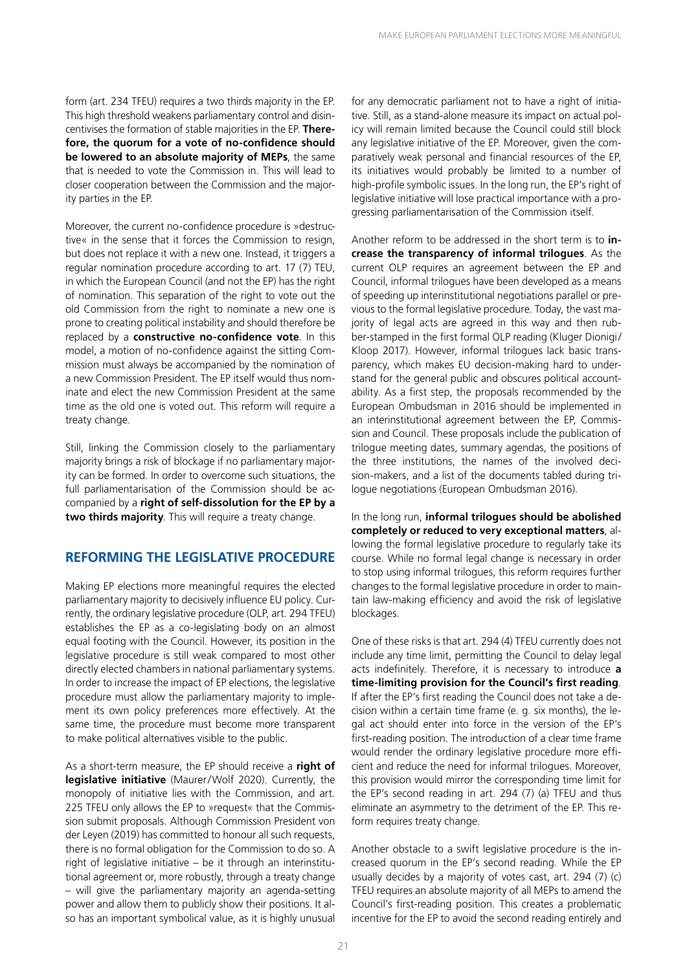form (art. 234 TFEU) requires a two thirds majority in the EP. This high threshold weakens parliamentary control and disincentivises the formation of stable majorities in the EP. **Therefore, the quorum for a vote of no-confidence should be lowered to an absolute majority of MEPs**, the same that is needed to vote the Commission in. This will lead to closer cooperation between the Commission and the majority parties in the EP.

Moreover, the current no-confidence procedure is »destructive« in the sense that it forces the Commission to resign, but does not replace it with a new one. Instead, it triggers a regular nomination procedure according to art. 17 (7) TEU, in which the European Council (and not the EP) has the right of nomination. This separation of the right to vote out the old Commission from the right to nominate a new one is prone to creating political instability and should therefore be replaced by a **constructive no-confidence vote**. In this model, a motion of no-confidence against the sitting Commission must always be accompanied by the nomination of a new Commission President. The EP itself would thus nominate and elect the new Commission President at the same time as the old one is voted out. This reform will require a treaty change.

Still, linking the Commission closely to the parliamentary majority brings a risk of blockage if no parliamentary majority can be formed. In order to overcome such situations, the full parliamentarisation of the Commission should be accompanied by a **right of self-dissolution for the EP by a two thirds majority**. This will require a treaty change.

#### **REFORMING THE LEGISLATIVE PROCEDURE**

Making EP elections more meaningful requires the elected parliamentary majority to decisively influence EU policy. Currently, the ordinary legislative procedure (OLP, art. 294 TFEU) establishes the EP as a co-legislating body on an almost equal footing with the Council. However, its position in the legislative procedure is still weak compared to most other directly elected chambers in national parliamentary systems. In order to increase the impact of EP elections, the legislative procedure must allow the parliamentary majority to implement its own policy preferences more effectively. At the same time, the procedure must become more transparent to make political alternatives visible to the public.

As a short-term measure, the EP should receive a **right of legislative initiative** (Maurer/Wolf 2020). Currently, the monopoly of initiative lies with the Commission, and art. 225 TFEU only allows the EP to »request« that the Commission submit proposals. Although Commission President von der Leyen (2019) has committed to honour all such requests, there is no formal obligation for the Commission to do so. A right of legislative initiative – be it through an interinstitutional agreement or, more robustly, through a treaty change – will give the parliamentary majority an agenda-setting power and allow them to publicly show their positions. It also has an important symbolical value, as it is highly unusual

for any democratic parliament not to have a right of initiative. Still, as a stand-alone measure its impact on actual policy will remain limited because the Council could still block any legislative initiative of the EP. Moreover, given the comparatively weak personal and financial resources of the EP, its initiatives would probably be limited to a number of high-profile symbolic issues. In the long run, the EP's right of legislative initiative will lose practical importance with a progressing parliamentarisation of the Commission itself.

Another reform to be addressed in the short term is to **increase the transparency of informal trilogues**. As the current OLP requires an agreement between the EP and Council, informal trilogues have been developed as a means of speeding up interinstitutional negotiations parallel or previous to the formal legislative procedure. Today, the vast majority of legal acts are agreed in this way and then rubber-stamped in the first formal OLP reading (Kluger Dionigi/ Kloop 2017). However, informal trilogues lack basic transparency, which makes EU decision-making hard to understand for the general public and obscures political accountability. As a first step, the proposals recommended by the European Ombudsman in 2016 should be implemented in an interinstitutional agreement between the EP, Commission and Council. These proposals include the publication of trilogue meeting dates, summary agendas, the positions of the three institutions, the names of the involved decision-makers, and a list of the documents tabled during trilogue negotiations (European Ombudsman 2016).

In the long run, **informal trilogues should be abolished completely or reduced to very exceptional matters**, allowing the formal legislative procedure to regularly take its course. While no formal legal change is necessary in order to stop using informal trilogues, this reform requires further changes to the formal legislative procedure in order to maintain law-making efficiency and avoid the risk of legislative blockages.

One of these risks is that art. 294 (4) TFEU currently does not include any time limit, permitting the Council to delay legal acts indefinitely. Therefore, it is necessary to introduce **a time-limiting provision for the Council's first reading**. If after the EP's first reading the Council does not take a decision within a certain time frame (e. g. six months), the legal act should enter into force in the version of the EP's first-reading position. The introduction of a clear time frame would render the ordinary legislative procedure more efficient and reduce the need for informal trilogues. Moreover, this provision would mirror the corresponding time limit for the EP's second reading in art. 294 (7) (a) TFEU and thus eliminate an asymmetry to the detriment of the EP. This reform requires treaty change.

Another obstacle to a swift legislative procedure is the increased quorum in the EP's second reading. While the EP usually decides by a majority of votes cast, art. 294 (7) (c) TFEU requires an absolute majority of all MEPs to amend the Council's first-reading position. This creates a problematic incentive for the EP to avoid the second reading entirely and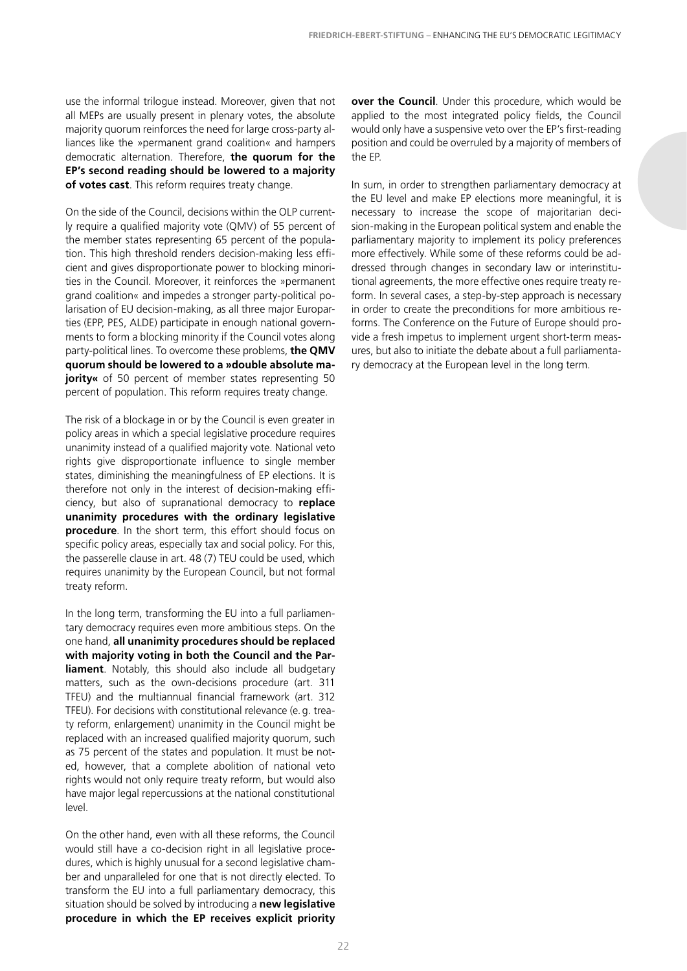use the informal trilogue instead. Moreover, given that not all MEPs are usually present in plenary votes, the absolute majority quorum reinforces the need for large cross-party alliances like the »permanent grand coalition« and hampers democratic alternation. Therefore, **the quorum for the EP's second reading should be lowered to a majority of votes cast**. This reform requires treaty change.

On the side of the Council, decisions within the OLP currently require a qualified majority vote (QMV) of 55 percent of the member states representing 65 percent of the population. This high threshold renders decision-making less efficient and gives disproportionate power to blocking minorities in the Council. Moreover, it reinforces the »permanent grand coalition« and impedes a stronger party-political polarisation of EU decision-making, as all three major Europarties (EPP, PES, ALDE) participate in enough national governments to form a blocking minority if the Council votes along party-political lines. To overcome these problems, **the QMV quorum should be lowered to a »double absolute majority**« of 50 percent of member states representing 50 percent of population. This reform requires treaty change.

The risk of a blockage in or by the Council is even greater in policy areas in which a special legislative procedure requires unanimity instead of a qualified majority vote. National veto rights give disproportionate influence to single member states, diminishing the meaningfulness of EP elections. It is therefore not only in the interest of decision-making efficiency, but also of supranational democracy to **replace unanimity procedures with the ordinary legislative procedure**. In the short term, this effort should focus on specific policy areas, especially tax and social policy. For this, the passerelle clause in art. 48 (7) TEU could be used, which requires unanimity by the European Council, but not formal treaty reform.

In the long term, transforming the EU into a full parliamentary democracy requires even more ambitious steps. On the one hand, **all unanimity procedures should be replaced with majority voting in both the Council and the Parliament**. Notably, this should also include all budgetary matters, such as the own-decisions procedure (art. 311 TFEU) and the multiannual financial framework (art. 312 TFEU). For decisions with constitutional relevance (e.g. treaty reform, enlargement) unanimity in the Council might be replaced with an increased qualified majority quorum, such as 75 percent of the states and population. It must be noted, however, that a complete abolition of national veto rights would not only require treaty reform, but would also have major legal repercussions at the national constitutional level.

On the other hand, even with all these reforms, the Council would still have a co-decision right in all legislative procedures, which is highly unusual for a second legislative chamber and unparalleled for one that is not directly elected. To transform the EU into a full parliamentary democracy, this situation should be solved by introducing a **new legislative procedure in which the EP receives explicit priority** 

**over the Council**. Under this procedure, which would be applied to the most integrated policy fields, the Council would only have a suspensive veto over the EP's first-reading position and could be overruled by a majority of members of the EP.

In sum, in order to strengthen parliamentary democracy at the EU level and make EP elections more meaningful, it is necessary to increase the scope of majoritarian decision-making in the European political system and enable the parliamentary majority to implement its policy preferences more effectively. While some of these reforms could be addressed through changes in secondary law or interinstitutional agreements, the more effective ones require treaty reform. In several cases, a step-by-step approach is necessary in order to create the preconditions for more ambitious reforms. The Conference on the Future of Europe should provide a fresh impetus to implement urgent short-term measures, but also to initiate the debate about a full parliamentary democracy at the European level in the long term.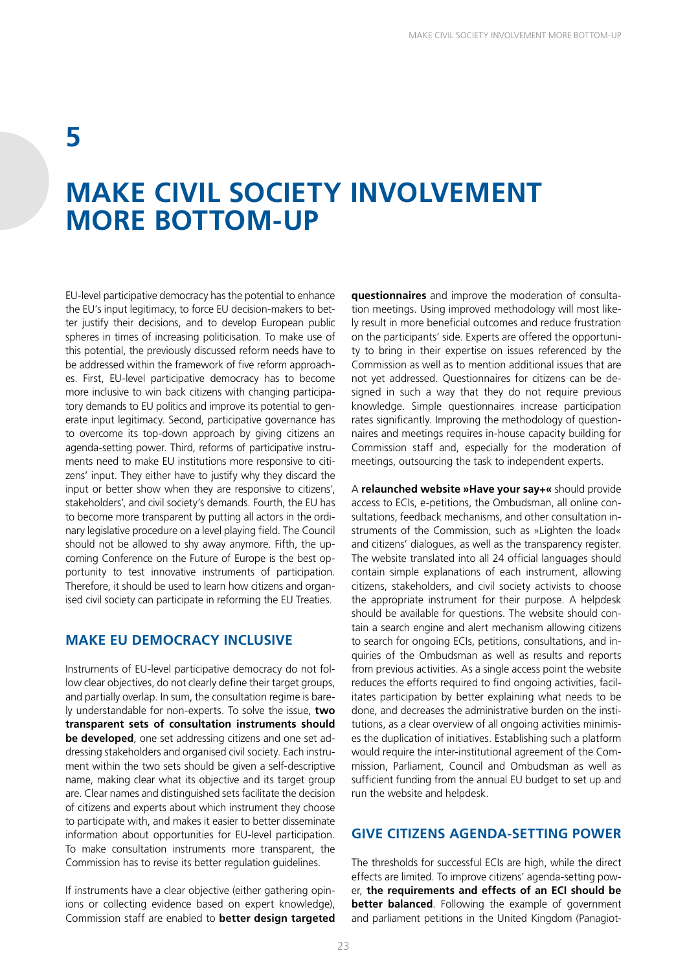### **5**

### **MAKE CIVIL SOCIETY INVOLVEMENT MORE BOTTOM-UP**

EU-level participative democracy has the potential to enhance the EU's input legitimacy, to force EU decision-makers to better justify their decisions, and to develop European public spheres in times of increasing politicisation. To make use of this potential, the previously discussed reform needs have to be addressed within the framework of five reform approaches. First, EU-level participative democracy has to become more inclusive to win back citizens with changing participatory demands to EU politics and improve its potential to generate input legitimacy. Second, participative governance has to overcome its top-down approach by giving citizens an agenda-setting power. Third, reforms of participative instruments need to make EU institutions more responsive to citizens' input. They either have to justify why they discard the input or better show when they are responsive to citizens', stakeholders', and civil society's demands. Fourth, the EU has to become more transparent by putting all actors in the ordinary legislative procedure on a level playing field. The Council should not be allowed to shy away anymore. Fifth, the upcoming Conference on the Future of Europe is the best opportunity to test innovative instruments of participation. Therefore, it should be used to learn how citizens and organised civil society can participate in reforming the EU Treaties.

#### **MAKE EU DEMOCRACY INCLUSIVE**

Instruments of EU-level participative democracy do not follow clear objectives, do not clearly define their target groups, and partially overlap. In sum, the consultation regime is barely understandable for non-experts. To solve the issue, **two transparent sets of consultation instruments should be developed**, one set addressing citizens and one set addressing stakeholders and organised civil society. Each instrument within the two sets should be given a self-descriptive name, making clear what its objective and its target group are. Clear names and distinguished sets facilitate the decision of citizens and experts about which instrument they choose to participate with, and makes it easier to better disseminate information about opportunities for EU-level participation. To make consultation instruments more transparent, the Commission has to revise its better regulation guidelines.

If instruments have a clear objective (either gathering opinions or collecting evidence based on expert knowledge), Commission staff are enabled to **better design targeted** 

**questionnaires** and improve the moderation of consultation meetings. Using improved methodology will most likely result in more beneficial outcomes and reduce frustration on the participants' side. Experts are offered the opportunity to bring in their expertise on issues referenced by the Commission as well as to mention additional issues that are not yet addressed. Questionnaires for citizens can be designed in such a way that they do not require previous knowledge. Simple questionnaires increase participation rates significantly. Improving the methodology of questionnaires and meetings requires in-house capacity building for Commission staff and, especially for the moderation of meetings, outsourcing the task to independent experts.

A **relaunched website »Have your say+«** should provide access to ECIs, e-petitions, the Ombudsman, all online consultations, feedback mechanisms, and other consultation instruments of the Commission, such as »Lighten the load« and citizens' dialogues, as well as the transparency register. The website translated into all 24 official languages should contain simple explanations of each instrument, allowing citizens, stakeholders, and civil society activists to choose the appropriate instrument for their purpose. A helpdesk should be available for questions. The website should contain a search engine and alert mechanism allowing citizens to search for ongoing ECIs, petitions, consultations, and inquiries of the Ombudsman as well as results and reports from previous activities. As a single access point the website reduces the efforts required to find ongoing activities, facilitates participation by better explaining what needs to be done, and decreases the administrative burden on the institutions, as a clear overview of all ongoing activities minimises the duplication of initiatives. Establishing such a platform would require the inter-institutional agreement of the Commission, Parliament, Council and Ombudsman as well as sufficient funding from the annual EU budget to set up and run the website and helpdesk.

#### **GIVE CITIZENS AGENDA-SETTING POWER**

The thresholds for successful ECIs are high, while the direct effects are limited. To improve citizens' agenda-setting power, **the requirements and effects of an ECI should be better balanced**. Following the example of government and parliament petitions in the United Kingdom (Panagiot-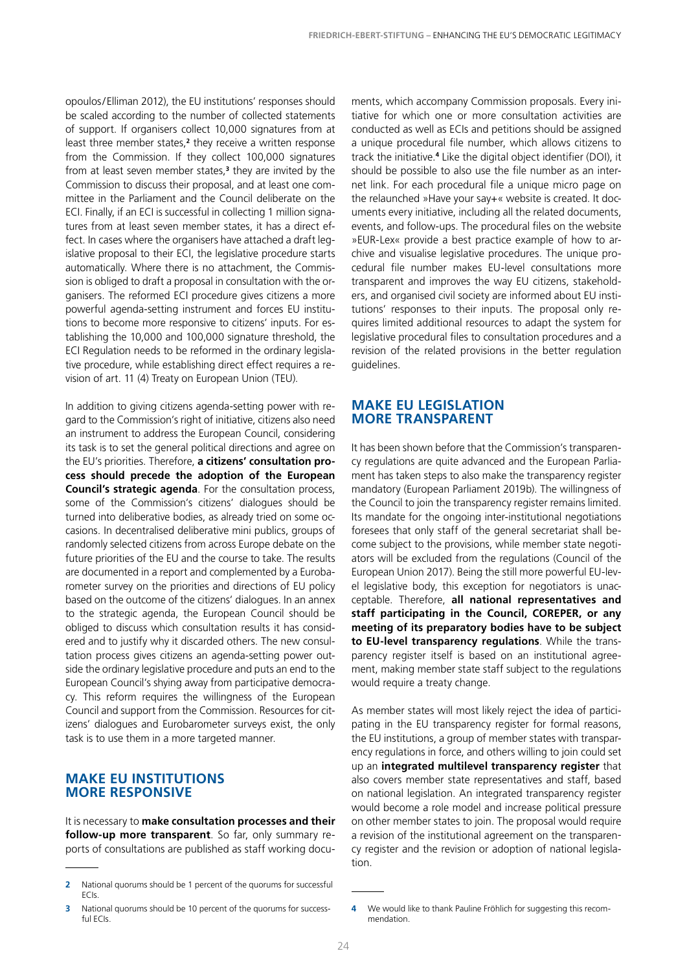opoulos/Elliman 2012), the EU institutions' responses should be scaled according to the number of collected statements of support. If organisers collect 10,000 signatures from at least three member states,<sup>2</sup> they receive a written response from the Commission. If they collect 100,000 signatures from at least seven member states,**<sup>3</sup>** they are invited by the Commission to discuss their proposal, and at least one committee in the Parliament and the Council deliberate on the ECI. Finally, if an ECI is successful in collecting 1 million signatures from at least seven member states, it has a direct effect. In cases where the organisers have attached a draft legislative proposal to their ECI, the legislative procedure starts automatically. Where there is no attachment, the Commission is obliged to draft a proposal in consultation with the organisers. The reformed ECI procedure gives citizens a more powerful agenda-setting instrument and forces EU institutions to become more responsive to citizens' inputs. For establishing the 10,000 and 100,000 signature threshold, the ECI Regulation needs to be reformed in the ordinary legislative procedure, while establishing direct effect requires a revision of art. 11 (4) Treaty on European Union (TEU).

In addition to giving citizens agenda-setting power with regard to the Commission's right of initiative, citizens also need an instrument to address the European Council, considering its task is to set the general political directions and agree on the EU's priorities. Therefore, **a citizens' consultation process should precede the adoption of the European Council's strategic agenda**. For the consultation process, some of the Commission's citizens' dialogues should be turned into deliberative bodies, as already tried on some occasions. In decentralised deliberative mini publics, groups of randomly selected citizens from across Europe debate on the future priorities of the EU and the course to take. The results are documented in a report and complemented by a Eurobarometer survey on the priorities and directions of EU policy based on the outcome of the citizens' dialogues. In an annex to the strategic agenda, the European Council should be obliged to discuss which consultation results it has considered and to justify why it discarded others. The new consultation process gives citizens an agenda-setting power outside the ordinary legislative procedure and puts an end to the European Council's shying away from participative democracy. This reform requires the willingness of the European Council and support from the Commission. Resources for citizens' dialogues and Eurobarometer surveys exist, the only task is to use them in a more targeted manner.

#### **MAKE EU INSTITUTIONS MORE RESPONSIVE**

It is necessary to **make consultation processes and their follow-up more transparent**. So far, only summary reports of consultations are published as staff working docu-

**3** National quorums should be 10 percent of the quorums for successful ECIs.

ments, which accompany Commission proposals. Every initiative for which one or more consultation activities are conducted as well as ECIs and petitions should be assigned a unique procedural file number, which allows citizens to track the initiative.**<sup>4</sup>** Like the digital object identifier (DOI), it should be possible to also use the file number as an internet link. For each procedural file a unique micro page on the relaunched »Have your say+« website is created. It documents every initiative, including all the related documents, events, and follow-ups. The procedural files on the website »EUR-Lex« provide a best practice example of how to archive and visualise legislative procedures. The unique procedural file number makes EU-level consultations more transparent and improves the way EU citizens, stakeholders, and organised civil society are informed about EU institutions' responses to their inputs. The proposal only requires limited additional resources to adapt the system for legislative procedural files to consultation procedures and a revision of the related provisions in the better regulation guidelines.

#### **MAKE EU LEGISLATION MORE TRANSPARENT**

It has been shown before that the Commission's transparency regulations are quite advanced and the European Parliament has taken steps to also make the transparency register mandatory (European Parliament 2019b). The willingness of the Council to join the transparency register remains limited. Its mandate for the ongoing inter-institutional negotiations foresees that only staff of the general secretariat shall become subject to the provisions, while member state negotiators will be excluded from the regulations (Council of the European Union 2017). Being the still more powerful EU-level legislative body, this exception for negotiators is unacceptable. Therefore, **all national representatives and staff participating in the Council, COREPER, or any meeting of its preparatory bodies have to be subject to EU-level transparency regulations**. While the transparency register itself is based on an institutional agreement, making member state staff subject to the regulations would require a treaty change.

As member states will most likely reject the idea of participating in the EU transparency register for formal reasons, the EU institutions, a group of member states with transparency regulations in force, and others willing to join could set up an **integrated multilevel transparency register** that also covers member state representatives and staff, based on national legislation. An integrated transparency register would become a role model and increase political pressure on other member states to join. The proposal would require a revision of the institutional agreement on the transparency register and the revision or adoption of national legislation.

**<sup>2</sup>** National quorums should be 1 percent of the quorums for successful ECIs.

**<sup>4</sup>** We would like to thank Pauline Fröhlich for suggesting this recommendation.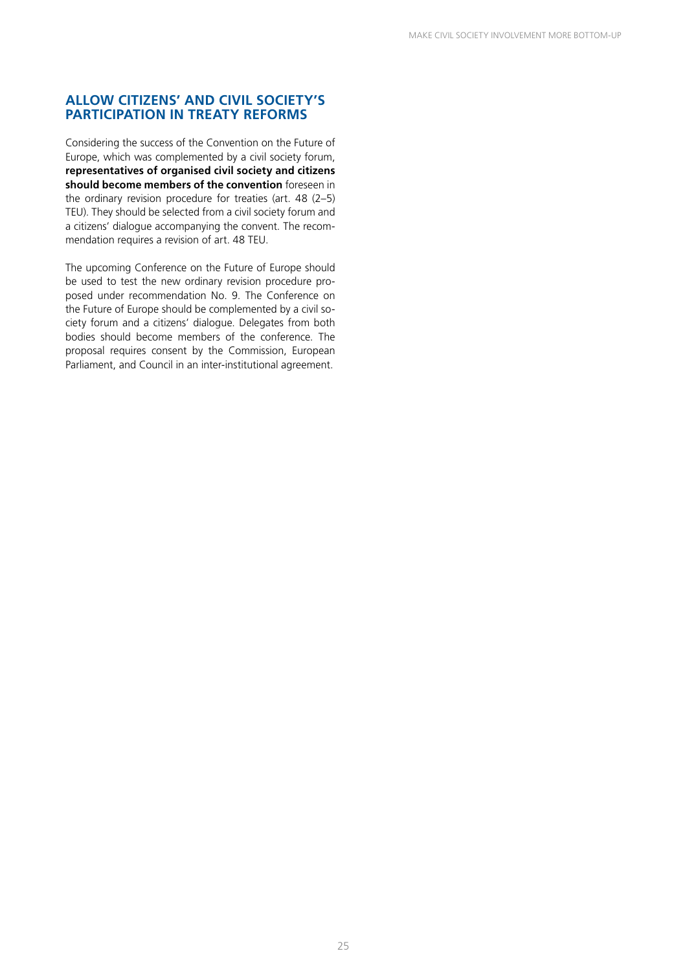#### **ALLOW CITIZENS' AND CIVIL SOCIETY'S PARTICIPATION IN TREATY REFORMS**

Considering the success of the Convention on the Future of Europe, which was complemented by a civil society forum, **representatives of organised civil society and citizens should become members of the convention** foreseen in the ordinary revision procedure for treaties (art. 48 (2–5) TEU). They should be selected from a civil society forum and a citizens' dialogue accompanying the convent. The recommendation requires a revision of art. 48 TEU.

The upcoming Conference on the Future of Europe should be used to test the new ordinary revision procedure proposed under recommendation No. 9. The Conference on the Future of Europe should be complemented by a civil society forum and a citizens' dialogue. Delegates from both bodies should become members of the conference. The proposal requires consent by the Commission, European Parliament, and Council in an inter-institutional agreement.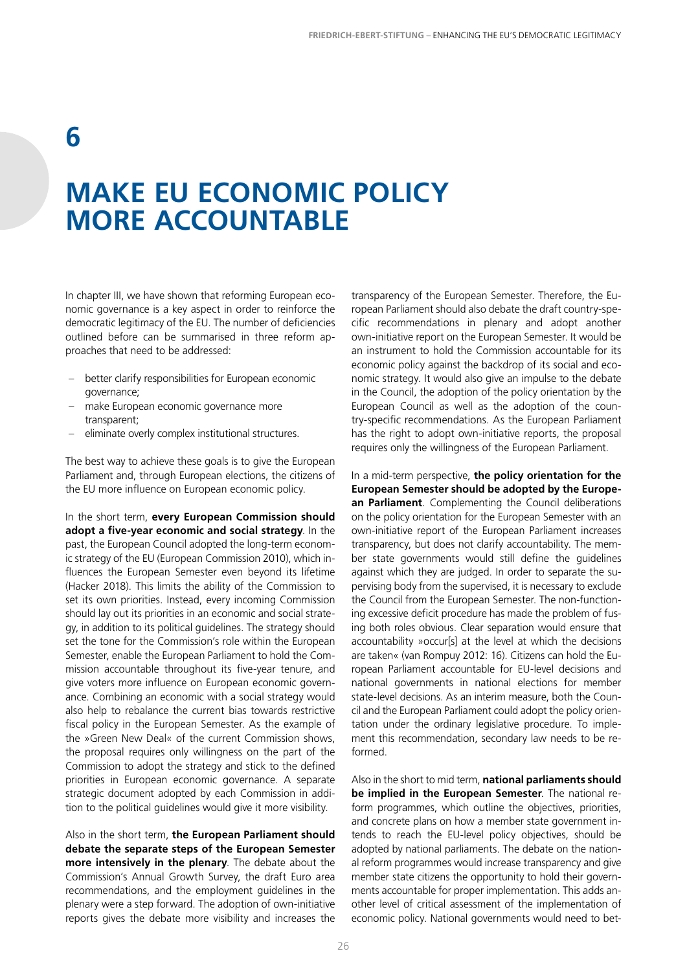### **6**

### **MAKE EU ECONOMIC POLICY MORE ACCOUNTABLE**

In chapter III, we have shown that reforming European economic governance is a key aspect in order to reinforce the democratic legitimacy of the EU. The number of deficiencies outlined before can be summarised in three reform approaches that need to be addressed:

- better clarify responsibilities for European economic governance;
- make European economic governance more transparent;
- eliminate overly complex institutional structures.

The best way to achieve these goals is to give the European Parliament and, through European elections, the citizens of the EU more influence on European economic policy.

In the short term, **every European Commission should adopt a five-year economic and social strategy**. In the past, the European Council adopted the long-term economic strategy of the EU (European Commission 2010), which influences the European Semester even beyond its lifetime (Hacker 2018). This limits the ability of the Commission to set its own priorities. Instead, every incoming Commission should lay out its priorities in an economic and social strategy, in addition to its political guidelines. The strategy should set the tone for the Commission's role within the European Semester, enable the European Parliament to hold the Commission accountable throughout its five-year tenure, and give voters more influence on European economic governance. Combining an economic with a social strategy would also help to rebalance the current bias towards restrictive fiscal policy in the European Semester. As the example of the »Green New Deal« of the current Commission shows, the proposal requires only willingness on the part of the Commission to adopt the strategy and stick to the defined priorities in European economic governance. A separate strategic document adopted by each Commission in addition to the political guidelines would give it more visibility.

Also in the short term, **the European Parliament should debate the separate steps of the European Semester more intensively in the plenary**. The debate about the Commission's Annual Growth Survey, the draft Euro area recommendations, and the employment guidelines in the plenary were a step forward. The adoption of own-initiative reports gives the debate more visibility and increases the

transparency of the European Semester. Therefore, the European Parliament should also debate the draft country-specific recommendations in plenary and adopt another own-initiative report on the European Semester. It would be an instrument to hold the Commission accountable for its economic policy against the backdrop of its social and economic strategy. It would also give an impulse to the debate in the Council, the adoption of the policy orientation by the European Council as well as the adoption of the country-specific recommendations. As the European Parliament has the right to adopt own-initiative reports, the proposal requires only the willingness of the European Parliament.

In a mid-term perspective, **the policy orientation for the European Semester should be adopted by the European Parliament**. Complementing the Council deliberations on the policy orientation for the European Semester with an own-initiative report of the European Parliament increases transparency, but does not clarify accountability. The member state governments would still define the guidelines against which they are judged. In order to separate the supervising body from the supervised, it is necessary to exclude the Council from the European Semester. The non-functioning excessive deficit procedure has made the problem of fusing both roles obvious. Clear separation would ensure that accountability »occur[s] at the level at which the decisions are taken« (van Rompuy 2012: 16). Citizens can hold the European Parliament accountable for EU-level decisions and national governments in national elections for member state-level decisions. As an interim measure, both the Council and the European Parliament could adopt the policy orientation under the ordinary legislative procedure. To implement this recommendation, secondary law needs to be reformed.

Also in the short to mid term, **national parliaments should be implied in the European Semester**. The national reform programmes, which outline the objectives, priorities, and concrete plans on how a member state government intends to reach the EU-level policy objectives, should be adopted by national parliaments. The debate on the national reform programmes would increase transparency and give member state citizens the opportunity to hold their governments accountable for proper implementation. This adds another level of critical assessment of the implementation of economic policy. National governments would need to bet-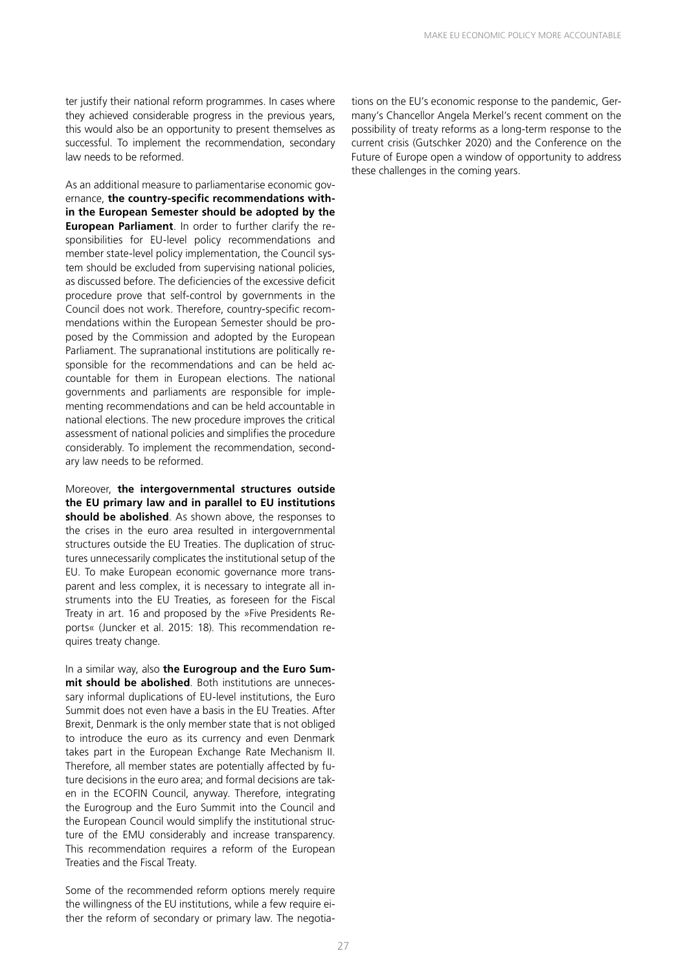ter justify their national reform programmes. In cases where they achieved considerable progress in the previous years, this would also be an opportunity to present themselves as successful. To implement the recommendation, secondary law needs to be reformed.

As an additional measure to parliamentarise economic governance, **the country-specific recommendations within the European Semester should be adopted by the European Parliament**. In order to further clarify the responsibilities for EU-level policy recommendations and member state-level policy implementation, the Council system should be excluded from supervising national policies, as discussed before. The deficiencies of the excessive deficit procedure prove that self-control by governments in the Council does not work. Therefore, country-specific recommendations within the European Semester should be proposed by the Commission and adopted by the European Parliament. The supranational institutions are politically responsible for the recommendations and can be held accountable for them in European elections. The national governments and parliaments are responsible for implementing recommendations and can be held accountable in national elections. The new procedure improves the critical assessment of national policies and simplifies the procedure considerably. To implement the recommendation, secondary law needs to be reformed.

Moreover, **the intergovernmental structures outside the EU primary law and in parallel to EU institutions should be abolished**. As shown above, the responses to the crises in the euro area resulted in intergovernmental structures outside the EU Treaties. The duplication of structures unnecessarily complicates the institutional setup of the EU. To make European economic governance more transparent and less complex, it is necessary to integrate all instruments into the EU Treaties, as foreseen for the Fiscal Treaty in art. 16 and proposed by the »Five Presidents Reports« (Juncker et al. 2015: 18). This recommendation requires treaty change.

In a similar way, also **the Eurogroup and the Euro Summit should be abolished**. Both institutions are unnecessary informal duplications of EU-level institutions, the Euro Summit does not even have a basis in the EU Treaties. After Brexit, Denmark is the only member state that is not obliged to introduce the euro as its currency and even Denmark takes part in the European Exchange Rate Mechanism II. Therefore, all member states are potentially affected by future decisions in the euro area; and formal decisions are taken in the ECOFIN Council, anyway. Therefore, integrating the Eurogroup and the Euro Summit into the Council and the European Council would simplify the institutional structure of the EMU considerably and increase transparency. This recommendation requires a reform of the European Treaties and the Fiscal Treaty.

Some of the recommended reform options merely require the willingness of the EU institutions, while a few require either the reform of secondary or primary law. The negotiations on the EU's economic response to the pandemic, Germany's Chancellor Angela Merkel's recent comment on the possibility of treaty reforms as a long-term response to the current crisis (Gutschker 2020) and the Conference on the Future of Europe open a window of opportunity to address these challenges in the coming years.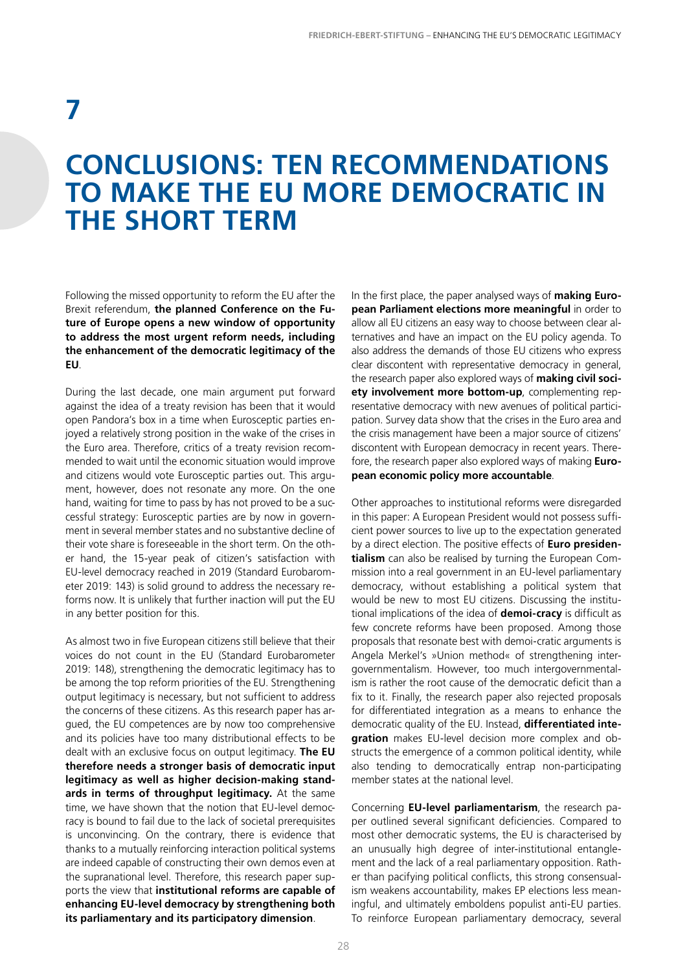# **7**

### **CONCLUSIONS: TEN RECOMMENDATIONS TO MAKE THE EU MORE DEMOCRATIC IN THE SHORT TERM**

Following the missed opportunity to reform the EU after the Brexit referendum, **the planned Conference on the Future of Europe opens a new window of opportunity to address the most urgent reform needs, including the enhancement of the democratic legitimacy of the EU**.

During the last decade, one main argument put forward against the idea of a treaty revision has been that it would open Pandora's box in a time when Eurosceptic parties enjoyed a relatively strong position in the wake of the crises in the Euro area. Therefore, critics of a treaty revision recommended to wait until the economic situation would improve and citizens would vote Eurosceptic parties out. This argument, however, does not resonate any more. On the one hand, waiting for time to pass by has not proved to be a successful strategy: Eurosceptic parties are by now in government in several member states and no substantive decline of their vote share is foreseeable in the short term. On the other hand, the 15-year peak of citizen's satisfaction with EU-level democracy reached in 2019 (Standard Eurobarometer 2019: 143) is solid ground to address the necessary reforms now. It is unlikely that further inaction will put the EU in any better position for this.

As almost two in five European citizens still believe that their voices do not count in the EU (Standard Eurobarometer 2019: 148), strengthening the democratic legitimacy has to be among the top reform priorities of the EU. Strengthening output legitimacy is necessary, but not sufficient to address the concerns of these citizens. As this research paper has argued, the EU competences are by now too comprehensive and its policies have too many distributional effects to be dealt with an exclusive focus on output legitimacy. **The EU therefore needs a stronger basis of democratic input legitimacy as well as higher decision-making standards in terms of throughput legitimacy.** At the same time, we have shown that the notion that EU-level democracy is bound to fail due to the lack of societal prerequisites is unconvincing. On the contrary, there is evidence that thanks to a mutually reinforcing interaction political systems are indeed capable of constructing their own demos even at the supranational level. Therefore, this research paper supports the view that **institutional reforms are capable of enhancing EU-level democracy by strengthening both its parliamentary and its participatory dimension**.

In the first place, the paper analysed ways of **making European Parliament elections more meaningful** in order to allow all EU citizens an easy way to choose between clear alternatives and have an impact on the EU policy agenda. To also address the demands of those EU citizens who express clear discontent with representative democracy in general, the research paper also explored ways of **making civil society involvement more bottom-up**, complementing representative democracy with new avenues of political participation. Survey data show that the crises in the Euro area and the crisis management have been a major source of citizens' discontent with European democracy in recent years. Therefore, the research paper also explored ways of making **European economic policy more accountable**.

Other approaches to institutional reforms were disregarded in this paper: A European President would not possess sufficient power sources to live up to the expectation generated by a direct election. The positive effects of **Euro presidentialism** can also be realised by turning the European Commission into a real government in an EU-level parliamentary democracy, without establishing a political system that would be new to most EU citizens. Discussing the institutional implications of the idea of **demoi-cracy** is difficult as few concrete reforms have been proposed. Among those proposals that resonate best with demoi-cratic arguments is Angela Merkel's »Union method« of strengthening intergovernmentalism. However, too much intergovernmentalism is rather the root cause of the democratic deficit than a fix to it. Finally, the research paper also rejected proposals for differentiated integration as a means to enhance the democratic quality of the EU. Instead, **differentiated integration** makes EU-level decision more complex and obstructs the emergence of a common political identity, while also tending to democratically entrap non-participating member states at the national level.

Concerning **EU-level parliamentarism**, the research paper outlined several significant deficiencies. Compared to most other democratic systems, the EU is characterised by an unusually high degree of inter-institutional entanglement and the lack of a real parliamentary opposition. Rather than pacifying political conflicts, this strong consensualism weakens accountability, makes EP elections less meaningful, and ultimately emboldens populist anti-EU parties. To reinforce European parliamentary democracy, several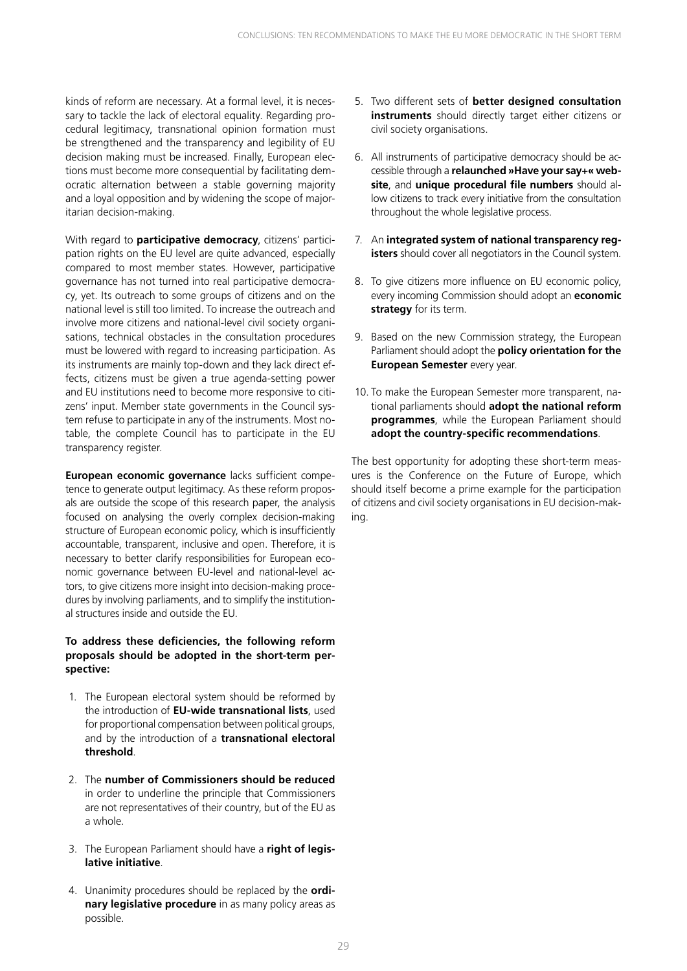kinds of reform are necessary. At a formal level, it is necessary to tackle the lack of electoral equality. Regarding procedural legitimacy, transnational opinion formation must be strengthened and the transparency and legibility of EU decision making must be increased. Finally, European elections must become more consequential by facilitating democratic alternation between a stable governing majority and a loyal opposition and by widening the scope of majoritarian decision-making.

With regard to **participative democracy**, citizens' participation rights on the EU level are quite advanced, especially compared to most member states. However, participative governance has not turned into real participative democracy, yet. Its outreach to some groups of citizens and on the national level is still too limited. To increase the outreach and involve more citizens and national-level civil society organisations, technical obstacles in the consultation procedures must be lowered with regard to increasing participation. As its instruments are mainly top-down and they lack direct effects, citizens must be given a true agenda-setting power and EU institutions need to become more responsive to citizens' input. Member state governments in the Council system refuse to participate in any of the instruments. Most notable, the complete Council has to participate in the EU transparency register.

**European economic governance** lacks sufficient competence to generate output legitimacy. As these reform proposals are outside the scope of this research paper, the analysis focused on analysing the overly complex decision-making structure of European economic policy, which is insufficiently accountable, transparent, inclusive and open. Therefore, it is necessary to better clarify responsibilities for European economic governance between EU-level and national-level actors, to give citizens more insight into decision-making procedures by involving parliaments, and to simplify the institutional structures inside and outside the EU.

#### **To address these deficiencies, the following reform proposals should be adopted in the short-term perspective:**

- 1. The European electoral system should be reformed by the introduction of **EU-wide transnational lists**, used for proportional compensation between political groups, and by the introduction of a **transnational electoral threshold**.
- 2. The **number of Commissioners should be reduced** in order to underline the principle that Commissioners are not representatives of their country, but of the EU as a whole.
- 3. The European Parliament should have a **right of legislative initiative**.
- 4. Unanimity procedures should be replaced by the **ordinary legislative procedure** in as many policy areas as possible.
- 5. Two different sets of **better designed consultation instruments** should directly target either citizens or civil society organisations.
- 6. All instruments of participative democracy should be accessible through a **relaunched »Have your say+« website**, and **unique procedural file numbers** should allow citizens to track every initiative from the consultation throughout the whole legislative process.
- 7. An **integrated system of national transparency registers** should cover all negotiators in the Council system.
- 8. To give citizens more influence on EU economic policy, every incoming Commission should adopt an **economic strategy** for its term.
- 9. Based on the new Commission strategy, the European Parliament should adopt the **policy orientation for the European Semester** every year.
- 10. To make the European Semester more transparent, national parliaments should **adopt the national reform programmes**, while the European Parliament should **adopt the country-specific recommendations**.

The best opportunity for adopting these short-term measures is the Conference on the Future of Europe, which should itself become a prime example for the participation of citizens and civil society organisations in EU decision-making.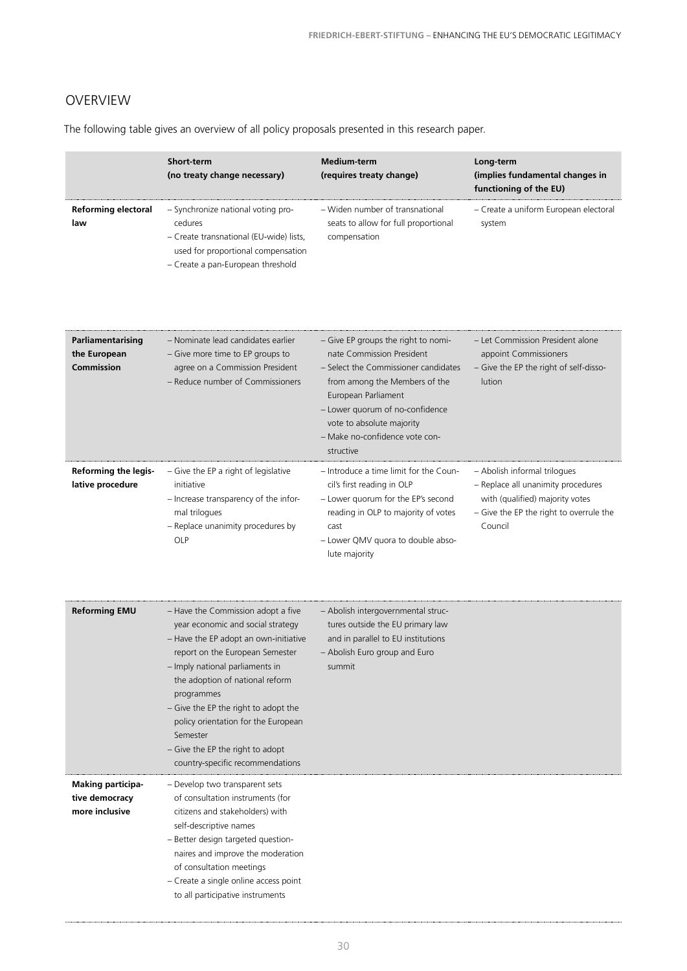### OVERVIEW

The following table gives an overview of all policy proposals presented in this research paper.

|                                                              | <b>Short-term</b><br>(no treaty change necessary)                                                                                                                                                                                                                                                                                                                                                        | <b>Medium-term</b><br>(requires treaty change)                                                                                                                                                                                                                                  | Long-term<br>(implies fundamental changes in<br>functioning of the EU)                                                                                      |
|--------------------------------------------------------------|----------------------------------------------------------------------------------------------------------------------------------------------------------------------------------------------------------------------------------------------------------------------------------------------------------------------------------------------------------------------------------------------------------|---------------------------------------------------------------------------------------------------------------------------------------------------------------------------------------------------------------------------------------------------------------------------------|-------------------------------------------------------------------------------------------------------------------------------------------------------------|
| <b>Reforming electoral</b><br>law                            | - Synchronize national voting pro-<br>cedures<br>- Create transnational (EU-wide) lists,<br>used for proportional compensation<br>- Create a pan-European threshold                                                                                                                                                                                                                                      | - Widen number of transnational<br>seats to allow for full proportional<br>compensation                                                                                                                                                                                         | - Create a uniform European electoral<br>system                                                                                                             |
| Parliamentarising<br>the European<br><b>Commission</b>       | - Nominate lead candidates earlier<br>- Give more time to EP groups to<br>agree on a Commission President<br>- Reduce number of Commissioners                                                                                                                                                                                                                                                            | - Give EP groups the right to nomi-<br>nate Commission President<br>- Select the Commissioner candidates<br>from among the Members of the<br>European Parliament<br>- Lower quorum of no-confidence<br>vote to absolute majority<br>- Make no-confidence vote con-<br>structive | - Let Commission President alone<br>appoint Commissioners<br>- Give the EP the right of self-disso-<br>lution                                               |
| <b>Reforming the legis-</b><br>lative procedure              | - Give the EP a right of legislative<br>initiative<br>- Increase transparency of the infor-<br>mal trilogues<br>- Replace unanimity procedures by<br>OLP                                                                                                                                                                                                                                                 | - Introduce a time limit for the Coun-<br>cil's first reading in OLP<br>- Lower quorum for the EP's second<br>reading in OLP to majority of votes<br>cast<br>- Lower QMV quora to double abso-<br>lute majority                                                                 | - Abolish informal trilogues<br>- Replace all unanimity procedures<br>with (qualified) majority votes<br>- Give the EP the right to overrule the<br>Council |
| <b>Reforming EMU</b>                                         | - Have the Commission adopt a five<br>year economic and social strategy<br>- Have the EP adopt an own-initiative<br>report on the European Semester<br>Imply national parliaments in<br>the adoption of national reform<br>programmes<br>- Give the EP the right to adopt the<br>policy orientation for the European<br>Semester<br>- Give the EP the right to adopt<br>country-specific recommendations | - Abolish intergovernmental struc-<br>tures outside the EU primary law<br>and in parallel to EU institutions<br>- Abolish Euro group and Euro<br>summit                                                                                                                         |                                                                                                                                                             |
| <b>Making participa-</b><br>tive democracy<br>more inclusive | - Develop two transparent sets<br>of consultation instruments (for<br>citizens and stakeholders) with<br>self-descriptive names<br>- Better design targeted question-<br>naires and improve the moderation<br>of consultation meetings<br>- Create a single online access point<br>to all participative instruments                                                                                      |                                                                                                                                                                                                                                                                                 |                                                                                                                                                             |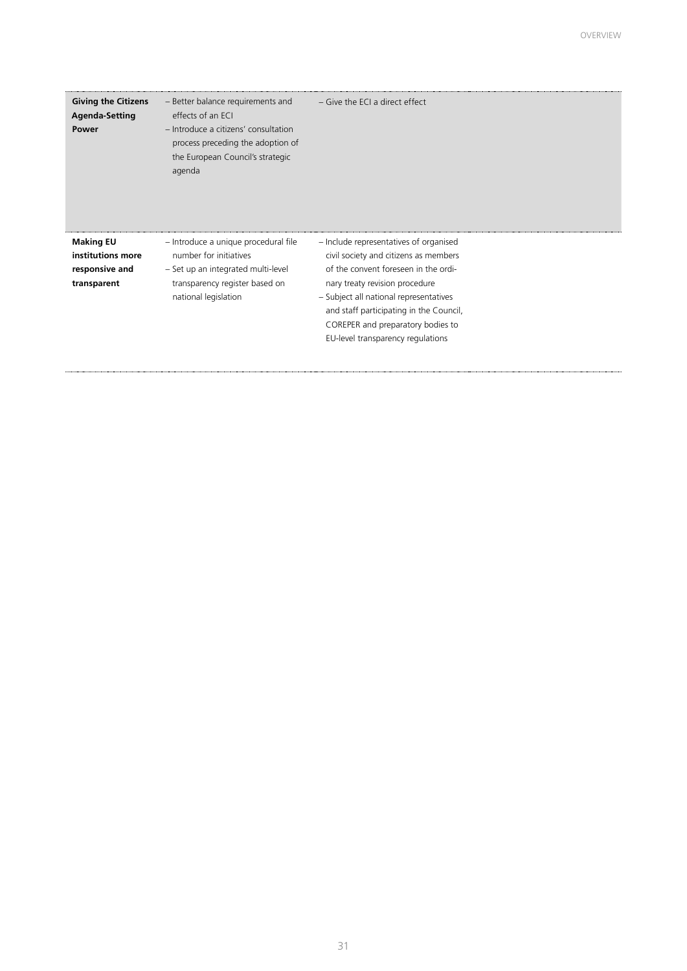| <b>Giving the Citizens</b><br><b>Agenda-Setting</b><br>Power           | - Better balance requirements and<br>effects of an ECI<br>- Introduce a citizens' consultation<br>process preceding the adoption of<br>the European Council's strategic<br>agenda | – Give the ECI a direct effect                                                                                                                                                                                                                                                                                           |
|------------------------------------------------------------------------|-----------------------------------------------------------------------------------------------------------------------------------------------------------------------------------|--------------------------------------------------------------------------------------------------------------------------------------------------------------------------------------------------------------------------------------------------------------------------------------------------------------------------|
| <b>Making EU</b><br>institutions more<br>responsive and<br>transparent | - Introduce a unique procedural file<br>number for initiatives<br>- Set up an integrated multi-level<br>transparency register based on<br>national legislation                    | - Include representatives of organised<br>civil society and citizens as members<br>of the convent foreseen in the ordi-<br>nary treaty revision procedure<br>- Subject all national representatives<br>and staff participating in the Council,<br>COREPER and preparatory bodies to<br>EU-level transparency regulations |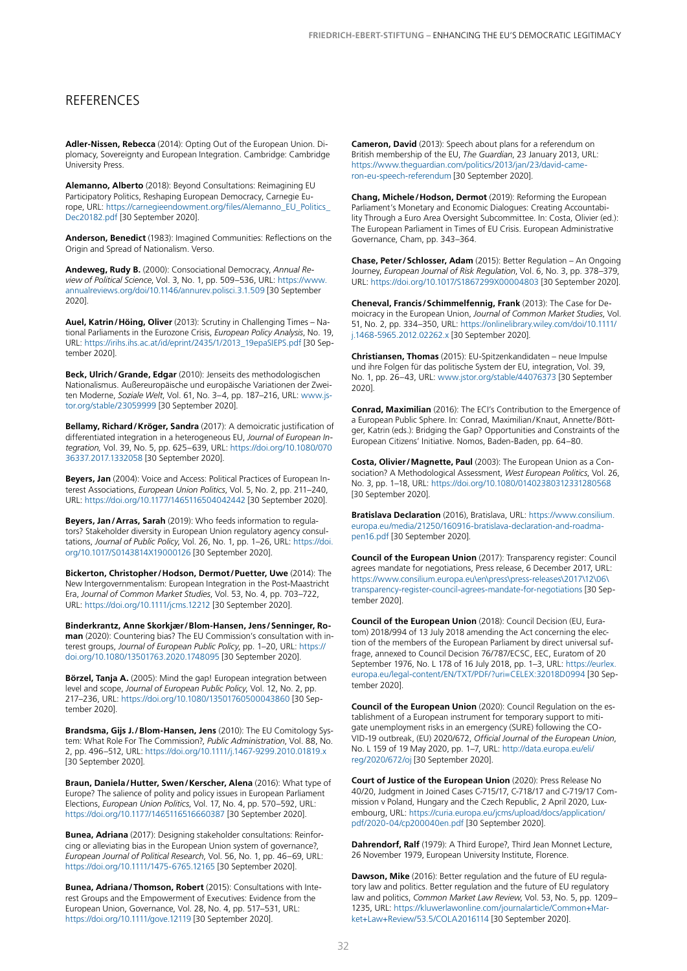#### **REFERENCES**

**Adler-Nissen, Rebecca** (2014): Opting Out of the European Union. Diplomacy, Sovereignty and European Integration. Cambridge: Cambridge University Press.

**Alemanno, Alberto** (2018): Beyond Consultations: Reimagining EU Participatory Politics, Reshaping European Democracy, Carnegie Europe, URL: [https://carnegieendowment.org/files/Alemanno\\_EU\\_Politics\\_](https://carnegieendowment.org/files/Alemanno_EU_Politics_Dec20182.pdf) [Dec20182.pdf](https://carnegieendowment.org/files/Alemanno_EU_Politics_Dec20182.pdf) [30 September 2020].

**Anderson, Benedict** (1983): Imagined Communities: Reflections on the Origin and Spread of Nationalism. Verso.

**Andeweg, Rudy B.** (2000): Consociational Democracy, *Annual Review of Political Science*, Vol. 3, No. 1, pp. 509–536, URL: [https://www.](https://www.annualreviews.org/doi/10.1146/annurev.polisci.3.1.509) [annualreviews.org/doi/10.1146/annurev.polisci.3.1.509](https://www.annualreviews.org/doi/10.1146/annurev.polisci.3.1.509) [30 September 2020].

**Auel, Katrin/Höing, Oliver** (2013): Scrutiny in Challenging Times – National Parliaments in the Eurozone Crisis, *European Policy Analysis*, No. 19, URL: [https://irihs.ihs.ac.at/id/eprint/2435/1/2013\\_19epaSIEPS.pdf](https://irihs.ihs.ac.at/id/eprint/2435/1/2013_19epaSIEPS.pdf) [30 September 2020].

**Beck, Ulrich/Grande, Edgar** (2010): Jenseits des methodologischen Nationalismus. Außereuropäische und europäische Variationen der Zweiten Moderne, *Soziale Welt*, Vol. 61, No. 3–4, pp. 187–216, URL: [www.js](http://www.jstor.org/stable/23059999)[tor.org/stable/23059999](http://www.jstor.org/stable/23059999) [30 September 2020].

**Bellamy, Richard/Kröger, Sandra** (2017): A demoicratic justification of differentiated integration in a heterogeneous EU, *Journal of European Integration,* Vol. 39, No. 5, pp. 625–639, URL: [https://doi.org/10.1080/070](https://doi.org/10.1080/07036337.2017.1332058) [36337.2017.1332058](https://doi.org/10.1080/07036337.2017.1332058) [30 September 2020].

**Beyers, Jan** (2004): Voice and Access: Political Practices of European Interest Associations, *European Union Politics*, Vol. 5, No. 2, pp. 211–240, URL:<https://doi.org/10.1177/1465116504042442>[30 September 2020].

**Beyers, Jan/Arras, Sarah** (2019): Who feeds information to regulators? Stakeholder diversity in European Union regulatory agency consultations, *Journal of Public Policy*, Vol. 26, No. 1, pp. 1–26, URL: [https://doi.](https://doi.org/10.1017/S0143814X19000126) [org/10.1017/S0143814X19000126](https://doi.org/10.1017/S0143814X19000126) [30 September 2020].

**Bickerton, Christopher/Hodson, Dermot/Puetter, Uwe** (2014): The New Intergovernmentalism: European Integration in the Post-Maastricht Era, *Journal of Common Market Studies*, Vol. 53, No. 4, pp. 703–722, URL:<https://doi.org/10.1111/jcms.12212> [30 September 2020].

**Binderkrantz, Anne Skorkjær/Blom-Hansen, Jens/Senninger, Roman** (2020): Countering bias? The EU Commission's consultation with interest groups, *Journal of European Public Policy*, pp. 1–20, URL: [https://](https://doi.org/10.1080/13501763.2020.1748095) [doi.org/10.1080/13501763.2020.1748095](https://doi.org/10.1080/13501763.2020.1748095) [30 September 2020].

**Börzel, Tanja A.** (2005): Mind the gap! European integration between level and scope, *Journal of European Public Policy*, Vol. 12, No. 2, pp. 217–236, URL:<https://doi.org/10.1080/13501760500043860> [30 September 2020].

**Brandsma, Gijs J./Blom-Hansen, Jens** (2010): The EU Comitology System: What Role For The Commission?, *Public Administration*, Vol. 88, No. 2, pp. 496–512, URL:<https://doi.org/10.1111/j.1467-9299.2010.01819.x> [30 September 2020].

**Braun, Daniela/Hutter, Swen/Kerscher, Alena** (2016): What type of Europe? The salience of polity and policy issues in European Parliament Elections, *European Union Politics*, Vol. 17, No. 4, pp. 570–592, URL: <https://doi.org/10.1177/1465116516660387>[30 September 2020].

**Bunea, Adriana** (2017): Designing stakeholder consultations: Reinforcing or alleviating bias in the European Union system of governance?, *European Journal of Political Research*, Vol. 56, No. 1, pp. 46–69, URL: <https://doi.org/10.1111/1475-6765.12165> [30 September 2020].

**Bunea, Adriana/Thomson, Robert** (2015): Consultations with Interest Groups and the Empowerment of Executives: Evidence from the European Union, Governance, Vol. 28, No. 4, pp. 517–531, URL: <https://doi.org/10.1111/gove.12119>[30 September 2020].

**Cameron, David** (2013): Speech about plans for a referendum on British membership of the EU, *The Guardian*, 23 January 2013, URL: [https://www.theguardian.com/politics/2013/jan/23/david-came](https://www.theguardian.com/politics/2013/jan/23/david-cameron-eu-speech-referendum)[ron-eu-speech-referendum](https://www.theguardian.com/politics/2013/jan/23/david-cameron-eu-speech-referendum) [30 September 2020].

**Chang, Michele/Hodson, Dermot** (2019): Reforming the European Parliament's Monetary and Economic Dialogues: Creating Accountability Through a Euro Area Oversight Subcommittee. In: Costa, Olivier (ed.): The European Parliament in Times of EU Crisis. European Administrative Governance, Cham, pp. 343–364.

**Chase, Peter/Schlosser, Adam** (2015): Better Regulation – An Ongoing Journey, *European Journal of Risk Regulation*, Vol. 6, No. 3, pp. 378–379, URL:<https://doi.org/10.1017/S1867299X00004803>[30 September 2020].

**Cheneval, Francis/Schimmelfennig, Frank** (2013): The Case for Demoicracy in the European Union, *Journal of Common Market Studies*, Vol. 51, No. 2, pp. 334–350, URL: [https://onlinelibrary.wiley.com/doi/10.1111/](https://onlinelibrary.wiley.com/doi/10.1111/j.1468-5965.2012.02262.x) [j.1468-5965.2012.02262.x](https://onlinelibrary.wiley.com/doi/10.1111/j.1468-5965.2012.02262.x) [30 September 2020].

**Christiansen, Thomas** (2015): EU-Spitzenkandidaten – neue Impulse und ihre Folgen für das politische System der EU, integration, Vol. 39, No. 1, pp. 26–43, URL: [www.jstor.org/stable/44076373](http:// www.jstor.org/stable/44076373) [30 September 2020].

**Conrad, Maximilian** (2016): The ECI's Contribution to the Emergence of a European Public Sphere. In: Conrad, Maximilian/Knaut, Annette/Böttger, Katrin (eds.): Bridging the Gap? Opportunities and Constraints of the European Citizens' Initiative. Nomos, Baden-Baden, pp. 64–80.

**Costa, Olivier/Magnette, Paul** (2003): The European Union as a Consociation? A Methodological Assessment, *West European Politics*, Vol. 26, No. 3, pp. 1–18, URL: <https://doi.org/10.1080/01402380312331280568> [30 September 2020].

**Bratislava Declaration** (2016), Bratislava, URL: [https://www.consilium.](https://www.consilium.europa.eu/media/21250/160916-bratislava-declaration-and-roadmapen16.pdf) [europa.eu/media/21250/160916-bratislava-declaration-and-roadma](https://www.consilium.europa.eu/media/21250/160916-bratislava-declaration-and-roadmapen16.pdf)[pen16.pdf](https://www.consilium.europa.eu/media/21250/160916-bratislava-declaration-and-roadmapen16.pdf) [30 September 2020].

**Council of the European Union** (2017): Transparency register: Council agrees mandate for negotiations, Press release, 6 December 2017, URL: [https://www.consilium.europa.eu\en\press\press-releases\2017\12\06\](https://www.consilium.europa.eu\en\press\press-releases\2017\12\06\transparency-register-council-agrees-mandate-for-negotiations) [transparency-register-council-agrees-mandate-for-negotiations](https://www.consilium.europa.eu\en\press\press-releases\2017\12\06\transparency-register-council-agrees-mandate-for-negotiations) [30 September 2020].

**Council of the European Union** (2018): Council Decision (EU, Euratom) 2018/994 of 13 July 2018 amending the Act concerning the election of the members of the European Parliament by direct universal suffrage, annexed to Council Decision 76/787/ECSC, EEC, Euratom of 20 September 1976, No. L 178 of 16 July 2018, pp. 1–3, URL: [https://eurlex.](https://eurlex.europa.eu/legal-content/EN/TXT/PDF/?uri=CELEX:32018D0994) [europa.eu/legal-content/EN/TXT/PDF/?uri=CELEX:32018D0994](https://eurlex.europa.eu/legal-content/EN/TXT/PDF/?uri=CELEX:32018D0994) [30 September 2020].

**Council of the European Union** (2020): Council Regulation on the establishment of a European instrument for temporary support to mitigate unemployment risks in an emergency (SURE) following the CO-VID-19 outbreak, (EU) 2020/672, *Official Journal of the European Union*, No. L 159 of 19 May 2020, pp. 1–7, URL: [http://data.europa.eu/eli/](http://data.europa.eu/eli/reg/2020/672/oj) [reg/2020/672/oj](http://data.europa.eu/eli/reg/2020/672/oj) [30 September 2020].

**Court of Justice of the European Union** (2020): Press Release No 40/20, Judgment in Joined Cases C-715/17, C-718/17 and C-719/17 Commission v Poland, Hungary and the Czech Republic, 2 April 2020, Luxembourg, URL: [https://curia.europa.eu/jcms/upload/docs/application/](https://curia.europa.eu/jcms/upload/docs/application/pdf/2020-04/cp200040en.pdf) [pdf/2020-04/cp200040en.pdf](https://curia.europa.eu/jcms/upload/docs/application/pdf/2020-04/cp200040en.pdf) [30 September 2020].

**Dahrendorf, Ralf** (1979): A Third Europe?, Third Jean Monnet Lecture, 26 November 1979, European University Institute, Florence.

**Dawson, Mike** (2016): Better regulation and the future of EU regulatory law and politics. Better regulation and the future of EU regulatory law and politics, *Common Market Law Review*, Vol. 53, No. 5, pp. 1209– 1235, URL: [https://kluwerlawonline.com/journalarticle/Common+Mar](https://kluwerlawonline.com/journalarticle/Common+Market+Law+Review/53.5/COLA2016114)[ket+Law+Review/53.5/COLA2016114](https://kluwerlawonline.com/journalarticle/Common+Market+Law+Review/53.5/COLA2016114) [30 September 2020].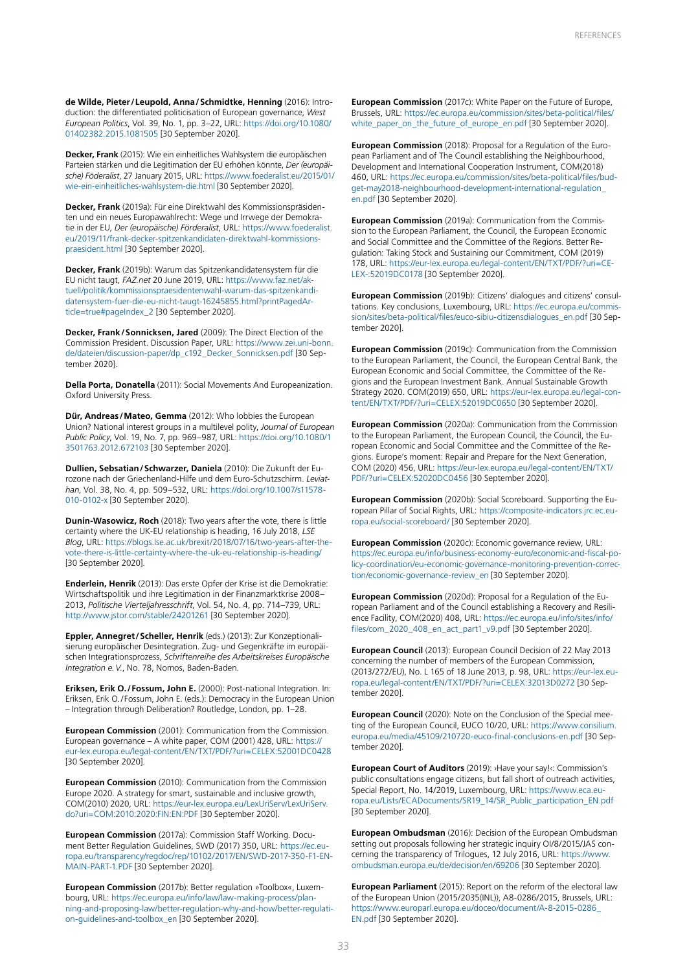**de Wilde, Pieter/Leupold, Anna/Schmidtke, Henning** (2016): Introduction: the differentiated politicisation of European governance, *West European Politics*, Vol. 39, No. 1, pp. 3–22, URL: [https://doi.org/10.1080/](https://doi.org/10.1080/01402382.2015.1081505) [01402382.2015.1081505](https://doi.org/10.1080/01402382.2015.1081505) [30 September 2020].

**Decker, Frank** (2015): Wie ein einheitliches Wahlsystem die europäischen Parteien stärken und die Legitimation der EU erhöhen könnte, *Der (europäische) Föderalist*, 27 January 2015, URL: [https://www.foederalist.eu/2015/01/](https://www.foederalist.eu/2015/01/wie-ein-einheitliches-wahlsystem-die.html) [wie-ein-einheitliches-wahlsystem-die.html](https://www.foederalist.eu/2015/01/wie-ein-einheitliches-wahlsystem-die.html) [30 September 2020].

**Decker, Frank** (2019a): Für eine Direktwahl des Kommissionspräsidenten und ein neues Europawahlrecht: Wege und Irrwege der Demokratie in der EU, *Der (europäische) Förderalist*, URL: [https://www.foederalist.](https://www.foederalist.eu/2019/11/frank-decker-spitzenkandidaten-direktwahl-kommissionspraesident.html) [eu/2019/11/frank-decker-spitzenkandidaten-direktwahl-kommissions](https://www.foederalist.eu/2019/11/frank-decker-spitzenkandidaten-direktwahl-kommissionspraesident.html)[praesident.html](https://www.foederalist.eu/2019/11/frank-decker-spitzenkandidaten-direktwahl-kommissionspraesident.html) [30 September 2020].

**Decker, Frank** (2019b): Warum das Spitzenkandidatensystem für die EU nicht taugt, *FAZ.net* 20 June 2019, URL: [https://www.faz.net/ak](https://www.faz.net/aktuell/politik/kommissionspraesidentenwahl-warum-das-spitzenkandidatensystem-fuer-die-eu-nicht-taugt-16245855.html?printPagedArticle=true#pageIndex_2)[tuell/politik/kommissionspraesidentenwahl-warum-das-spitzenkandi](https://www.faz.net/aktuell/politik/kommissionspraesidentenwahl-warum-das-spitzenkandidatensystem-fuer-die-eu-nicht-taugt-16245855.html?printPagedArticle=true#pageIndex_2)[datensystem-fuer-die-eu-nicht-taugt-16245855.html?printPagedAr](https://www.faz.net/aktuell/politik/kommissionspraesidentenwahl-warum-das-spitzenkandidatensystem-fuer-die-eu-nicht-taugt-16245855.html?printPagedArticle=true#pageIndex_2)[ticle=true#pageIndex\\_2](https://www.faz.net/aktuell/politik/kommissionspraesidentenwahl-warum-das-spitzenkandidatensystem-fuer-die-eu-nicht-taugt-16245855.html?printPagedArticle=true#pageIndex_2) [30 September 2020].

**Decker, Frank/Sonnicksen, Jared** (2009): The Direct Election of the Commission President. Discussion Paper, URL: [https://www.zei.uni-bonn.](https://www.zei.uni-bonn.de/dateien/discussion-paper/dp_c192_Decker_Sonnicksen.pdf) [de/dateien/discussion-paper/dp\\_c192\\_Decker\\_Sonnicksen.pdf](https://www.zei.uni-bonn.de/dateien/discussion-paper/dp_c192_Decker_Sonnicksen.pdf) [30 September 2020].

**Della Porta, Donatella** (2011): Social Movements And Europeanization. Oxford University Press.

**Dür, Andreas/Mateo, Gemma** (2012): Who lobbies the European Union? National interest groups in a multilevel polity, *Journal of European Public Policy*, Vol. 19, No. 7, pp. 969–987, URL: [https://doi.org/10.1080/1](https://doi.org/10.1080/13501763.2012.672103) [3501763.2012.672103](https://doi.org/10.1080/13501763.2012.672103) [30 September 2020].

**Dullien, Sebsatian/Schwarzer, Daniela** (2010): Die Zukunft der Eurozone nach der Griechenland-Hilfe und dem Euro-Schutzschirm. *Leviathan*, Vol. 38, No. 4, pp. 509–532, URL: [https://doi.org/10.1007/s11578-](https://doi.org/10.1007/s11578-010-0102-x) [010-0102-x](https://doi.org/10.1007/s11578-010-0102-x) [30 September 2020].

**Dunin-Wasowicz, Roch** (2018): Two years after the vote, there is little certainty where the UK-EU relationship is heading, 16 July 2018, *LSE Blog*, URL: [https://blogs.lse.ac.uk/brexit/2018/07/16/two-years-after-the](https://blogs.lse.ac.uk/brexit/2018/07/16/two-years-after-the-vote-there-is-little-certainty-where-the-uk-eu-relationship-is-heading/)[vote-there-is-little-certainty-where-the-uk-eu-relationship-is-heading/](https://blogs.lse.ac.uk/brexit/2018/07/16/two-years-after-the-vote-there-is-little-certainty-where-the-uk-eu-relationship-is-heading/) [30 September 2020].

**Enderlein, Henrik** (2013): Das erste Opfer der Krise ist die Demokratie: Wirtschaftspolitik und ihre Legitimation in der Finanzmarktkrise 2008– 2013, *Politische Vierteljahresschrift*, Vol. 54, No. 4, pp. 714–739, URL: <http://www.jstor.com/stable/24201261>[30 September 2020].

**Eppler, Annegret/Scheller, Henrik** (eds.) (2013): Zur Konzeptionalisierung europäischer Desintegration. Zug- und Gegenkräfte im europäischen Integrationsprozess, *Schriftenreihe des Arbeitskreises Europäische Integration e.V.*, No. 78, Nomos, Baden-Baden.

**Eriksen, Erik O./Fossum, John E.** (2000): Post-national Integration. In: Eriksen, Erik O./Fossum, John E. (eds.): Democracy in the European Union – Integration through Deliberation? Routledge, London, pp. 1–28.

**European Commission** (2001): Communication from the Commission. European governance – A white paper, COM (2001) 428, URL: [https://](https://eur-lex.europa.eu/legal-content/EN/TXT/PDF/?uri=CELEX:52001DC0428) [eur-lex.europa.eu/legal-content/EN/TXT/PDF/?uri=CELEX:52001DC0428](https://eur-lex.europa.eu/legal-content/EN/TXT/PDF/?uri=CELEX:52001DC0428) [30 September 2020].

**European Commission** (2010): Communication from the Commission Europe 2020. A strategy for smart, sustainable and inclusive growth, COM(2010) 2020, URL: [https://eur-lex.europa.eu/LexUriServ/LexUriServ.](https://eur-lex.europa.eu/LexUriServ/LexUriServ. do?uri=COM:2010:2020:FIN:EN:PDF)  [do?uri=COM:2010:2020:FIN:EN:PDF](https://eur-lex.europa.eu/LexUriServ/LexUriServ. do?uri=COM:2010:2020:FIN:EN:PDF) [30 September 2020].

**European Commission** (2017a): Commission Staff Working. Document Better Regulation Guidelines, SWD (2017) 350, URL: [https://ec.eu](https://ec.europa.eu/transparency/regdoc/rep/10102/2017/EN/SWD-2017-350-F1-ENMAIN-PART-1.PDF)[ropa.eu/transparency/regdoc/rep/10102/2017/EN/SWD-2017-350-F1-EN-](https://ec.europa.eu/transparency/regdoc/rep/10102/2017/EN/SWD-2017-350-F1-ENMAIN-PART-1.PDF)[MAIN-PART-1.PDF](https://ec.europa.eu/transparency/regdoc/rep/10102/2017/EN/SWD-2017-350-F1-ENMAIN-PART-1.PDF) [30 September 2020].

**European Commission** (2017b): Better regulation »Toolbox«, Luxembourg, URL: [https://ec.europa.eu/info/law/law-making-process/plan](https://ec.europa.eu/info/law/law-making-process/planning-and-proposing-law/better-regulation-why-and-how/better-regulation-guidelines-and-toolbox_en)[ning-and-proposing-law/better-regulation-why-and-how/better-regulati](https://ec.europa.eu/info/law/law-making-process/planning-and-proposing-law/better-regulation-why-and-how/better-regulation-guidelines-and-toolbox_en)[on-guidelines-and-toolbox\\_en](https://ec.europa.eu/info/law/law-making-process/planning-and-proposing-law/better-regulation-why-and-how/better-regulation-guidelines-and-toolbox_en) [30 September 2020].

**European Commission** (2017c): White Paper on the Future of Europe, Brussels, URL: [https://ec.europa.eu/commission/sites/beta-political/files/](https://ec.europa.eu/commission/sites/beta-political/files/white_paper_on_the_future_of_europe_en.pdf) [white\\_paper\\_on\\_the\\_future\\_of\\_europe\\_en.pdf](https://ec.europa.eu/commission/sites/beta-political/files/white_paper_on_the_future_of_europe_en.pdf) [30 September 2020].

**European Commission** (2018): Proposal for a Regulation of the European Parliament and of The Council establishing the Neighbourhood, Development and International Cooperation Instrument, COM(2018) 460, URL: [https://ec.europa.eu/commission/sites/beta-political/files/bud](https://ec.europa.eu/commission/sites/beta-political/files/budget-may2018-neighbourhood-development-international-regulation_en.pdf)[get-may2018-neighbourhood-development-international-regulation\\_](https://ec.europa.eu/commission/sites/beta-political/files/budget-may2018-neighbourhood-development-international-regulation_en.pdf)  [en.pdf](https://ec.europa.eu/commission/sites/beta-political/files/budget-may2018-neighbourhood-development-international-regulation_en.pdf) [30 September 2020].

**European Commission** (2019a): Communication from the Commission to the European Parliament, the Council, the European Economic and Social Committee and the Committee of the Regions. Better Regulation: Taking Stock and Sustaining our Commitment, COM (2019) 178, URL: [https://eur-lex.europa.eu/legal-content/EN/TXT/PDF/?uri=CE-](https://eur-lex.europa.eu/legal-content/EN/TXT/PDF/?uri=CELEX-:52019DC0178)[LEX-:52019DC0178](https://eur-lex.europa.eu/legal-content/EN/TXT/PDF/?uri=CELEX-:52019DC0178) [30 September 2020].

**European Commission** (2019b): Citizens' dialogues and citizens' consultations. Key conclusions, Luxembourg, URL: [https://ec.europa.eu/commis](https://ec.europa.eu/commission/sites/beta-political/files/euco-sibiu-citizensdialogues_en.pdf)[sion/sites/beta-political/files/euco-sibiu-citizensdialogues\\_en.pdf](https://ec.europa.eu/commission/sites/beta-political/files/euco-sibiu-citizensdialogues_en.pdf) [30 September 2020].

**European Commission** (2019c): Communication from the Commission to the European Parliament, the Council, the European Central Bank, the European Economic and Social Committee, the Committee of the Regions and the European Investment Bank. Annual Sustainable Growth Strategy 2020. COM(2019) 650, URL: [https://eur-lex.europa.eu/legal-con](https://eur-lex.europa.eu/legal-content/EN/TXT/PDF/?uri=CELEX:52019DC0650)[tent/EN/TXT/PDF/?uri=CELEX:52019DC0650](https://eur-lex.europa.eu/legal-content/EN/TXT/PDF/?uri=CELEX:52019DC0650) [30 September 2020].

**European Commission** (2020a): Communication from the Commission to the European Parliament, the European Council, the Council, the European Economic and Social Committee and the Committee of the Regions. Europe's moment: Repair and Prepare for the Next Generation, COM (2020) 456, URL: [https://eur-lex.europa.eu/legal-content/EN/TXT/](https://eur-lex.europa.eu/legal-content/EN/TXT/PDF/?uri=CELEX:52020DC0456) [PDF/?uri=CELEX:52020DC0456](https://eur-lex.europa.eu/legal-content/EN/TXT/PDF/?uri=CELEX:52020DC0456) [30 September 2020].

**European Commission** (2020b): Social Scoreboard. Supporting the European Pillar of Social Rights, URL: [https://composite-indicators.jrc.ec.eu](https://composite-indicators.jrc.ec.eu- ropa.eu/social-scoreboard/)[ropa.eu/social-scoreboard/](https://composite-indicators.jrc.ec.eu- ropa.eu/social-scoreboard/) [30 September 2020].

**European Commission** (2020c): Economic governance review, URL: [https://ec.europa.eu/info/business-economy-euro/economic-and-fiscal-po](https://ec.europa.eu/info/business-economy-euro/economic-and-fiscal-policy-coordination/eu-economic-governance-monitoring-prevention-correction/economic-governance-review_en)[licy-coordination/eu-economic-governance-monitoring-prevention-correc](https://ec.europa.eu/info/business-economy-euro/economic-and-fiscal-policy-coordination/eu-economic-governance-monitoring-prevention-correction/economic-governance-review_en)[tion/economic-governance-review\\_en](https://ec.europa.eu/info/business-economy-euro/economic-and-fiscal-policy-coordination/eu-economic-governance-monitoring-prevention-correction/economic-governance-review_en) [30 September 2020].

**European Commission** (2020d): Proposal for a Regulation of the European Parliament and of the Council establishing a Recovery and Resilience Facility, COM(2020) 408, URL: [https://ec.europa.eu/info/sites/info/](https://ec.europa.eu/info/sites/info/ files/com_2020_408_en_act_part1_v9.pdf)  [files/com\\_2020\\_408\\_en\\_act\\_part1\\_v9.pdf](https://ec.europa.eu/info/sites/info/ files/com_2020_408_en_act_part1_v9.pdf) [30 September 2020].

**European Council** (2013): European Council Decision of 22 May 2013 concerning the number of members of the European Commission, (2013/272/EU), No. L 165 of 18 June 2013, p. 98, URL: [https://eur-lex.eu](https://eur-lex.europa.eu/legal-content/EN/TXT/PDF/?uri=CELEX:32013D0272)[ropa.eu/legal-content/EN/TXT/PDF/?uri=CELEX:32013D0272](https://eur-lex.europa.eu/legal-content/EN/TXT/PDF/?uri=CELEX:32013D0272) [30 September 2020].

**European Council** (2020): Note on the Conclusion of the Special meeting of the European Council, EUCO 10/20, URL: [https://www.consilium.](https://www.consilium.europa.eu/media/45109/210720-euco-final-conclusions-en.pdf) [europa.eu/media/45109/210720-euco-final-conclusions-en.pdf](https://www.consilium.europa.eu/media/45109/210720-euco-final-conclusions-en.pdf) [30 September 2020].

**European Court of Auditors** (2019): ›Have your say!‹: Commission's public consultations engage citizens, but fall short of outreach activities, Special Report, No. 14/2019, Luxembourg, URL: [https://www.eca.eu](https://www.eca.europa.eu/Lists/ECADocuments/SR19_14/SR_Public_participation_EN.pdf)[ropa.eu/Lists/ECADocuments/SR19\\_14/SR\\_Public\\_participation\\_EN.pdf](https://www.eca.europa.eu/Lists/ECADocuments/SR19_14/SR_Public_participation_EN.pdf) [30 September 2020].

**European Ombudsman** (2016): Decision of the European Ombudsman setting out proposals following her strategic inquiry OI/8/2015/JAS concerning the transparency of Trilogues, 12 July 2016, URL: [https://www.](https://www.ombudsman.europa.eu/de/decision/en/69206) [ombudsman.europa.eu/de/decision/en/69206](https://www.ombudsman.europa.eu/de/decision/en/69206) [30 September 2020].

**European Parliament** (2015): Report on the reform of the electoral law of the European Union (2015/2035(INL)), A8-0286/2015, Brussels, URL: [https://www.europarl.europa.eu/doceo/document/A-8-2015-0286\\_](https://www.europarl.europa.eu/doceo/document/A-8-2015-0286_EN.pdf) [EN.pdf](https://www.europarl.europa.eu/doceo/document/A-8-2015-0286_EN.pdf) [30 September 2020].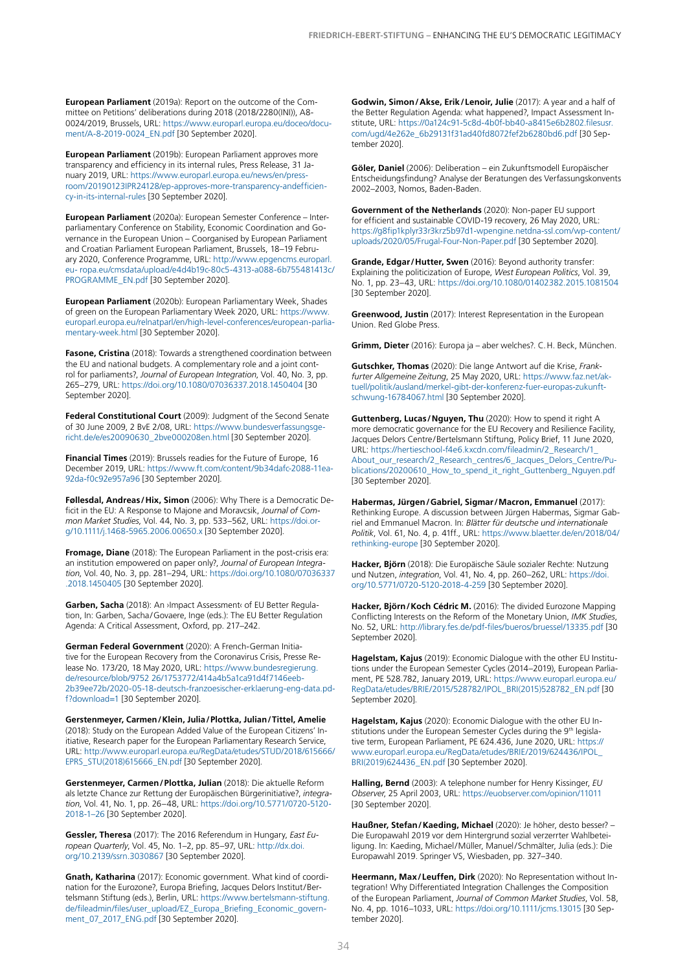**European Parliament** (2019a): Report on the outcome of the Committee on Petitions' deliberations during 2018 (2018/2280(INI)), A8- 0024/2019, Brussels, URL: [https://www.europarl.europa.eu/doceo/docu](https://www.europarl.europa.eu/doceo/document/A-8-2019-0024_EN.pdf)[ment/A-8-2019-0024\\_EN.pdf](https://www.europarl.europa.eu/doceo/document/A-8-2019-0024_EN.pdf) [30 September 2020].

**European Parliament** (2019b): European Parliament approves more transparency and efficiency in its internal rules, Press Release, 31 January 2019, URL: [https://www.europarl.europa.eu/news/en/press](https://www.europarl.europa.eu/news/en/pressroom/20190123IPR24128/ep-approves-more-transparency-andefficiency-in-its-internal-rules)[room/20190123IPR24128/ep-approves-more-transparency-andefficien](https://www.europarl.europa.eu/news/en/pressroom/20190123IPR24128/ep-approves-more-transparency-andefficiency-in-its-internal-rules)[cy-in-its-internal-rules](https://www.europarl.europa.eu/news/en/pressroom/20190123IPR24128/ep-approves-more-transparency-andefficiency-in-its-internal-rules) [30 September 2020].

**European Parliament** (2020a): European Semester Conference – Interparliamentary Conference on Stability, Economic Coordination and Governance in the European Union – Coorganised by European Parliament and Croatian Parliament European Parliament, Brussels, 18–19 February 2020, Conference Programme, URL: [http://www.epgencms.europarl.](http://www.epgencms.europarl.eu- ropa.eu/cmsdata/upload/e4d4b19c-80c5-4313-a088-6b755481413c/ PROGRAMME_EN.pdf) [eu- ropa.eu/cmsdata/upload/e4d4b19c-80c5-4313-a088-6b755481413c/](http://www.epgencms.europarl.eu- ropa.eu/cmsdata/upload/e4d4b19c-80c5-4313-a088-6b755481413c/ PROGRAMME_EN.pdf)  [PROGRAMME\\_EN.pdf](http://www.epgencms.europarl.eu- ropa.eu/cmsdata/upload/e4d4b19c-80c5-4313-a088-6b755481413c/ PROGRAMME_EN.pdf) [30 September 2020].

**European Parliament** (2020b): European Parliamentary Week, Shades of green on the European Parliamentary Week 2020, URL: [https://www.](https://www.europarl.europa.eu/relnatparl/en/high-level-conferences/european-parlia- mentary-week.html) [europarl.europa.eu/relnatparl/en/high-level-conferences/european-parlia](https://www.europarl.europa.eu/relnatparl/en/high-level-conferences/european-parlia- mentary-week.html)[mentary-week.html](https://www.europarl.europa.eu/relnatparl/en/high-level-conferences/european-parlia- mentary-week.html) [30 September 2020].

**Fasone, Cristina** (2018): Towards a strengthened coordination between the EU and national budgets. A complementary role and a joint control for parliaments?, *Journal of European Integration*, Vol. 40, No. 3, pp. 265–279, URL: <https://doi.org/10.1080/07036337.2018.1450404>[30 September 2020].

**Federal Constitutional Court** (2009): Judgment of the Second Senate of 30 June 2009, 2 BvE 2/08, URL: [https://www.bundesverfassungsge](https://www.bundesverfassungsgericht.de/e/es20090630_2bve000208en.html)[richt.de/e/es20090630\\_2bve000208en.html](https://www.bundesverfassungsgericht.de/e/es20090630_2bve000208en.html) [30 September 2020].

**Financial Times** (2019): Brussels readies for the Future of Europe, 16 December 2019, URL: [https://www.ft.com/content/9b34dafc-2088-11ea-](https://www.ft.com/content/9b34dafc-2088-11ea-92da-f0c92e957a96)[92da-f0c92e957a96](https://www.ft.com/content/9b34dafc-2088-11ea-92da-f0c92e957a96) [30 September 2020].

**Føllesdal, Andreas/Hix, Simon** (2006): Why There is a Democratic Deficit in the EU: A Response to Majone and Moravcsik, *Journal of Common Market Studies*, Vol. 44, No. 3, pp. 533–562, URL: [https://doi.or](https://doi.org/10.1111/j.1468-5965.2006.00650.x)[g/10.1111/j.1468-5965.2006.00650.x](https://doi.org/10.1111/j.1468-5965.2006.00650.x) [30 September 2020].

**Fromage, Diane** (2018): The European Parliament in the post-crisis era: an institution empowered on paper only?, *Journal of European Integration*, Vol. 40, No. 3, pp. 281–294, URL: [https://doi.org/10.1080/07036337](https://doi.org/10.1080/07036337.2018.1450405) [.2018.1450405](https://doi.org/10.1080/07036337.2018.1450405) [30 September 2020].

**Garben, Sacha** (2018): An ›Impact Assessment‹ of EU Better Regulation, In: Garben, Sacha/Govaere, Inge (eds.): The EU Better Regulation Agenda: A Critical Assessment, Oxford, pp. 217–242.

**German Federal Government** (2020): A French-German Initiative for the European Recovery from the Coronavirus Crisis, Presse Release No. 173/20, 18 May 2020, URL: [https://www.bundesregierung.](https://www.bundesregierung.de/resource/blob/9752 26/1753772/414a4b5a1ca91d4f7146eeb2b39ee72b/2020-05-18-deutsch-franzoesischer-erklaerung-eng-data.pdf?download=1) [de/resource/blob/9752 26/1753772/414a4b5a1ca91d4f7146eeb-](https://www.bundesregierung.de/resource/blob/9752 26/1753772/414a4b5a1ca91d4f7146eeb2b39ee72b/2020-05-18-deutsch-franzoesischer-erklaerung-eng-data.pdf?download=1)[2b39ee72b/2020-05-18-deutsch-franzoesischer-erklaerung-eng-data.pd](https://www.bundesregierung.de/resource/blob/9752 26/1753772/414a4b5a1ca91d4f7146eeb2b39ee72b/2020-05-18-deutsch-franzoesischer-erklaerung-eng-data.pdf?download=1)[f?download=1](https://www.bundesregierung.de/resource/blob/9752 26/1753772/414a4b5a1ca91d4f7146eeb2b39ee72b/2020-05-18-deutsch-franzoesischer-erklaerung-eng-data.pdf?download=1) [30 September 2020].

**Gerstenmeyer, Carmen/Klein, Julia/Plottka, Julian/Tittel, Amelie**  (2018): Study on the European Added Value of the European Citizens' Initiative, Research paper for the European Parliamentary Research Service, URL: [http://www.europarl.europa.eu/RegData/etudes/STUD/2018/615666/](http://www.europarl.europa.eu/RegData/etudes/STUD/2018/615666/EPRS_STU(2018)615666_EN.pdf) [EPRS\\_STU\(2018\)615666\\_EN.pdf](http://www.europarl.europa.eu/RegData/etudes/STUD/2018/615666/EPRS_STU(2018)615666_EN.pdf) [30 September 2020].

**Gerstenmeyer, Carmen/Plottka, Julian** (2018): Die aktuelle Reform als letzte Chance zur Rettung der Europäischen Bürgerinitiative?, *integration*, Vol. 41, No. 1, pp. 26–48, URL: [https://doi.org/10.5771/0720-5120-](https://doi.org/10.5771/0720-5120-2018-1-26) [2018-1–26](https://doi.org/10.5771/0720-5120-2018-1-26) [30 September 2020].

**Gessler, Theresa** (2017): The 2016 Referendum in Hungary, *East European Quarterly*, Vol. 45, No. 1–2, pp. 85–97, URL: [http://dx.doi.](http://dx.doi.org/10.2139/ssrn.3030867) [org/10.2139/ssrn.3030867](http://dx.doi.org/10.2139/ssrn.3030867) [30 September 2020].

**Gnath, Katharina** (2017): Economic government. What kind of coordination for the Eurozone?, Europa Briefing, Jacques Delors Institut/Bertelsmann Stiftung (eds.), Berlin, URL: [https://www.bertelsmann-stiftung.](https://www.bertelsmann-stiftung.de/fileadmin/files/user_upload/EZ_Europa_Briefing_Economic_government_07_2017_ENG.pdf ) [de/fileadmin/files/user\\_upload/EZ\\_Europa\\_Briefing\\_Economic\\_govern](https://www.bertelsmann-stiftung.de/fileadmin/files/user_upload/EZ_Europa_Briefing_Economic_government_07_2017_ENG.pdf )[ment\\_07\\_2017\\_ENG.pdf \[](https://www.bertelsmann-stiftung.de/fileadmin/files/user_upload/EZ_Europa_Briefing_Economic_government_07_2017_ENG.pdf )30 September 2020].

**Godwin, Simon/Akse, Erik/Lenoir, Julie** (2017): A year and a half of the Better Regulation Agenda: what happened?, Impact Assessment Institute, URL: [https://0a124c91-5c8d-4b0f-bb40-a8415e6b2802.filesusr.](https://0a124c91-5c8d-4b0f-bb40-a8415e6b2802.filesusr.com/ugd/4e262e_6b29131f31ad40fd8072fef2b6280bd6.pdf) [com/ugd/4e262e\\_6b29131f31ad40fd8072fef2b6280bd6.pdf](https://0a124c91-5c8d-4b0f-bb40-a8415e6b2802.filesusr.com/ugd/4e262e_6b29131f31ad40fd8072fef2b6280bd6.pdf) [30 September 2020].

**Göler, Daniel** (2006): Deliberation – ein Zukunftsmodell Europäischer Entscheidungsfindung? Analyse der Beratungen des Verfassungskonvents 2002–2003, Nomos, Baden-Baden.

**Government of the Netherlands** (2020): Non-paper EU support for efficient and sustainable COVID-19 recovery, 26 May 2020, URL: [https://g8fip1kplyr33r3krz5b97d1-wpengine.netdna-ssl.com/wp-content/](https://g8fip1kplyr33r3krz5b97d1-wpengine.netdna-ssl.com/wp-content/ uploads/2020/05/Frugal-Four-Non-Paper.pdf)  [uploads/2020/05/Frugal-Four-Non-Paper.pdf](https://g8fip1kplyr33r3krz5b97d1-wpengine.netdna-ssl.com/wp-content/ uploads/2020/05/Frugal-Four-Non-Paper.pdf) [30 September 2020].

**Grande, Edgar/Hutter, Swen** (2016): Beyond authority transfer: Explaining the politicization of Europe, *West European Politics*, Vol. 39, No. 1, pp. 23–43, URL: <https://doi.org/10.1080/01402382.2015.1081504> [30 September 2020].

**Greenwood, Justin** (2017): Interest Representation in the European Union. Red Globe Press.

**Grimm, Dieter** (2016): Europa ja – aber welches?. C.H. Beck, München.

**Gutschker, Thomas** (2020): Die lange Antwort auf die Krise, *Frankfurter Allgemeine Zeitung*, 25 May 2020, URL: [https://www.faz.net/ak](https://www.faz.net/aktuell/politik/ausland/merkel-gibt-der-konferenz-fuer-europas-zukunft- schwung-16784067.html)[tuell/politik/ausland/merkel-gibt-der-konferenz-fuer-europas-zukunft](https://www.faz.net/aktuell/politik/ausland/merkel-gibt-der-konferenz-fuer-europas-zukunft- schwung-16784067.html)[schwung-16784067.html](https://www.faz.net/aktuell/politik/ausland/merkel-gibt-der-konferenz-fuer-europas-zukunft- schwung-16784067.html) [30 September 2020].

**Guttenberg, Lucas/Nguyen, Thu** (2020): How to spend it right A more democratic governance for the EU Recovery and Resilience Facility, Jacques Delors Centre/Bertelsmann Stiftung, Policy Brief, 11 June 2020, URL: [https://hertieschool-f4e6.kxcdn.com/fileadmin/2\\_Research/1\\_](https://hertieschool-f4e6.kxcdn.com/fileadmin/2_Research/1_About_our_research/2_Research_centres/6_Jacques_Delors_Centre/Publications/20200610_How_to_spend_it_right_Guttenberg_Nguyen.pdf) [About\\_our\\_research/2\\_Research\\_centres/6\\_Jacques\\_Delors\\_Centre/Pu](https://hertieschool-f4e6.kxcdn.com/fileadmin/2_Research/1_About_our_research/2_Research_centres/6_Jacques_Delors_Centre/Publications/20200610_How_to_spend_it_right_Guttenberg_Nguyen.pdf)[blications/20200610\\_How\\_to\\_spend\\_it\\_right\\_Guttenberg\\_Nguyen.pdf](https://hertieschool-f4e6.kxcdn.com/fileadmin/2_Research/1_About_our_research/2_Research_centres/6_Jacques_Delors_Centre/Publications/20200610_How_to_spend_it_right_Guttenberg_Nguyen.pdf) [30 September 2020].

**Habermas, Jürgen/Gabriel, Sigmar/Macron, Emmanuel** (2017): Rethinking Europe. A discussion between Jürgen Habermas, Sigmar Gabriel and Emmanuel Macron. In: *Blätter für deutsche und internationale Politik*, Vol. 61, No. 4, p. 41ff., URL: [https://www.blaetter.de/en/2018/04/](https://www.blaetter.de/en/2018/04/rethinking-europe) [rethinking-europe](https://www.blaetter.de/en/2018/04/rethinking-europe) [30 September 2020].

**Hacker, Björn** (2018): Die Europäische Säule sozialer Rechte: Nutzung und Nutzen, *integration*, Vol. 41, No. 4, pp. 260–262, URL: [https://doi.](https://doi.org/10.5771/0720-5120-2018-4-259) [org/10.5771/0720-5120-2018-4-259](https://doi.org/10.5771/0720-5120-2018-4-259) [30 September 2020].

Hacker, Björn / Koch Cédric M. (2016): The divided Eurozone Mapping Conflicting Interests on the Reform of the Monetary Union, *IMK Studies*, No. 52, URL: <http://library.fes.de/pdf-files/bueros/bruessel/13335.pdf> [30 September 2020].

**Hagelstam, Kajus** (2019): Economic Dialogue with the other EU Institutions under the European Semester Cycles (2014–2019), European Parliament, PE 528.782, January 2019, URL: [https://www.europarl.europa.eu/](https://www.europarl.europa.eu/RegData/etudes/BRIE/2015/528782/IPOL_BRI(2015)528782_EN.pdf) [RegData/etudes/BRIE/2015/528782/IPOL\\_BRI\(2015\)528782\\_EN.pdf](https://www.europarl.europa.eu/RegData/etudes/BRIE/2015/528782/IPOL_BRI(2015)528782_EN.pdf) [30 September 2020].

**Hagelstam, Kajus** (2020): Economic Dialogue with the other EU Institutions under the European Semester Cycles during the 9<sup>th</sup> legislative term, European Parliament, PE 624.436, June 2020, URL: [https://](https://www.europarl.europa.eu/RegData/etudes/BRIE/2019/624436/IPOL_ BRI(2019)624436_EN.pdf) [www.europarl.europa.eu/RegData/etudes/BRIE/2019/624436/IPOL\\_](https://www.europarl.europa.eu/RegData/etudes/BRIE/2019/624436/IPOL_ BRI(2019)624436_EN.pdf)  [BRI\(2019\)624436\\_EN.pdf](https://www.europarl.europa.eu/RegData/etudes/BRIE/2019/624436/IPOL_ BRI(2019)624436_EN.pdf) [30 September 2020].

**Halling, Bernd** (2003): A telephone number for Henry Kissinger, *EU Observer*, 25 April 2003, URL:<https://euobserver.com/opinion/11011> [30 September 2020].

**Haußner, Stefan/Kaeding, Michael** (2020): Je höher, desto besser? – Die Europawahl 2019 vor dem Hintergrund sozial verzerrter Wahlbeteiligung. In: Kaeding, Michael/Müller, Manuel/Schmälter, Julia (eds.): Die Europawahl 2019. Springer VS, Wiesbaden, pp. 327–340.

**Heermann, Max/Leuffen, Dirk** (2020): No Representation without Integration! Why Differentiated Integration Challenges the Composition of the European Parliament, *Journal of Common Market Studies*, Vol. 58, No. 4, pp. 1016–1033, URL: <https://doi.org/10.1111/jcms.13015>[30 September 2020].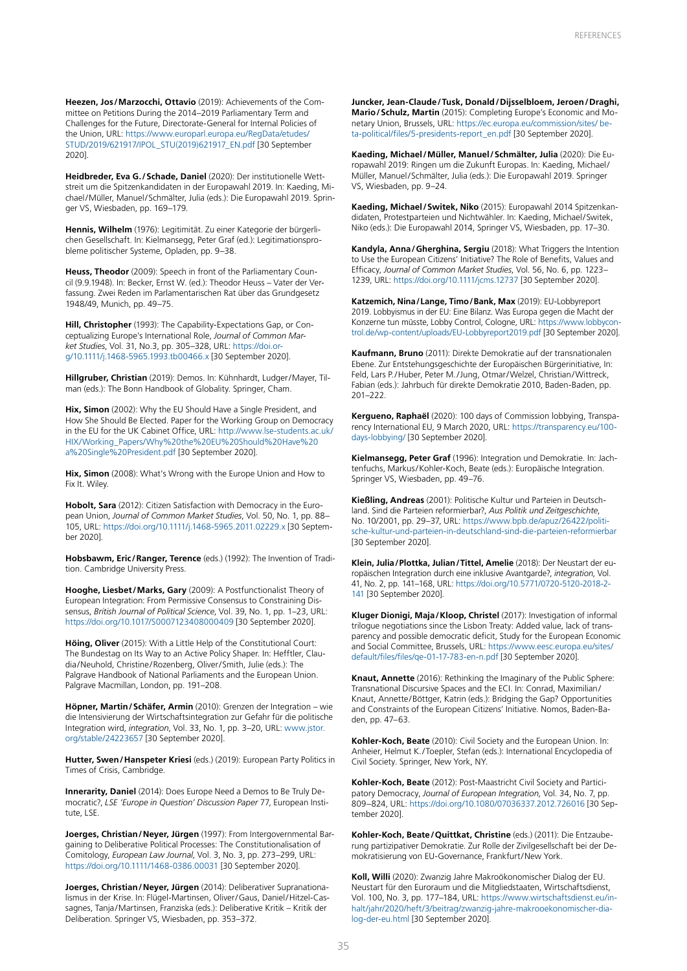**Heezen, Jos/Marzocchi, Ottavio** (2019): Achievements of the Committee on Petitions During the 2014–2019 Parliamentary Term and Challenges for the Future, Directorate-General for Internal Policies of the Union, URL: [https://www.europarl.europa.eu/RegData/etudes/](https://www.europarl.europa.eu/RegData/etudes/STUD/2019/621917/IPOL_STU(2019)621917_EN.pdf) [STUD/2019/621917/IPOL\\_STU\(2019\)621917\\_EN.pdf](https://www.europarl.europa.eu/RegData/etudes/STUD/2019/621917/IPOL_STU(2019)621917_EN.pdf) [30 September 2020].

**Heidbreder, Eva G./Schade, Daniel** (2020): Der institutionelle Wettstreit um die Spitzenkandidaten in der Europawahl 2019. In: Kaeding, Michael/Müller, Manuel/Schmälter, Julia (eds.): Die Europawahl 2019. Springer VS, Wiesbaden, pp. 169–179.

**Hennis, Wilhelm** (1976): Legitimität. Zu einer Kategorie der bürgerlichen Gesellschaft. In: Kielmansegg, Peter Graf (ed.): Legitimationsprobleme politischer Systeme, Opladen, pp. 9–38.

**Heuss, Theodor** (2009): Speech in front of the Parliamentary Council (9.9.1948). In: Becker, Ernst W. (ed.): Theodor Heuss – Vater der Verfassung. Zwei Reden im Parlamentarischen Rat über das Grundgesetz 1948/49, Munich, pp. 49–75.

**Hill, Christopher** (1993): The Capability-Expectations Gap, or Conceptualizing Europe's International Role, *Journal of Common Market Studies*, Vol. 31, No.3, pp. 305–328, URL: [https://doi.or](https://doi.org/10.1111/j.1468-5965.1993.tb00466.x)[g/10.1111/j.1468-5965.1993.tb00466.x](https://doi.org/10.1111/j.1468-5965.1993.tb00466.x) [30 September 2020].

**Hillgruber, Christian** (2019): Demos. In: Kühnhardt, Ludger/Mayer, Tilman (eds.): The Bonn Handbook of Globality. Springer, Cham.

**Hix, Simon** (2002): Why the EU Should Have a Single President, and How She Should Be Elected. Paper for the Working Group on Democracy in the EU for the UK Cabinet Office, URL: [http://www.lse-students.ac.uk/](http://www.lse-students.ac.uk/HIX/Working_Papers/Why%20the%20EU%20Should%20Have%20a%20Single%20President.pdf) [HIX/Working\\_Papers/Why%20the%20EU%20Should%20Have%20](http://www.lse-students.ac.uk/HIX/Working_Papers/Why%20the%20EU%20Should%20Have%20a%20Single%20President.pdf) [a%20Single%20President.pdf](http://www.lse-students.ac.uk/HIX/Working_Papers/Why%20the%20EU%20Should%20Have%20a%20Single%20President.pdf) [30 September 2020].

**Hix, Simon** (2008): What's Wrong with the Europe Union and How to Fix It. Wiley.

**Hobolt, Sara** (2012): Citizen Satisfaction with Democracy in the European Union, *Journal of Common Market Studies*, Vol. 50, No. 1, pp. 88– 105, URL: <https://doi.org/10.1111/j.1468-5965.2011.02229.x> [30 September 2020].

**Hobsbawm, Eric/Ranger, Terence** (eds.) (1992): The Invention of Tradition. Cambridge University Press.

**Hooghe, Liesbet/Marks, Gary** (2009): A Postfunctionalist Theory of European Integration: From Permissive Consensus to Constraining Dissensus, *British Journal of Political Science*, Vol. 39, No. 1, pp. 1–23, URL: <https://doi.org/10.1017/S0007123408000409>[30 September 2020].

**Höing, Oliver** (2015): With a Little Help of the Constitutional Court: The Bundestag on Its Way to an Active Policy Shaper. In: Hefftler, Claudia/Neuhold, Christine/Rozenberg, Oliver/Smith, Julie (eds.): The Palgrave Handbook of National Parliaments and the European Union. Palgrave Macmillan, London, pp. 191–208.

**Höpner, Martin/Schäfer, Armin** (2010): Grenzen der Integration – wie die Intensivierung der Wirtschaftsintegration zur Gefahr für die politische Integration wird, *integration*, Vol. 33, No. 1, pp. 3–20, URL: [www.jstor.](http://www.jstor.org/stable/24223657) [org/stable/24223657](http://www.jstor.org/stable/24223657) [30 September 2020].

**Hutter, Swen/Hanspeter Kriesi** (eds.) (2019): European Party Politics in Times of Crisis, Cambridge.

**Innerarity, Daniel** (2014): Does Europe Need a Demos to Be Truly Democratic?, *LSE 'Europe in Question' Discussion Paper* 77, European Institute, LSE.

**Joerges, Christian/Neyer, Jürgen** (1997): From Intergovernmental Bargaining to Deliberative Political Processes: The Constitutionalisation of Comitology, *European Law Journal*, Vol. 3, No. 3, pp. 273–299, URL: <https://doi.org/10.1111/1468-0386.00031> [30 September 2020].

**Joerges, Christian/Neyer, Jürgen** (2014): Deliberativer Supranationalismus in der Krise. In: Flügel-Martinsen, Oliver/Gaus, Daniel/Hitzel-Cassagnes, Tanja/Martinsen, Franziska (eds.): Deliberative Kritik – Kritik der Deliberation. Springer VS, Wiesbaden, pp. 353–372.

**Juncker, Jean-Claude/Tusk, Donald/Dijsselbloem, Jeroen/Draghi, Mario/Schulz, Martin** (2015): Completing Europe's Economic and Monetary Union, Brussels, URL: [https://ec.europa.eu/commission/sites/ be](https://ec.europa.eu/commission/sites/ beta-political/files/5-presidents-report_en.pdf)[ta-political/files/5-presidents-report\\_en.pdf](https://ec.europa.eu/commission/sites/ beta-political/files/5-presidents-report_en.pdf) [30 September 2020].

**Kaeding, Michael/Müller, Manuel/Schmälter, Julia** (2020): Die Europawahl 2019: Ringen um die Zukunft Europas. In: Kaeding, Michael/ Müller, Manuel/Schmälter, Julia (eds.): Die Europawahl 2019. Springer VS, Wiesbaden, pp. 9–24.

**Kaeding, Michael/Switek, Niko** (2015): Europawahl 2014 Spitzenkandidaten, Protestparteien und Nichtwähler. In: Kaeding, Michael/Switek, Niko (eds.): Die Europawahl 2014, Springer VS, Wiesbaden, pp. 17–30.

**Kandyla, Anna/Gherghina, Sergiu** (2018): What Triggers the Intention to Use the European Citizens' Initiative? The Role of Benefits, Values and Efficacy, *Journal of Common Market Studies*, Vol. 56, No. 6, pp. 1223– 1239, URL:<https://doi.org/10.1111/jcms.12737> [30 September 2020].

**Katzemich, Nina/Lange, Timo/Bank, Max** (2019): EU-Lobbyreport 2019. Lobbyismus in der EU: Eine Bilanz. Was Europa gegen die Macht der Konzerne tun müsste, Lobby Control, Cologne, URL: [https://www.lobbycon](https://www.lobbycontrol.de/wp-content/uploads/EU-Lobbyreport2019.pdf)[trol.de/wp-content/uploads/EU-Lobbyreport2019.pdf](https://www.lobbycontrol.de/wp-content/uploads/EU-Lobbyreport2019.pdf) [30 September 2020].

**Kaufmann, Bruno** (2011): Direkte Demokratie auf der transnationalen Ebene. Zur Entstehungsgeschichte der Europäischen Bürgerinitiative, In: Feld, Lars P./Huber, Peter M./Jung, Otmar/Welzel, Christian/Wittreck, Fabian (eds.): Jahrbuch für direkte Demokratie 2010, Baden-Baden, pp. 201–222.

**Kergueno, Raphaël** (2020): 100 days of Commission lobbying, Transparency International EU, 9 March 2020, URL: [https://transparency.eu/100](https://transparency.eu/100-days-lobbying/) [days-lobbying/](https://transparency.eu/100-days-lobbying/) [30 September 2020].

**Kielmansegg, Peter Graf** (1996): Integration und Demokratie. In: Jachtenfuchs, Markus/Kohler-Koch, Beate (eds.): Europäische Integration. Springer VS, Wiesbaden, pp. 49–76.

**Kießling, Andreas** (2001): Politische Kultur und Parteien in Deutschland. Sind die Parteien reformierbar?, *Aus Politik und Zeitgeschichte*, No. 10/2001, pp. 29–37, URL: [https://www.bpb.de/apuz/26422/politi](https://www.bpb.de/apuz/26422/politische-kultur-und-parteien-in-deutschland-sind-die-parteien-reformierbar)[sche-kultur-und-parteien-in-deutschland-sind-die-parteien-reformierbar](https://www.bpb.de/apuz/26422/politische-kultur-und-parteien-in-deutschland-sind-die-parteien-reformierbar) [30 September 2020].

**Klein, Julia/Plottka, Julian/Tittel, Amelie** (2018): Der Neustart der europäischen Integration durch eine inklusive Avantgarde?, *integration*, Vol. 41, No. 2, pp. 141–168, URL: [https://doi.org/10.5771/0720-5120-2018-2-](https://doi.org/10.5771/0720-5120-2018-2-141) [141](https://doi.org/10.5771/0720-5120-2018-2-141) [30 September 2020].

**Kluger Dionigi, Maja/Kloop, Christel** (2017): Investigation of informal trilogue negotiations since the Lisbon Treaty: Added value, lack of transparency and possible democratic deficit, Study for the European Economic and Social Committee, Brussels, URL: [https://www.eesc.europa.eu/sites/](https://www.eesc.europa.eu/sites/default/files/files/qe-01-17-783-en-n.pdf) [default/files/files/qe-01-17-783-en-n.pdf](https://www.eesc.europa.eu/sites/default/files/files/qe-01-17-783-en-n.pdf) [30 September 2020].

**Knaut, Annette** (2016): Rethinking the Imaginary of the Public Sphere: Transnational Discursive Spaces and the ECI. In: Conrad, Maximilian/ Knaut, Annette/Böttger, Katrin (eds.): Bridging the Gap? Opportunities and Constraints of the European Citizens' Initiative. Nomos, Baden-Baden, pp. 47–63.

**Kohler-Koch, Beate** (2010): Civil Society and the European Union. In: Anheier, Helmut K./Toepler, Stefan (eds.): International Encyclopedia of Civil Society. Springer, New York, NY.

**Kohler-Koch, Beate** (2012): Post-Maastricht Civil Society and Participatory Democracy, *Journal of European Integration*, Vol. 34, No. 7, pp. 809–824, URL:<https://doi.org/10.1080/07036337.2012.726016>[30 September 2020].

**Kohler-Koch, Beate/Quittkat, Christine** (eds.) (2011): Die Entzauberung partizipativer Demokratie. Zur Rolle der Zivilgesellschaft bei der Demokratisierung von EU-Governance, Frankfurt/New York.

**Koll, Willi** (2020): Zwanzig Jahre Makroökonomischer Dialog der EU. Neustart für den Euroraum und die Mitgliedstaaten, Wirtschaftsdienst, Vol. 100, No. 3, pp. 177–184, URL: [https://www.wirtschaftsdienst.eu/in](https://www.wirtschaftsdienst.eu/inhalt/jahr/2020/heft/3/beitrag/zwanzig-jahre-makrooekonomischer-dialog-der-eu.html)[halt/jahr/2020/heft/3/beitrag/zwanzig-jahre-makrooekonomischer-dia](https://www.wirtschaftsdienst.eu/inhalt/jahr/2020/heft/3/beitrag/zwanzig-jahre-makrooekonomischer-dialog-der-eu.html)[log-der-eu.html](https://www.wirtschaftsdienst.eu/inhalt/jahr/2020/heft/3/beitrag/zwanzig-jahre-makrooekonomischer-dialog-der-eu.html) [30 September 2020].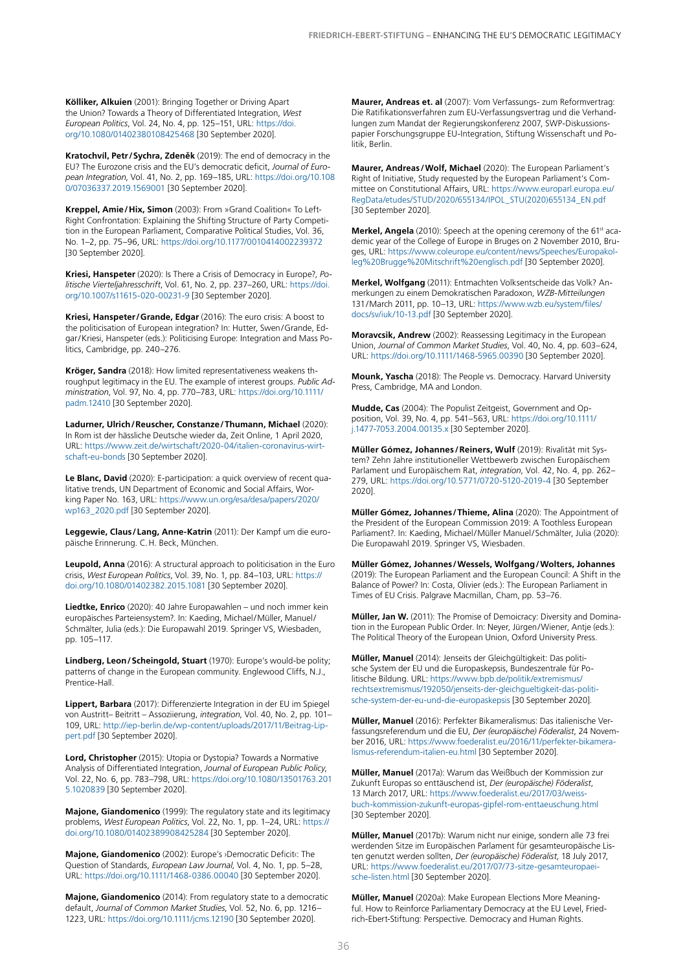**Kölliker, Alkuien** (2001): Bringing Together or Driving Apart the Union? Towards a Theory of Differentiated Integration, *West European Politics*, Vol. 24, No. 4, pp. 125–151, URL: [https://doi.](https://doi.org/10.1080/01402380108425468) [org/10.1080/01402380108425468](https://doi.org/10.1080/01402380108425468) [30 September 2020].

**Kratochvíl, Petr/Sychra, Zdeněk** (2019): The end of democracy in the EU? The Eurozone crisis and the EU's democratic deficit, *Journal of European Integration*, Vol. 41, No. 2, pp. 169–185, URL: [https://doi.org/10.108](https://doi.org/10.1080/07036337.2019.1569001) [0/07036337.2019.1569001](https://doi.org/10.1080/07036337.2019.1569001) [30 September 2020].

**Kreppel, Amie/Hix, Simon** (2003): From »Grand Coalition« To Left-Right Confrontation: Explaining the Shifting Structure of Party Competition in the European Parliament, Comparative Political Studies, Vol. 36, No. 1–2, pp. 75–96, URL: <https://doi.org/10.1177/0010414002239372> [30 September 2020].

**Kriesi, Hanspeter** (2020): Is There a Crisis of Democracy in Europe?, *Politische Vierteljahresschrift*, Vol. 61, No. 2, pp. 237–260, URL: [https://doi.](https://doi.org/10.1007/s11615-020-00231-9) [org/10.1007/s11615-020-00231-9](https://doi.org/10.1007/s11615-020-00231-9) [30 September 2020].

**Kriesi, Hanspeter/Grande, Edgar** (2016): The euro crisis: A boost to the politicisation of European integration? In: Hutter, Swen/Grande, Edgar/Kriesi, Hanspeter (eds.): Politicising Europe: Integration and Mass Politics, Cambridge, pp. 240–276.

**Kröger, Sandra** (2018): How limited representativeness weakens throughput legitimacy in the EU. The example of interest groups. *Public Administration*, Vol. 97, No. 4, pp. 770–783, URL: [https://doi.org/10.1111/](https://doi.org/10.1111/padm.12410) [padm.12410](https://doi.org/10.1111/padm.12410) [30 September 2020].

**Ladurner, Ulrich/Reuscher, Constanze/Thumann, Michael** (2020): In Rom ist der hässliche Deutsche wieder da, Zeit Online, 1 April 2020, URL: [https://www.zeit.de/wirtschaft/2020-04/italien-coronavirus-wirt](https://www.zeit.de/wirtschaft/2020-04/italien-coronavirus-wirtschaft-eu-bonds)[schaft-eu-bonds](https://www.zeit.de/wirtschaft/2020-04/italien-coronavirus-wirtschaft-eu-bonds) [30 September 2020].

**Le Blanc, David** (2020): E-participation: a quick overview of recent qualitative trends, UN Department of Economic and Social Affairs, Working Paper No. 163, URL: [https://www.un.org/esa/desa/papers/2020/](https://www.un.org/esa/desa/papers/2020/wp163_2020.pdf) [wp163\\_2020.pdf](https://www.un.org/esa/desa/papers/2020/wp163_2020.pdf) [30 September 2020].

**Leggewie, Claus/Lang, Anne-Katrin** (2011): Der Kampf um die europäische Erinnerung. C.H. Beck, München.

**Leupold, Anna** (2016): A structural approach to politicisation in the Euro crisis, *West European Politics*, Vol. 39, No. 1, pp. 84–103, URL: [https://](https://doi.org/10.1080/01402382.2015.1081) [doi.org/10.1080/01402382.2015.1081](https://doi.org/10.1080/01402382.2015.1081) [30 September 2020].

**Liedtke, Enrico** (2020): 40 Jahre Europawahlen – und noch immer kein europäisches Parteiensystem?. In: Kaeding, Michael/Müller, Manuel/ Schmälter, Julia (eds.): Die Europawahl 2019. Springer VS, Wiesbaden, pp. 105–117.

**Lindberg, Leon/Scheingold, Stuart** (1970): Europe's would-be polity; patterns of change in the European community. Englewood Cliffs, N.J., Prentice-Hall.

**Lippert, Barbara** (2017): Differenzierte Integration in der EU im Spiegel von Austritt– Beitritt – Assoziierung, *integration*, Vol. 40, No. 2, pp. 101– 109, URL: [http://iep-berlin.de/wp-content/uploads/2017/11/Beitrag-Lip](http://iep-berlin.de/wp-content/uploads/2017/11/Beitrag-Lippert.pdf)[pert.pdf](http://iep-berlin.de/wp-content/uploads/2017/11/Beitrag-Lippert.pdf) [30 September 2020].

**Lord, Christopher** (2015): Utopia or Dystopia? Towards a Normative Analysis of Differentiated Integration, *Journal of European Public Policy*, Vol. 22, No. 6, pp. 783–798, URL: [https://doi.org/10.1080/13501763.201](https://doi.org/10.1080/13501763.2015.1020839) [5.1020839](https://doi.org/10.1080/13501763.2015.1020839) [30 September 2020].

**Majone, Giandomenico** (1999): The regulatory state and its legitimacy problems, *West European Politics*, Vol. 22, No. 1, pp. 1–24, URL: [https://](https://doi.org/10.1080/01402389908425284) [doi.org/10.1080/01402389908425284](https://doi.org/10.1080/01402389908425284) [30 September 2020].

**Majone, Giandomenico** (2002): Europe's ›Democratic Deficit‹: The Question of Standards, *European Law Journal*, Vol. 4, No. 1, pp. 5–28, URL:<https://doi.org/10.1111/1468-0386.00040>[30 September 2020].

**Majone, Giandomenico** (2014): From regulatory state to a democratic default, *Journal of Common Market Studies*, Vol. 52, No. 6, pp. 1216– 1223, URL:<https://doi.org/10.1111/jcms.12190>[30 September 2020].

**Maurer, Andreas et. al** (2007): Vom Verfassungs- zum Reformvertrag: Die Ratifikationsverfahren zum EU-Verfassungsvertrag und die Verhandlungen zum Mandat der Regierungskonferenz 2007, SWP-Diskussionspapier Forschungsgruppe EU-Integration, Stiftung Wissenschaft und Politik, Berlin.

**Maurer, Andreas /Wolf, Michael** (2020): The European Parliament's Right of Initiative, Study requested by the European Parliament's Committee on Constitutional Affairs, URL: [https://www.europarl.europa.eu/](https://www.europarl.europa.eu/RegData/etudes/STUD/2020/655134/IPOL_STU(2020)655134_EN.pdf) [RegData/etudes/STUD/2020/655134/IPOL\\_STU\(2020\)655134\\_EN.pdf](https://www.europarl.europa.eu/RegData/etudes/STUD/2020/655134/IPOL_STU(2020)655134_EN.pdf) [30 September 2020].

Merkel, Angela (2010): Speech at the opening ceremony of the 61<sup>st</sup> academic year of the College of Europe in Bruges on 2 November 2010, Bruges, URL: [https://www.coleurope.eu/content/news/Speeches/Europakol](https://www.coleurope.eu/content/news/Speeches/Europakolleg%20Brugge%20Mitschrift%20englisch.pdf)[leg%20Brugge%20Mitschrift%20englisch.pdf](https://www.coleurope.eu/content/news/Speeches/Europakolleg%20Brugge%20Mitschrift%20englisch.pdf) [30 September 2020].

**Merkel, Wolfgang** (2011): Entmachten Volksentscheide das Volk? Anmerkungen zu einem Demokratischen Paradoxon, *WZB-Mitteilungen* 131/March 2011, pp. 10–13, URL: [https://www.wzb.eu/system/files/](https://www.wzb.eu/system/files/docs/sv/iuk/10-13.pdf) [docs/sv/iuk/10-13.pdf](https://www.wzb.eu/system/files/docs/sv/iuk/10-13.pdf) [30 September 2020].

**Moravcsik, Andrew** (2002): Reassessing Legitimacy in the European Union, *Journal of Common Market Studies*, Vol. 40, No. 4, pp. 603–624, URL:<https://doi.org/10.1111/1468-5965.00390>[30 September 2020].

**Mounk, Yascha** (2018): The People vs. Democracy. Harvard University Press, Cambridge, MA and London.

**Mudde, Cas** (2004): The Populist Zeitgeist, Government and Opposition, Vol. 39, No. 4, pp. 541–563, URL: [https://doi.org/10.1111/](https://doi.org/10.1111/j.1477-7053.2004.00135.x) [j.1477-7053.2004.00135.x](https://doi.org/10.1111/j.1477-7053.2004.00135.x) [30 September 2020].

**Müller Gómez, Johannes /Reiners, Wulf** (2019): Rivalität mit System? Zehn Jahre institutioneller Wettbewerb zwischen Europäischem Parlament und Europäischem Rat, *integration*, Vol. 42, No. 4, pp. 262– 279, URL:<https://doi.org/10.5771/0720-5120-2019-4>[30 September 2020].

**Müller Gómez, Johannes/Thieme, Alina** (2020): The Appointment of the President of the European Commission 2019: A Toothless European Parliament?. In: Kaeding, Michael/Müller Manuel/Schmälter, Julia (2020): Die Europawahl 2019. Springer VS, Wiesbaden.

**Müller Gómez, Johannes/Wessels, Wolfgang/Wolters, Johannes**  (2019): The European Parliament and the European Council: A Shift in the Balance of Power? In: Costa, Olivier (eds.): The European Parliament in Times of EU Crisis. Palgrave Macmillan, Cham, pp. 53–76.

**Müller, Jan W.** (2011): The Promise of Demoicracy: Diversity and Domination in the European Public Order. In: Neyer, Jürgen/Wiener, Antje (eds.): The Political Theory of the European Union, Oxford University Press.

**Müller, Manuel** (2014): Jenseits der Gleichgültigkeit: Das politische System der EU und die Europaskepsis, Bundeszentrale für Politische Bildung. URL: [https://www.bpb.de/politik/extremismus/](https://www.bpb.de/politik/extremismus/rechtsextremismus/192050/jenseits-der-gleichgueltigkeit-das-politische-system-der-eu-und-die-europaskepsis) [rechtsextremismus/192050/jenseits-der-gleichgueltigkeit-das-politi](https://www.bpb.de/politik/extremismus/rechtsextremismus/192050/jenseits-der-gleichgueltigkeit-das-politische-system-der-eu-und-die-europaskepsis)[sche-system-der-eu-und-die-europaskepsis](https://www.bpb.de/politik/extremismus/rechtsextremismus/192050/jenseits-der-gleichgueltigkeit-das-politische-system-der-eu-und-die-europaskepsis) [30 September 2020].

**Müller, Manuel** (2016): Perfekter Bikameralismus: Das italienische Verfassungsreferendum und die EU, *Der (europäische) Föderalist*, 24 November 2016, URL: [https://www.foederalist.eu/2016/11/perfekter-bikamera](https://www.foederalist.eu/2016/11/perfekter-bikameralismus-referendum-italien-eu.html)[lismus-referendum-italien-eu.html](https://www.foederalist.eu/2016/11/perfekter-bikameralismus-referendum-italien-eu.html) [30 September 2020].

**Müller, Manuel** (2017a): Warum das Weißbuch der Kommission zur Zukunft Europas so enttäuschend ist, *Der (europäische) Föderalist*, 13 March 2017, URL: [https://www.foederalist.eu/2017/03/weiss](https://www.foederalist.eu/2017/03/weissbuch-kommission-zukunft-europas-gipfel-rom-enttaeuschung.html)[buch-kommission-zukunft-europas-gipfel-rom-enttaeuschung.html](https://www.foederalist.eu/2017/03/weissbuch-kommission-zukunft-europas-gipfel-rom-enttaeuschung.html) [30 September 2020].

**Müller, Manuel** (2017b): Warum nicht nur einige, sondern alle 73 frei werdenden Sitze im Europäischen Parlament für gesamteuropäische Listen genutzt werden sollten, *Der (europäische) Föderalist*, 18 July 2017, URL: [https://www.foederalist.eu/2017/07/73-sitze-gesamteuropaei](https://www.foederalist.eu/2017/07/73-sitze-gesamteuropaeische-listen.html)[sche-listen.html](https://www.foederalist.eu/2017/07/73-sitze-gesamteuropaeische-listen.html) [30 September 2020].

**Müller, Manuel** (2020a): Make European Elections More Meaningful. How to Reinforce Parliamentary Democracy at the EU Level, Friedrich-Ebert-Stiftung: Perspective. Democracy and Human Rights.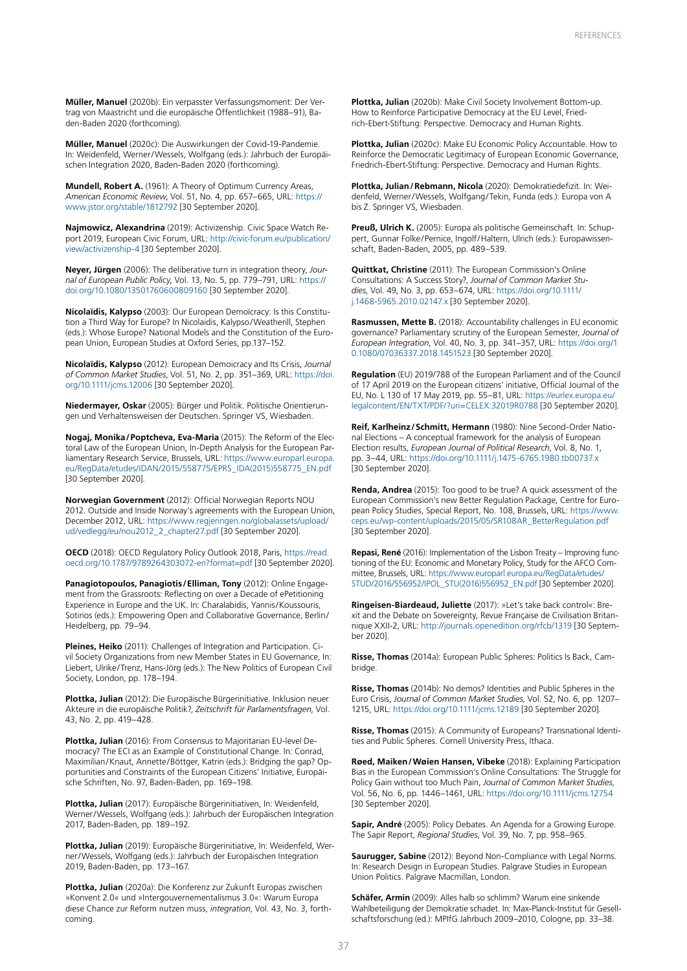**Müller, Manuel** (2020b): Ein verpasster Verfassungsmoment: Der Vertrag von Maastricht und die europäische Öffentlichkeit (1988–91), Baden-Baden 2020 (forthcoming).

**Müller, Manuel** (2020c): Die Auswirkungen der Covid-19-Pandemie. In: Weidenfeld, Werner/Wessels, Wolfgang (eds.): Jahrbuch der Europäischen Integration 2020, Baden-Baden 2020 (forthcoming).

**Mundell, Robert A.** (1961): A Theory of Optimum Currency Areas, *American Economic Review*, Vol. 51, No. 4, pp. 657–665, URL: [https://](https://www.jstor.org/stable/1812792) [www.jstor.org/stable/1812792](https://www.jstor.org/stable/1812792) [30 September 2020].

**Najmowicz, Alexandrina** (2019): Activizenship. Civic Space Watch Report 2019, European Civic Forum, URL: [http://civic-forum.eu/publication/](http://civic-forum.eu/publication/view/activizenship-4) [view/activizenship-4](http://civic-forum.eu/publication/view/activizenship-4) [30 September 2020].

**Neyer, Jürgen** (2006): The deliberative turn in integration theory, *Journal of European Public Policy*, Vol. 13, No. 5, pp. 779–791, URL: [https://](https://doi.org/10.1080/13501760600809160) [doi.org/10.1080/13501760600809160](https://doi.org/10.1080/13501760600809160) [30 September 2020].

**Nicolaïdis, Kalypso** (2003): Our European Demoïcracy: Is this Constitution a Third Way for Europe? In Nicolaidis, Kalypso/Weatherill, Stephen (eds.): Whose Europe? National Models and the Constitution of the European Union, European Studies at Oxford Series, pp.137–152.

**Nicolaïdis, Kalypso** (2012): European Demoicracy and Its Crisis, *Journal of Common Market Studies*, Vol. 51, No. 2, pp. 351–369, URL: [https://doi.](https://doi.org/10.1111/jcms.12006) [org/10.1111/jcms.12006](https://doi.org/10.1111/jcms.12006) [30 September 2020].

**Niedermayer, Oskar** (2005): Bürger und Politik. Politische Orientierungen und Verhaltensweisen der Deutschen. Springer VS, Wiesbaden.

**Nogaj, Monika/Poptcheva, Eva-Maria** (2015): The Reform of the Electoral Law of the European Union, In-Depth Analysis for the European Parliamentary Research Service, Brussels, URL: [https://www.europarl.europa.](https://www.europarl.europa.eu/RegData/etudes/IDAN/2015/558775/EPRS_IDA(2015)558775_EN.pdf) [eu/RegData/etudes/IDAN/2015/558775/EPRS\\_IDA\(2015\)558775\\_EN.pdf](https://www.europarl.europa.eu/RegData/etudes/IDAN/2015/558775/EPRS_IDA(2015)558775_EN.pdf) [30 September 2020].

**Norwegian Government** (2012): Official Norwegian Reports NOU 2012. Outside and Inside Norway's agreements with the European Union, December 2012, URL: [https://www.regjeringen.no/globalassets/upload/](https://www.regjeringen.no/globalassets/upload/ud/vedlegg/eu/nou2012_2_chapter27.pdf) [ud/vedlegg/eu/nou2012\\_2\\_chapter27.pdf](https://www.regjeringen.no/globalassets/upload/ud/vedlegg/eu/nou2012_2_chapter27.pdf) [30 September 2020].

**OECD** (2018): OECD Regulatory Policy Outlook 2018, Paris, [https://read.](https://read.oecd.org/10.1787/9789264303072-en?format=pdf) [oecd.org/10.1787/9789264303072-en?format=pdf](https://read.oecd.org/10.1787/9789264303072-en?format=pdf) [30 September 2020].

**Panagiotopoulos, Panagiotis/Elliman, Tony** (2012): Online Engagement from the Grassroots: Reflecting on over a Decade of ePetitioning Experience in Europe and the UK. In: Charalabidis, Yannis/Koussouris, Sotirios (eds.): Empowering Open and Collaborative Governance, Berlin/ Heidelberg, pp. 79–94.

**Pleines, Heiko** (2011): Challenges of Integration and Participation. Civil Society Organizations from new Member States in EU Governance, In: Liebert, Ulrike/Trenz, Hans-Jörg (eds.): The New Politics of European Civil Society, London, pp. 178–194.

**Plottka, Julian** (2012): Die Europäische Bürgerinitiative. Inklusion neuer Akteure in die europäische Politik?, *Zeitschrift für Parlamentsfragen*, Vol. 43, No. 2, pp. 419–428.

**Plottka, Julian** (2016): From Consensus to Majoritarian EU-level Democracy? The ECI as an Example of Constitutional Change. In: Conrad, Maximilian/Knaut, Annette/Böttger, Katrin (eds.): Bridging the gap? Opportunities and Constraints of the European Citizens' Initiative, Europäische Schriften, No. 97, Baden-Baden, pp. 169–198.

**Plottka, Julian** (2017): Europäische Bürgerinitiativen, In: Weidenfeld, Werner/Wessels, Wolfgang (eds.): Jahrbuch der Europäischen Integration 2017, Baden-Baden, pp. 189–192.

**Plottka, Julian** (2019): Europäische Bürgerinitiative, In: Weidenfeld, Werner/Wessels, Wolfgang (eds.): Jahrbuch der Europäischen Integration 2019, Baden-Baden, pp. 173–167.

**Plottka, Julian** (2020a): Die Konferenz zur Zukunft Europas zwischen »Konvent 2.0« und »Intergouvernementalismus 3.0«: Warum Europa diese Chance zur Reform nutzen muss, *integration*, Vol. 43, No. 3, forthcoming.

**Plottka, Julian** (2020b): Make Civil Society Involvement Bottom-up. How to Reinforce Participative Democracy at the EU Level, Friedrich-Ebert-Stiftung: Perspective. Democracy and Human Rights.

**Plottka, Julian** (2020c): Make EU Economic Policy Accountable. How to Reinforce the Democratic Legitimacy of European Economic Governance, Friedrich-Ebert-Stiftung: Perspective. Democracy and Human Rights.

**Plottka, Julian/Rebmann, Nicola** (2020): Demokratiedefizit. In: Weidenfeld, Werner/Wessels, Wolfgang/Tekin, Funda (eds.): Europa von A bis Z. Springer VS, Wiesbaden.

Preuß, Ulrich K. (2005): Europa als politische Gemeinschaft. In: Schuppert, Gunnar Folke/Pernice, Ingolf/Haltern, Ulrich (eds.): Europawissenschaft, Baden-Baden, 2005, pp. 489–539.

**Quittkat, Christine** (2011): The European Commission's Online Consultations: A Success Story?, *Journal of Common Market Studies*, Vol. 49, No. 3, pp. 653–674, URL: [https://doi.org/10.1111/](https://doi.org/10.1111/j.1468-5965.2010.02147.x) [j.1468-5965.2010.02147.x](https://doi.org/10.1111/j.1468-5965.2010.02147.x) [30 September 2020].

**Rasmussen, Mette B.** (2018): Accountability challenges in EU economic governance? Parliamentary scrutiny of the European Semester, *Journal of European Integration*, Vol. 40, No. 3, pp. 341–357, URL: [https://doi.org/1](https://doi.org/10.1080/07036337.2018.1451523) [0.1080/07036337.2018.1451523](https://doi.org/10.1080/07036337.2018.1451523) [30 September 2020].

**Regulation** (EU) 2019/788 of the European Parliament and of the Council of 17 April 2019 on the European citizens' initiative, Official Journal of the EU, No. L 130 of 17 May 2019, pp. 55–81, URL: [https://eurlex.europa.eu/](https://eurlex.europa.eu/legalcontent/EN/TXT/PDF/?uri=CELEX:32019R0788) [legalcontent/EN/TXT/PDF/?uri=CELEX:32019R0788](https://eurlex.europa.eu/legalcontent/EN/TXT/PDF/?uri=CELEX:32019R0788) [30 September 2020].

**Reif, Karlheinz/Schmitt, Hermann** (1980): Nine Second-Order National Elections – A conceptual framework for the analysis of European Election results, *European Journal of Political Research*, Vol. 8, No. 1, pp. 3–44, URL:<https://doi.org/10.1111/j.1475-6765.1980.tb00737.x> [30 September 2020].

**Renda, Andrea** (2015): Too good to be true? A quick assessment of the European Commission's new Better Regulation Package, Centre for European Policy Studies, Special Report, No. 108, Brussels, URL: [https://www.](https://www.ceps.eu/wp-content/uploads/2015/05/SR108AR_BetterRegulation.pdf) [ceps.eu/wp-content/uploads/2015/05/SR108AR\\_BetterRegulation.pdf](https://www.ceps.eu/wp-content/uploads/2015/05/SR108AR_BetterRegulation.pdf) [30 September 2020].

**Repasi, René** (2016): Implementation of the Lisbon Treaty – Improving functioning of the EU: Economic and Monetary Policy, Study for the AFCO Committee, Brussels, URL: [https://www.europarl.europa.eu/RegData/etudes/](https://www.europarl.europa.eu/RegData/etudes/STUD/2016/556952/IPOL_STU(2016)556952_EN.pdf) [STUD/2016/556952/IPOL\\_STU\(2016\)556952\\_EN.pdf](https://www.europarl.europa.eu/RegData/etudes/STUD/2016/556952/IPOL_STU(2016)556952_EN.pdf) [30 September 2020].

**Ringeisen-Biardeaud, Juliette** (2017): »Let's take back control«: Brexit and the Debate on Sovereignty, Revue Française de Civilisation Britannique XXII-2, URL:<http://journals.openedition.org/rfcb/1319>[30 September 2020].

**Risse, Thomas** (2014a): European Public Spheres: Politics Is Back, Cambridge.

**Risse, Thomas** (2014b): No demos? Identities and Public Spheres in the Euro Crisis, *Journal of Common Market Studies*, Vol. 52, No. 6, pp. 1207– 1215, URL: <https://doi.org/10.1111/jcms.12189>[30 September 2020].

**Risse, Thomas** (2015): A Community of Europeans? Transnational Identities and Public Spheres. Cornell University Press, Ithaca.

**Røed, Maiken/Wøien Hansen, Vibeke** (2018): Explaining Participation Bias in the European Commission's Online Consultations: The Struggle for Policy Gain without too Much Pain, *Journal of Common Market Studies*, Vol. 56, No. 6, pp. 1446–1461, URL: <https://doi.org/10.1111/jcms.12754> [30 September 2020].

**Sapir, André** (2005): Policy Debates. An Agenda for a Growing Europe. The Sapir Report, *Regional Studies*, Vol. 39, No. 7, pp. 958–965.

**Saurugger, Sabine** (2012): Beyond Non-Compliance with Legal Norms. In: Research Design in European Studies. Palgrave Studies in European Union Politics. Palgrave Macmillan, London.

**Schäfer, Armin** (2009): Alles halb so schlimm? Warum eine sinkende Wahlbeteiligung der Demokratie schadet. In: Max-Planck-Institut für Gesellschaftsforschung (ed.): MPIfG Jahrbuch 2009–2010, Cologne, pp. 33–38.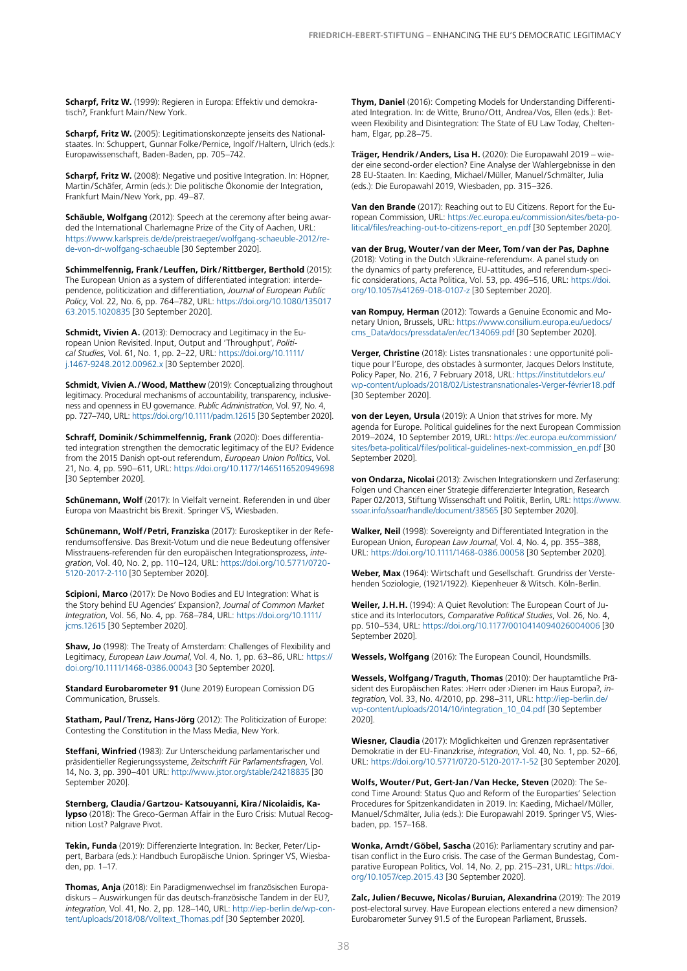**Scharpf, Fritz W.** (1999): Regieren in Europa: Effektiv und demokratisch?, Frankfurt Main/New York.

**Scharpf, Fritz W.** (2005): Legitimationskonzepte jenseits des Nationalstaates. In: Schuppert, Gunnar Folke/Pernice, Ingolf/Haltern, Ulrich (eds.): Europawissenschaft, Baden-Baden, pp. 705–742.

Scharpf, Fritz W. (2008): Negative und positive Integration. In: Höpner, Martin/Schäfer, Armin (eds.): Die politische Ökonomie der Integration, Frankfurt Main/New York, pp. 49–87.

**Schäuble, Wolfgang** (2012): Speech at the ceremony after being awarded the International Charlemagne Prize of the City of Aachen, URL: [https://www.karlspreis.de/de/preistraeger/wolfgang-schaeuble-2012/re](https://www.karlspreis.de/de/preistraeger/wolfgang-schaeuble-2012/rede-von-dr-wolfgang-schaeuble)[de-von-dr-wolfgang-schaeuble](https://www.karlspreis.de/de/preistraeger/wolfgang-schaeuble-2012/rede-von-dr-wolfgang-schaeuble) [30 September 2020].

**Schimmelfennig, Frank/Leuffen, Dirk/Rittberger, Berthold** (2015): The European Union as a system of differentiated integration: interdependence, politicization and differentiation, *Journal of European Public Policy*, Vol. 22, No. 6, pp. 764–782, URL: [https://doi.org/10.1080/135017](https://doi.org/10.1080/13501763.2015.1020835) [63.2015.1020835](https://doi.org/10.1080/13501763.2015.1020835) [30 September 2020].

**Schmidt, Vivien A.** (2013): Democracy and Legitimacy in the European Union Revisited. Input, Output and 'Throughput', *Political Studies*, Vol. 61, No. 1, pp. 2–22, URL: [https://doi.org/10.1111/](https://doi.org/10.1111/j.1467-9248.2012.00962.x) [j.1467-9248.2012.00962.x](https://doi.org/10.1111/j.1467-9248.2012.00962.x) [30 September 2020].

**Schmidt, Vivien A./Wood, Matthew** (2019): Conceptualizing throughout legitimacy. Procedural mechanisms of accountability, transparency, inclusiveness and openness in EU governance. *Public Administration*, Vol. 97, No. 4, pp. 727–740, URL: <https://doi.org/10.1111/padm.12615>[30 September 2020].

**Schraff, Dominik/Schimmelfennig, Frank** (2020): Does differentiated integration strengthen the democratic legitimacy of the EU? Evidence from the 2015 Danish opt-out referendum, *European Union Politics*, Vol. 21, No. 4, pp. 590–611, URL: [https://doi.org/10.1177/1465116520949698](https://doi.org/10.1177/1465116520949698 )  [30 September 2020].

**Schünemann, Wolf** (2017): In Vielfalt verneint. Referenden in und über Europa von Maastricht bis Brexit. Springer VS, Wiesbaden.

**Schünemann, Wolf/Petri, Franziska** (2017): Euroskeptiker in der Referendumsoffensive. Das Brexit-Votum und die neue Bedeutung offensiver Misstrauens-referenden für den europäischen Integrationsprozess, *integration*, Vol. 40, No. 2, pp. 110–124, URL: [https://doi.org/10.5771/0720-](https://doi.org/10.5771/0720-5120-2017-2-110) [5120-2017-2-110](https://doi.org/10.5771/0720-5120-2017-2-110) [30 September 2020].

**Scipioni, Marco** (2017): De Novo Bodies and EU Integration: What is the Story behind EU Agencies' Expansion?, *Journal of Common Market Integration*, Vol. 56, No. 4, pp. 768–784, URL: [https://doi.org/10.1111/](https://doi.org/10.1111/jcms.12615) [jcms.12615](https://doi.org/10.1111/jcms.12615) [30 September 2020].

**Shaw, Jo** (1998): The Treaty of Amsterdam: Challenges of Flexibility and Legitimacy, *European Law Journal*, Vol. 4, No. 1, pp. 63–86, URL: [https://](https://doi.org/10.1111/1468-0386.00043) [doi.org/10.1111/1468-0386.00043](https://doi.org/10.1111/1468-0386.00043) [30 September 2020].

**Standard Eurobarometer 91** (June 2019) European Comission DG Communication, Brussels.

**Statham, Paul/Trenz, Hans-Jörg** (2012): The Politicization of Europe: Contesting the Constitution in the Mass Media, New York.

**Steffani, Winfried** (1983): Zur Unterscheidung parlamentarischer und präsidentieller Regierungssysteme, *Zeitschrift Für Parlamentsfragen*, Vol. 14, No. 3, pp. 390–401 URL: <http://www.jstor.org/stable/24218835> [30 September 2020].

**Sternberg, Claudia/Gartzou- Katsouyanni, Kira/Nicolaidis, Kalypso** (2018): The Greco-German Affair in the Euro Crisis: Mutual Recognition Lost? Palgrave Pivot.

**Tekin, Funda** (2019): Differenzierte Integration. In: Becker, Peter/Lippert, Barbara (eds.): Handbuch Europäische Union. Springer VS, Wiesbaden, pp. 1–17.

**Thomas, Anja** (2018): Ein Paradigmenwechsel im französischen Europadiskurs – Auswirkungen für das deutsch-französische Tandem in der EU?, *integration*, Vol. 41, No. 2, pp. 128–140, URL: [http://iep-berlin.de/wp-con](http://iep-berlin.de/wp-content/uploads/2018/08/Volltext_Thomas.pdf)[tent/uploads/2018/08/Volltext\\_Thomas.pdf](http://iep-berlin.de/wp-content/uploads/2018/08/Volltext_Thomas.pdf) [30 September 2020].

**Thym, Daniel** (2016): Competing Models for Understanding Differentiated Integration. In: de Witte, Bruno/Ott, Andrea/Vos, Ellen (eds.): Between Flexibility and Disintegration: The State of EU Law Today, Cheltenham, Elgar, pp.28–75.

**Träger, Hendrik/Anders, Lisa H.** (2020): Die Europawahl 2019 – wieder eine second-order election? Eine Analyse der Wahlergebnisse in den 28 EU-Staaten. In: Kaeding, Michael/Müller, Manuel/Schmälter, Julia (eds.): Die Europawahl 2019, Wiesbaden, pp. 315–326.

**Van den Brande** (2017): Reaching out to EU Citizens. Report for the European Commission, URL: [https://ec.europa.eu/commission/sites/beta-po](https://ec.europa.eu/commission/sites/beta-political/files/reaching-out-to-citizens-report_en.pdf )[litical/files/reaching-out-to-citizens-report\\_en.pdf](https://ec.europa.eu/commission/sites/beta-political/files/reaching-out-to-citizens-report_en.pdf ) [30 September 2020].

**van der Brug, Wouter/van der Meer, Tom/van der Pas, Daphne**  (2018): Voting in the Dutch ›Ukraine-referendum‹. A panel study on the dynamics of party preference, EU-attitudes, and referendum-specific considerations, Acta Politica, Vol. 53, pp. 496–516, URL: https://doi. org/10.1057/s41269-018-0107-z [30 September 2020].

**van Rompuy, Herman** (2012): Towards a Genuine Economic and Monetary Union, Brussels, URL: [https://www.consilium.europa.eu/uedocs/](https://www.consilium.europa.eu/uedocs/cms_Data/docs/pressdata/en/ec/134069.pdf) [cms\\_Data/docs/pressdata/en/ec/134069.pdf](https://www.consilium.europa.eu/uedocs/cms_Data/docs/pressdata/en/ec/134069.pdf) [30 September 2020].

**Verger, Christine** (2018): Listes transnationales : une opportunité politique pour l'Europe, des obstacles à surmonter, Jacques Delors Institute, Policy Paper, No. 216, 7 February 2018, URL: [https://institutdelors.eu/](https://institutdelors.eu/wp-content/uploads/2018/02/Listestransnationales-Verger-février18.pdf) [wp-content/uploads/2018/02/Listestransnationales-Verger-février18.pdf](https://institutdelors.eu/wp-content/uploads/2018/02/Listestransnationales-Verger-février18.pdf) [30 September 2020].

**von der Leyen, Ursula** (2019): A Union that strives for more. My agenda for Europe. Political guidelines for the next European Commission 2019–2024, 10 September 2019, URL: [https://ec.europa.eu/commission/](https://ec.europa.eu/commission/sites/beta-political/files/political-guidelines-next-commission_en.pdf) [sites/beta-political/files/political-guidelines-next-commission\\_en.pdf](https://ec.europa.eu/commission/sites/beta-political/files/political-guidelines-next-commission_en.pdf) [30 September 2020].

**von Ondarza, Nicolai** (2013): Zwischen Integrationskern und Zerfaserung: Folgen und Chancen einer Strategie differenzierter Integration, Research Paper 02/2013, Stiftung Wissenschaft und Politik, Berlin, URL: [https://www.](https://www.ssoar.info/ssoar/handle/document/38565) [ssoar.info/ssoar/handle/document/38565](https://www.ssoar.info/ssoar/handle/document/38565) [30 September 2020].

**Walker, Neil** (1998): Sovereignty and Differentiated Integration in the European Union, *European Law Journal*, Vol. 4, No. 4, pp. 355–388, URL:<https://doi.org/10.1111/1468-0386.00058> [30 September 2020].

**Weber, Max** (1964): Wirtschaft und Gesellschaft. Grundriss der Verstehenden Soziologie, (1921/1922). Kiepenheuer & Witsch. Köln-Berlin.

Weiler, J.H.H. (1994): A Quiet Revolution: The European Court of Justice and its Interlocutors, *Comparative Political Studies*, Vol. 26, No. 4, pp. 510–534, URL:<https://doi.org/10.1177/0010414094026004006> [30 September 2020].

**Wessels, Wolfgang** (2016): The European Council, Houndsmills.

**Wessels, Wolfgang/Traguth, Thomas** (2010): Der hauptamtliche Präsident des Europäischen Rates: ›Herr‹ oder ›Diener‹ im Haus Europa?, *integration*, Vol. 33, No. 4/2010, pp. 298–311, URL: [http://iep-berlin.de/](http://iep-berlin.de/wp-content/uploads/2014/10/integration_10_04.pdf) [wp-content/uploads/2014/10/integration\\_10\\_04.pdf](http://iep-berlin.de/wp-content/uploads/2014/10/integration_10_04.pdf) [30 September 2020].

**Wiesner, Claudia** (2017): Möglichkeiten und Grenzen repräsentativer Demokratie in der EU-Finanzkrise, *integration*, Vol. 40, No. 1, pp. 52–66, URL:<https://doi.org/10.5771/0720-5120-2017-1-52>[30 September 2020].

**Wolfs, Wouter/Put, Gert-Jan/Van Hecke, Steven** (2020): The Second Time Around: Status Quo and Reform of the Europarties' Selection Procedures for Spitzenkandidaten in 2019. In: Kaeding, Michael/Müller, Manuel/Schmälter, Julia (eds.): Die Europawahl 2019. Springer VS, Wiesbaden, pp. 157–168.

**Wonka, Arndt/Göbel, Sascha** (2016): Parliamentary scrutiny and partisan conflict in the Euro crisis. The case of the German Bundestag, Comparative European Politics, Vol. 14, No. 2, pp. 215–231, URL: [https://doi.](https://doi.org/10.1057/cep.2015.43) [org/10.1057/cep.2015.43](https://doi.org/10.1057/cep.2015.43) [30 September 2020].

**Zalc, Julien/Becuwe, Nicolas/Buruian, Alexandrina** (2019): The 2019 post-electoral survey. Have European elections entered a new dimension? Eurobarometer Survey 91.5 of the European Parliament, Brussels.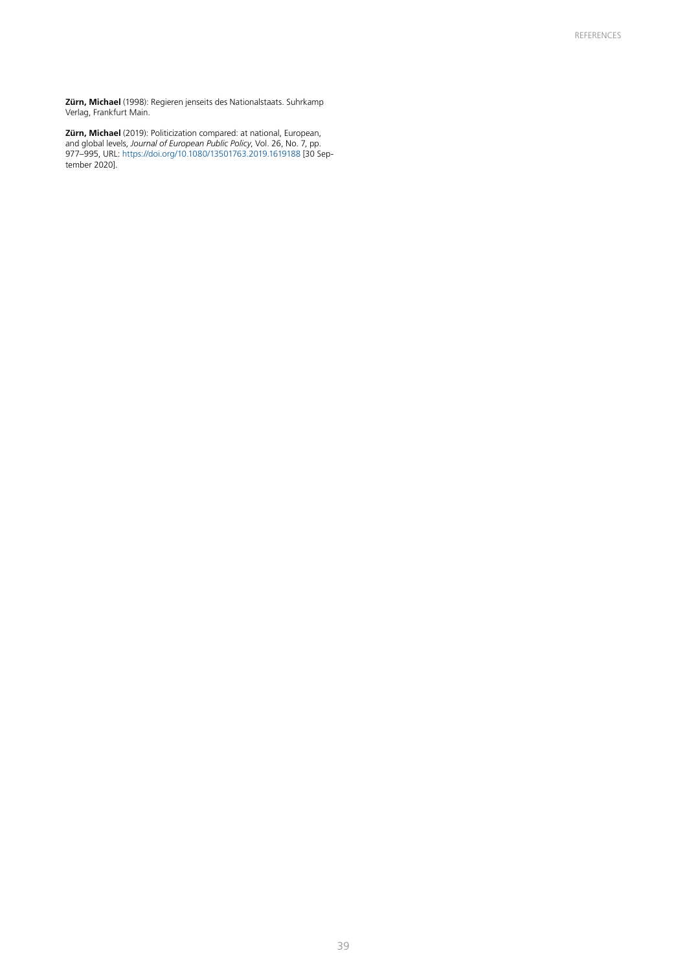**Zürn, Michael** (1998): Regieren jenseits des Nationalstaats. Suhrkamp Verlag, Frankfurt Main.

**Zürn, Michael** (2019): Politicization compared: at national, European, and global levels, *Journal of European Public Policy*, Vol. 26, No. 7, pp. 977–995, URL:<https://doi.org/10.1080/13501763.2019.1619188>[30 September 2020].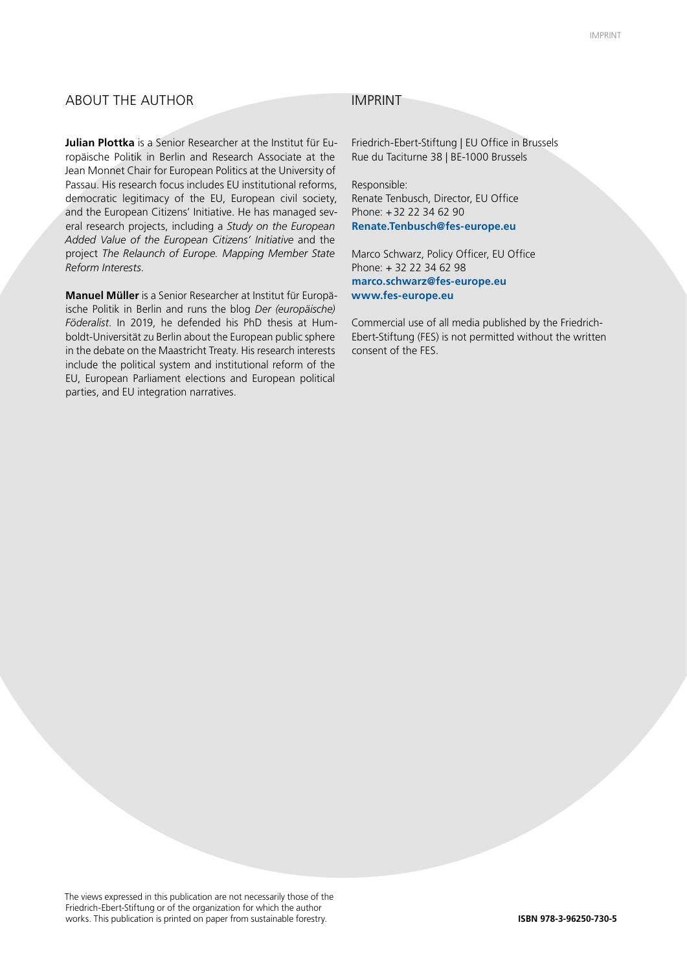#### ABOUT THE AUTHOR IMPRINT

**Julian Plottka** is a Senior Researcher at the Institut für Europäische Politik in Berlin and Research Associate at the Jean Monnet Chair for European Politics at the University of Passau. His research focus includes EU institutional reforms, democratic legitimacy of the EU, European civil society, and the European Citizens' Initiative. He has managed several research projects, including a *Study on the European Added Value of the European Citizens' Initiative* and the project *The Relaunch of Europe. Mapping Member State Reform Interests*.

**Manuel Müller** is a Senior Researcher at Institut für Europäische Politik in Berlin and runs the blog *Der (europäische) Föderalist*. In 2019, he defended his PhD thesis at Humboldt-Universität zu Berlin about the European public sphere in the debate on the Maastricht Treaty. His research interests include the political system and institutional reform of the EU, European Parliament elections and European political parties, and EU integration narratives.

Friedrich-Ebert-Stiftung | EU Office in Brussels Rue du Taciturne 38 | BE-1000 Brussels

Responsible: Renate Tenbusch, Director, EU Office Phone: +32 22 34 62 90 **Renate.Tenbusch@fes-europe.eu**

Marco Schwarz, Policy Officer, EU Office Phone: + 32 22 34 62 98 **marco.schwarz@fes-europe.eu www.fes-europe.eu**

Commercial use of all media published by the Friedrich-Ebert-Stiftung (FES) is not permitted without the written consent of the FES.